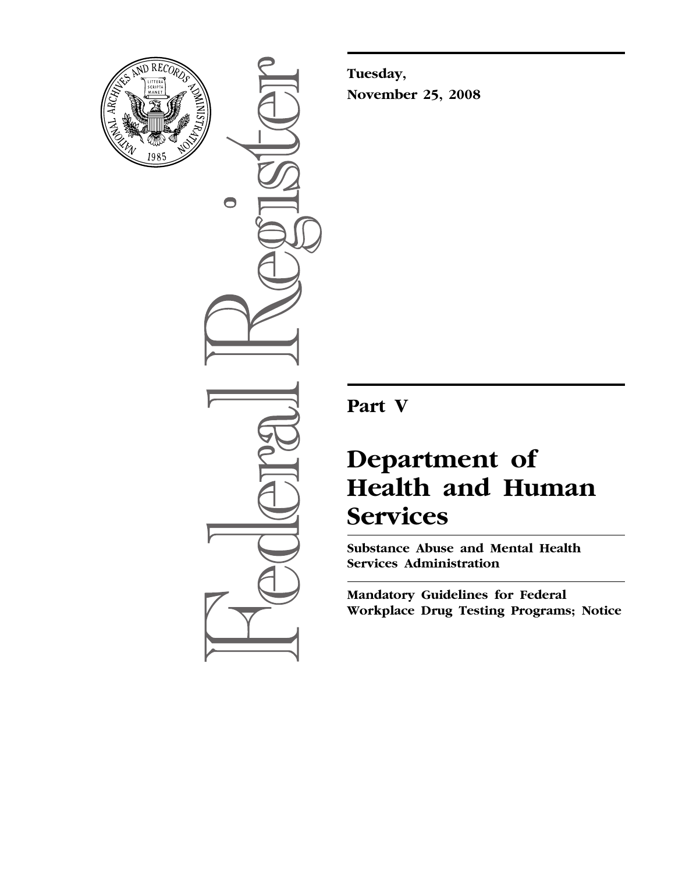

 $\bigcirc$ 

**Tuesday, November 25, 2008** 

**Part V** 

# **Department of Health and Human Services**

**Substance Abuse and Mental Health Services Administration** 

**Mandatory Guidelines for Federal Workplace Drug Testing Programs; Notice**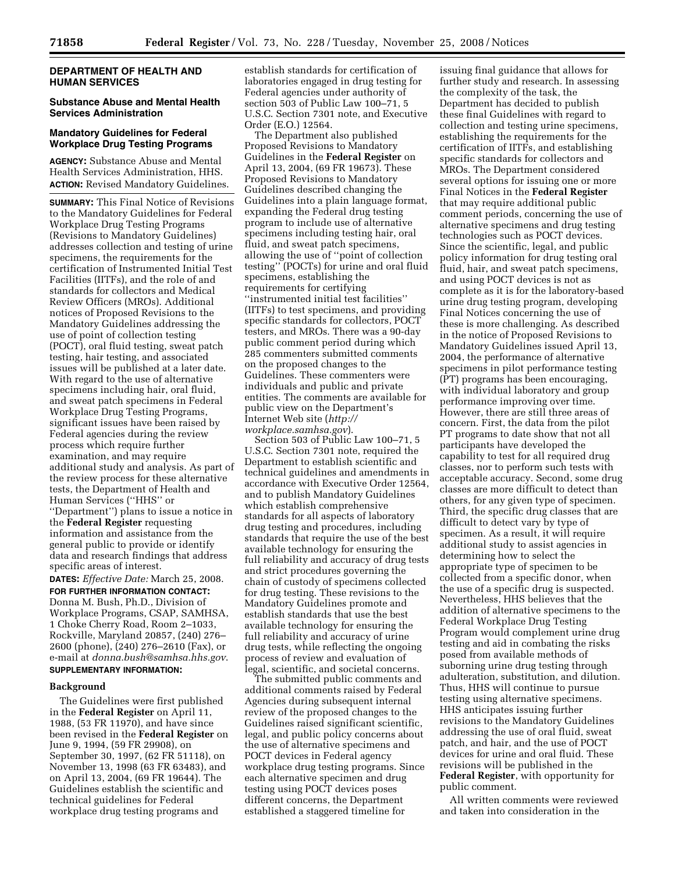# **DEPARTMENT OF HEALTH AND HUMAN SERVICES**

# **Substance Abuse and Mental Health Services Administration**

# **Mandatory Guidelines for Federal Workplace Drug Testing Programs**

**AGENCY:** Substance Abuse and Mental Health Services Administration, HHS. **ACTION:** Revised Mandatory Guidelines.

**SUMMARY:** This Final Notice of Revisions to the Mandatory Guidelines for Federal Workplace Drug Testing Programs (Revisions to Mandatory Guidelines) addresses collection and testing of urine specimens, the requirements for the certification of Instrumented Initial Test Facilities (IITFs), and the role of and standards for collectors and Medical Review Officers (MROs). Additional notices of Proposed Revisions to the Mandatory Guidelines addressing the use of point of collection testing (POCT), oral fluid testing, sweat patch testing, hair testing, and associated issues will be published at a later date. With regard to the use of alternative specimens including hair, oral fluid, and sweat patch specimens in Federal Workplace Drug Testing Programs, significant issues have been raised by Federal agencies during the review process which require further examination, and may require additional study and analysis. As part of the review process for these alternative tests, the Department of Health and Human Services (''HHS'' or ''Department'') plans to issue a notice in the **Federal Register** requesting information and assistance from the general public to provide or identify data and research findings that address specific areas of interest.

**DATES:** *Effective Date:* March 25, 2008. **FOR FURTHER INFORMATION CONTACT:**  Donna M. Bush, Ph.D., Division of Workplace Programs, CSAP, SAMHSA, 1 Choke Cherry Road, Room 2–1033, Rockville, Maryland 20857, (240) 276– 2600 (phone), (240) 276–2610 (Fax), or e-mail at *donna.bush@samhsa.hhs.gov*. **SUPPLEMENTARY INFORMATION:** 

#### **Background**

The Guidelines were first published in the **Federal Register** on April 11, 1988, (53 FR 11970), and have since been revised in the **Federal Register** on June 9, 1994, (59 FR 29908), on September 30, 1997, (62 FR 51118), on November 13, 1998 (63 FR 63483), and on April 13, 2004, (69 FR 19644). The Guidelines establish the scientific and technical guidelines for Federal workplace drug testing programs and

establish standards for certification of laboratories engaged in drug testing for Federal agencies under authority of section 503 of Public Law 100–71, 5 U.S.C. Section 7301 note, and Executive Order (E.O.) 12564.

The Department also published Proposed Revisions to Mandatory Guidelines in the **Federal Register** on April 13, 2004, (69 FR 19673). These Proposed Revisions to Mandatory Guidelines described changing the Guidelines into a plain language format, expanding the Federal drug testing program to include use of alternative specimens including testing hair, oral fluid, and sweat patch specimens, allowing the use of ''point of collection testing'' (POCTs) for urine and oral fluid specimens, establishing the requirements for certifying ''instrumented initial test facilities'' (IITFs) to test specimens, and providing specific standards for collectors, POCT testers, and MROs. There was a 90-day public comment period during which 285 commenters submitted comments on the proposed changes to the Guidelines. These commenters were individuals and public and private entities. The comments are available for public view on the Department's Internet Web site (*http:// workplace.samhsa.gov*).

Section 503 of Public Law 100–71, 5 U.S.C. Section 7301 note, required the Department to establish scientific and technical guidelines and amendments in accordance with Executive Order 12564, and to publish Mandatory Guidelines which establish comprehensive standards for all aspects of laboratory drug testing and procedures, including standards that require the use of the best available technology for ensuring the full reliability and accuracy of drug tests and strict procedures governing the chain of custody of specimens collected for drug testing. These revisions to the Mandatory Guidelines promote and establish standards that use the best available technology for ensuring the full reliability and accuracy of urine drug tests, while reflecting the ongoing process of review and evaluation of legal, scientific, and societal concerns.

The submitted public comments and additional comments raised by Federal Agencies during subsequent internal review of the proposed changes to the Guidelines raised significant scientific, legal, and public policy concerns about the use of alternative specimens and POCT devices in Federal agency workplace drug testing programs. Since each alternative specimen and drug testing using POCT devices poses different concerns, the Department established a staggered timeline for

issuing final guidance that allows for further study and research. In assessing the complexity of the task, the Department has decided to publish these final Guidelines with regard to collection and testing urine specimens, establishing the requirements for the certification of IITFs, and establishing specific standards for collectors and MROs. The Department considered several options for issuing one or more Final Notices in the **Federal Register**  that may require additional public comment periods, concerning the use of alternative specimens and drug testing technologies such as POCT devices. Since the scientific, legal, and public policy information for drug testing oral fluid, hair, and sweat patch specimens, and using POCT devices is not as complete as it is for the laboratory-based urine drug testing program, developing Final Notices concerning the use of these is more challenging. As described in the notice of Proposed Revisions to Mandatory Guidelines issued April 13, 2004, the performance of alternative specimens in pilot performance testing (PT) programs has been encouraging, with individual laboratory and group performance improving over time. However, there are still three areas of concern. First, the data from the pilot PT programs to date show that not all participants have developed the capability to test for all required drug classes, nor to perform such tests with acceptable accuracy. Second, some drug classes are more difficult to detect than others, for any given type of specimen. Third, the specific drug classes that are difficult to detect vary by type of specimen. As a result, it will require additional study to assist agencies in determining how to select the appropriate type of specimen to be collected from a specific donor, when the use of a specific drug is suspected. Nevertheless, HHS believes that the addition of alternative specimens to the Federal Workplace Drug Testing Program would complement urine drug testing and aid in combating the risks posed from available methods of suborning urine drug testing through adulteration, substitution, and dilution. Thus, HHS will continue to pursue testing using alternative specimens. HHS anticipates issuing further revisions to the Mandatory Guidelines addressing the use of oral fluid, sweat patch, and hair, and the use of POCT devices for urine and oral fluid. These revisions will be published in the **Federal Register**, with opportunity for public comment.

All written comments were reviewed and taken into consideration in the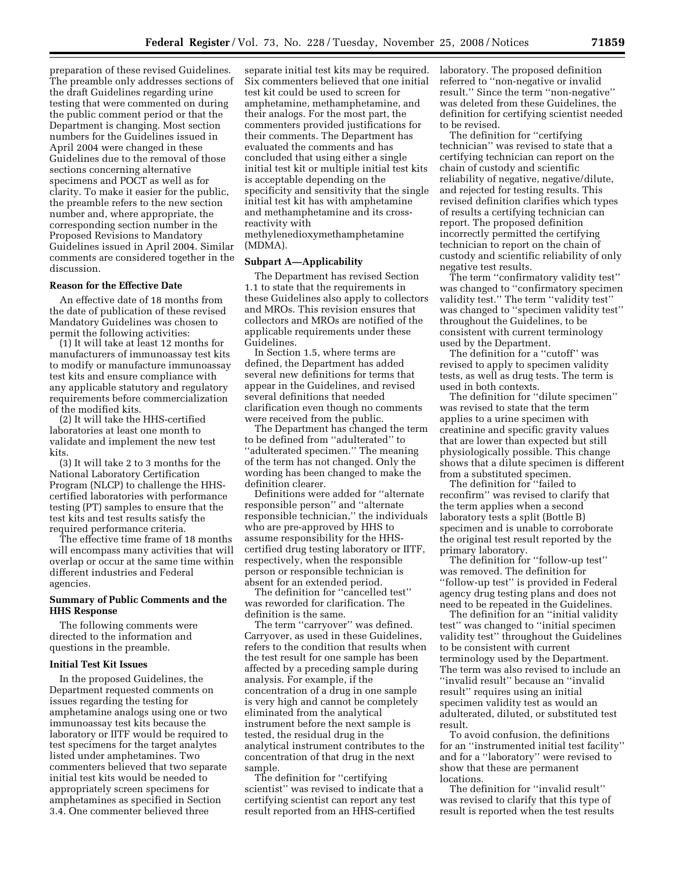preparation of these revised Guidelines. The preamble only addresses sections of the draft Guidelines regarding urine testing that were commented on during the public comment period or that the Department is changing. Most section numbers for the Guidelines issued in April 2004 were changed in these Guidelines due to the removal of those sections concerning alternative specimens and POCT as well as for clarity. To make it easier for the public, the preamble refers to the new section number and, where appropriate, the corresponding section number in the Proposed Revisions to Mandatory Guidelines issued in April 2004. Similar comments are considered together in the discussion.

## **Reason for the Effective Date**

An effective date of 18 months from the date of publication of these revised Mandatory Guidelines was chosen to permit the following activities:

(1) It will take at least 12 months for manufacturers of immunoassay test kits to modify or manufacture immunoassay test kits and ensure compliance with any applicable statutory and regulatory requirements before commercialization of the modified kits.

(2) It will take the HHS-certified laboratories at least one month to validate and implement the new test kits.

(3) It will take 2 to 3 months for the National Laboratory Certification Program (NLCP) to challenge the HHScertified laboratories with performance testing (PT) samples to ensure that the test kits and test results satisfy the required performance criteria.

The effective time frame of 18 months will encompass many activities that will overlap or occur at the same time within different industries and Federal agencies.

# **Summary of Public Comments and the HHS Response**

The following comments were directed to the information and questions in the preamble.

# **Initial Test Kit Issues**

In the proposed Guidelines, the Department requested comments on issues regarding the testing for amphetamine analogs using one or two immunoassay test kits because the laboratory or IITF would be required to test specimens for the target analytes listed under amphetamines. Two commenters believed that two separate initial test kits would be needed to appropriately screen specimens for amphetamines as specified in Section 3.4. One commenter believed three

separate initial test kits may be required. Six commenters believed that one initial test kit could be used to screen for amphetamine, methamphetamine, and their analogs. For the most part, the commenters provided justifications for their comments. The Department has evaluated the comments and has concluded that using either a single initial test kit or multiple initial test kits is acceptable depending on the specificity and sensitivity that the single initial test kit has with amphetamine and methamphetamine and its crossreactivity with methylenedioxymethamphetamine

(MDMA).

## **Subpart A—Applicability**

The Department has revised Section 1.1 to state that the requirements in these Guidelines also apply to collectors and MROs. This revision ensures that collectors and MROs are notified of the applicable requirements under these Guidelines.

In Section 1.5, where terms are defined, the Department has added several new definitions for terms that appear in the Guidelines, and revised several definitions that needed clarification even though no comments were received from the public.

The Department has changed the term to be defined from ''adulterated'' to ''adulterated specimen.'' The meaning of the term has not changed. Only the wording has been changed to make the definition clearer.

Definitions were added for ''alternate responsible person'' and ''alternate responsible technician,'' the individuals who are pre-approved by HHS to assume responsibility for the HHScertified drug testing laboratory or IITF, respectively, when the responsible person or responsible technician is absent for an extended period.

The definition for ''cancelled test'' was reworded for clarification. The definition is the same.

The term "carryover" was defined. Carryover, as used in these Guidelines, refers to the condition that results when the test result for one sample has been affected by a preceding sample during analysis. For example, if the concentration of a drug in one sample is very high and cannot be completely eliminated from the analytical instrument before the next sample is tested, the residual drug in the analytical instrument contributes to the concentration of that drug in the next sample.

The definition for ''certifying scientist'' was revised to indicate that a certifying scientist can report any test result reported from an HHS-certified

laboratory. The proposed definition referred to ''non-negative or invalid result.'' Since the term ''non-negative'' was deleted from these Guidelines, the definition for certifying scientist needed to be revised.

The definition for ''certifying technician'' was revised to state that a certifying technician can report on the chain of custody and scientific reliability of negative, negative/dilute, and rejected for testing results. This revised definition clarifies which types of results a certifying technician can report. The proposed definition incorrectly permitted the certifying technician to report on the chain of custody and scientific reliability of only negative test results.

The term ''confirmatory validity test'' was changed to ''confirmatory specimen validity test.'' The term ''validity test'' was changed to ''specimen validity test'' throughout the Guidelines, to be consistent with current terminology used by the Department.

The definition for a ''cutoff'' was revised to apply to specimen validity tests, as well as drug tests. The term is used in both contexts.

The definition for ''dilute specimen'' was revised to state that the term applies to a urine specimen with creatinine and specific gravity values that are lower than expected but still physiologically possible. This change shows that a dilute specimen is different from a substituted specimen.

The definition for ''failed to reconfirm'' was revised to clarify that the term applies when a second laboratory tests a split (Bottle B) specimen and is unable to corroborate the original test result reported by the primary laboratory.

The definition for ''follow-up test'' was removed. The definition for ''follow-up test'' is provided in Federal agency drug testing plans and does not need to be repeated in the Guidelines.

The definition for an ''initial validity test'' was changed to ''initial specimen validity test'' throughout the Guidelines to be consistent with current terminology used by the Department. The term was also revised to include an ''invalid result'' because an ''invalid result'' requires using an initial specimen validity test as would an adulterated, diluted, or substituted test result.

To avoid confusion, the definitions for an ''instrumented initial test facility'' and for a ''laboratory'' were revised to show that these are permanent locations.

The definition for ''invalid result'' was revised to clarify that this type of result is reported when the test results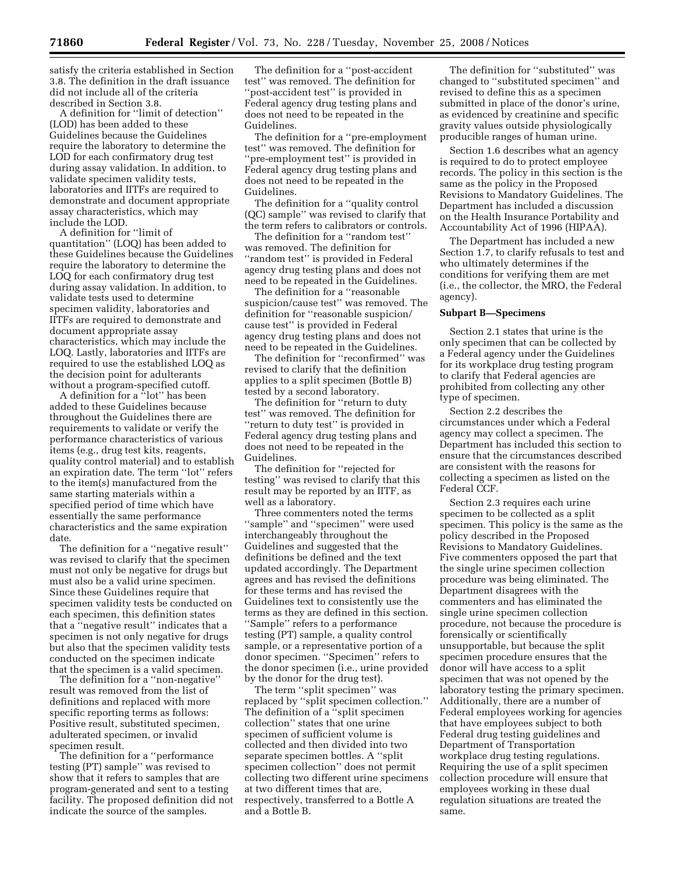satisfy the criteria established in Section 3.8. The definition in the draft issuance did not include all of the criteria described in Section 3.8.

A definition for ''limit of detection'' (LOD) has been added to these Guidelines because the Guidelines require the laboratory to determine the LOD for each confirmatory drug test during assay validation. In addition, to validate specimen validity tests, laboratories and IITFs are required to demonstrate and document appropriate assay characteristics, which may include the LOD.

A definition for ''limit of quantitation'' (LOQ) has been added to these Guidelines because the Guidelines require the laboratory to determine the LOQ for each confirmatory drug test during assay validation. In addition, to validate tests used to determine specimen validity, laboratories and IITFs are required to demonstrate and document appropriate assay characteristics, which may include the LOQ. Lastly, laboratories and IITFs are required to use the established LOQ as the decision point for adulterants without a program-specified cutoff.

A definition for a ''lot'' has been added to these Guidelines because throughout the Guidelines there are requirements to validate or verify the performance characteristics of various items (e.g., drug test kits, reagents, quality control material) and to establish an expiration date. The term ''lot'' refers to the item(s) manufactured from the same starting materials within a specified period of time which have essentially the same performance characteristics and the same expiration date.

The definition for a ''negative result'' was revised to clarify that the specimen must not only be negative for drugs but must also be a valid urine specimen. Since these Guidelines require that specimen validity tests be conducted on each specimen, this definition states that a ''negative result'' indicates that a specimen is not only negative for drugs but also that the specimen validity tests conducted on the specimen indicate that the specimen is a valid specimen.

The definition for a ''non-negative'' result was removed from the list of definitions and replaced with more specific reporting terms as follows: Positive result, substituted specimen, adulterated specimen, or invalid specimen result.

The definition for a ''performance testing (PT) sample'' was revised to show that it refers to samples that are program-generated and sent to a testing facility. The proposed definition did not indicate the source of the samples.

The definition for a ''post-accident test'' was removed. The definition for ''post-accident test'' is provided in Federal agency drug testing plans and does not need to be repeated in the Guidelines.

The definition for a ''pre-employment test'' was removed. The definition for ''pre-employment test'' is provided in Federal agency drug testing plans and does not need to be repeated in the Guidelines.

The definition for a ''quality control (QC) sample'' was revised to clarify that the term refers to calibrators or controls.

The definition for a ''random test'' was removed. The definition for ''random test'' is provided in Federal agency drug testing plans and does not need to be repeated in the Guidelines.

The definition for a ''reasonable suspicion/cause test'' was removed. The definition for ''reasonable suspicion/ cause test'' is provided in Federal agency drug testing plans and does not need to be repeated in the Guidelines.

The definition for ''reconfirmed'' was revised to clarify that the definition applies to a split specimen (Bottle B) tested by a second laboratory.

The definition for ''return to duty test'' was removed. The definition for ''return to duty test'' is provided in Federal agency drug testing plans and does not need to be repeated in the Guidelines.

The definition for ''rejected for testing'' was revised to clarify that this result may be reported by an IITF, as well as a laboratory.

Three commenters noted the terms ''sample'' and ''specimen'' were used interchangeably throughout the Guidelines and suggested that the definitions be defined and the text updated accordingly. The Department agrees and has revised the definitions for these terms and has revised the Guidelines text to consistently use the terms as they are defined in this section. ''Sample'' refers to a performance testing (PT) sample, a quality control sample, or a representative portion of a donor specimen. ''Specimen'' refers to the donor specimen (i.e., urine provided by the donor for the drug test).

The term "split specimen" was replaced by ''split specimen collection.'' The definition of a ''split specimen collection'' states that one urine specimen of sufficient volume is collected and then divided into two separate specimen bottles. A ''split specimen collection'' does not permit collecting two different urine specimens at two different times that are, respectively, transferred to a Bottle A and a Bottle B.

The definition for ''substituted'' was changed to ''substituted specimen'' and revised to define this as a specimen submitted in place of the donor's urine, as evidenced by creatinine and specific gravity values outside physiologically producible ranges of human urine.

Section 1.6 describes what an agency is required to do to protect employee records. The policy in this section is the same as the policy in the Proposed Revisions to Mandatory Guidelines. The Department has included a discussion on the Health Insurance Portability and Accountability Act of 1996 (HIPAA).

The Department has included a new Section 1.7, to clarify refusals to test and who ultimately determines if the conditions for verifying them are met (i.e., the collector, the MRO, the Federal agency).

## **Subpart B—Specimens**

Section 2.1 states that urine is the only specimen that can be collected by a Federal agency under the Guidelines for its workplace drug testing program to clarify that Federal agencies are prohibited from collecting any other type of specimen.

Section 2.2 describes the circumstances under which a Federal agency may collect a specimen. The Department has included this section to ensure that the circumstances described are consistent with the reasons for collecting a specimen as listed on the Federal CCF.

Section 2.3 requires each urine specimen to be collected as a split specimen. This policy is the same as the policy described in the Proposed Revisions to Mandatory Guidelines. Five commenters opposed the part that the single urine specimen collection procedure was being eliminated. The Department disagrees with the commenters and has eliminated the single urine specimen collection procedure, not because the procedure is forensically or scientifically unsupportable, but because the split specimen procedure ensures that the donor will have access to a split specimen that was not opened by the laboratory testing the primary specimen. Additionally, there are a number of Federal employees working for agencies that have employees subject to both Federal drug testing guidelines and Department of Transportation workplace drug testing regulations. Requiring the use of a split specimen collection procedure will ensure that employees working in these dual regulation situations are treated the same.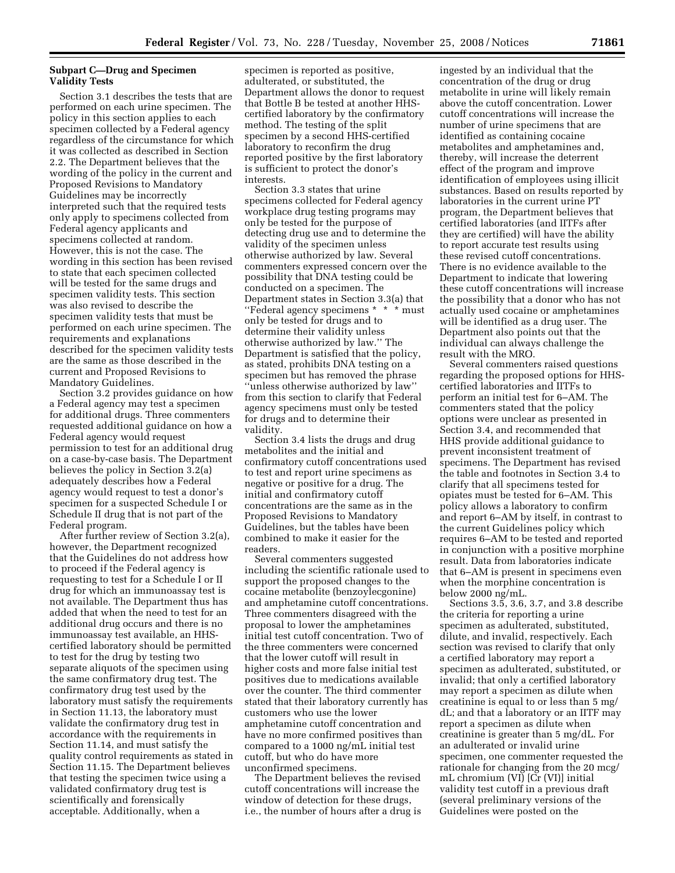# **Subpart C—Drug and Specimen Validity Tests**

Section 3.1 describes the tests that are performed on each urine specimen. The policy in this section applies to each specimen collected by a Federal agency regardless of the circumstance for which it was collected as described in Section 2.2. The Department believes that the wording of the policy in the current and Proposed Revisions to Mandatory Guidelines may be incorrectly interpreted such that the required tests only apply to specimens collected from Federal agency applicants and specimens collected at random. However, this is not the case. The wording in this section has been revised to state that each specimen collected will be tested for the same drugs and specimen validity tests. This section was also revised to describe the specimen validity tests that must be performed on each urine specimen. The requirements and explanations described for the specimen validity tests are the same as those described in the current and Proposed Revisions to Mandatory Guidelines.

Section 3.2 provides guidance on how a Federal agency may test a specimen for additional drugs. Three commenters requested additional guidance on how a Federal agency would request permission to test for an additional drug on a case-by-case basis. The Department believes the policy in Section 3.2(a) adequately describes how a Federal agency would request to test a donor's specimen for a suspected Schedule I or Schedule II drug that is not part of the Federal program.

After further review of Section 3.2(a), however, the Department recognized that the Guidelines do not address how to proceed if the Federal agency is requesting to test for a Schedule I or II drug for which an immunoassay test is not available. The Department thus has added that when the need to test for an additional drug occurs and there is no immunoassay test available, an HHScertified laboratory should be permitted to test for the drug by testing two separate aliquots of the specimen using the same confirmatory drug test. The confirmatory drug test used by the laboratory must satisfy the requirements in Section 11.13, the laboratory must validate the confirmatory drug test in accordance with the requirements in Section 11.14, and must satisfy the quality control requirements as stated in Section 11.15. The Department believes that testing the specimen twice using a validated confirmatory drug test is scientifically and forensically acceptable. Additionally, when a

specimen is reported as positive, adulterated, or substituted, the Department allows the donor to request that Bottle B be tested at another HHScertified laboratory by the confirmatory method. The testing of the split specimen by a second HHS-certified laboratory to reconfirm the drug reported positive by the first laboratory is sufficient to protect the donor's interests.

Section 3.3 states that urine specimens collected for Federal agency workplace drug testing programs may only be tested for the purpose of detecting drug use and to determine the validity of the specimen unless otherwise authorized by law. Several commenters expressed concern over the possibility that DNA testing could be conducted on a specimen. The Department states in Section 3.3(a) that ''Federal agency specimens \* \* \* must only be tested for drugs and to determine their validity unless otherwise authorized by law.'' The Department is satisfied that the policy, as stated, prohibits DNA testing on a specimen but has removed the phrase ''unless otherwise authorized by law'' from this section to clarify that Federal agency specimens must only be tested for drugs and to determine their validity.

Section 3.4 lists the drugs and drug metabolites and the initial and confirmatory cutoff concentrations used to test and report urine specimens as negative or positive for a drug. The initial and confirmatory cutoff concentrations are the same as in the Proposed Revisions to Mandatory Guidelines, but the tables have been combined to make it easier for the readers.

Several commenters suggested including the scientific rationale used to support the proposed changes to the cocaine metabolite (benzoylecgonine) and amphetamine cutoff concentrations. Three commenters disagreed with the proposal to lower the amphetamines initial test cutoff concentration. Two of the three commenters were concerned that the lower cutoff will result in higher costs and more false initial test positives due to medications available over the counter. The third commenter stated that their laboratory currently has customers who use the lower amphetamine cutoff concentration and have no more confirmed positives than compared to a 1000 ng/mL initial test cutoff, but who do have more unconfirmed specimens.

The Department believes the revised cutoff concentrations will increase the window of detection for these drugs, i.e., the number of hours after a drug is ingested by an individual that the concentration of the drug or drug metabolite in urine will likely remain above the cutoff concentration. Lower cutoff concentrations will increase the number of urine specimens that are identified as containing cocaine metabolites and amphetamines and, thereby, will increase the deterrent effect of the program and improve identification of employees using illicit substances. Based on results reported by laboratories in the current urine PT program, the Department believes that certified laboratories (and IITFs after they are certified) will have the ability to report accurate test results using these revised cutoff concentrations. There is no evidence available to the Department to indicate that lowering these cutoff concentrations will increase the possibility that a donor who has not actually used cocaine or amphetamines will be identified as a drug user. The Department also points out that the individual can always challenge the result with the MRO.

Several commenters raised questions regarding the proposed options for HHScertified laboratories and IITFs to perform an initial test for 6–AM. The commenters stated that the policy options were unclear as presented in Section 3.4, and recommended that HHS provide additional guidance to prevent inconsistent treatment of specimens. The Department has revised the table and footnotes in Section 3.4 to clarify that all specimens tested for opiates must be tested for 6–AM. This policy allows a laboratory to confirm and report 6–AM by itself, in contrast to the current Guidelines policy which requires 6–AM to be tested and reported in conjunction with a positive morphine result. Data from laboratories indicate that 6–AM is present in specimens even when the morphine concentration is below 2000 ng/mL.

Sections 3.5, 3.6, 3.7, and 3.8 describe the criteria for reporting a urine specimen as adulterated, substituted, dilute, and invalid, respectively. Each section was revised to clarify that only a certified laboratory may report a specimen as adulterated, substituted, or invalid; that only a certified laboratory may report a specimen as dilute when creatinine is equal to or less than 5 mg/ dL; and that a laboratory or an IITF may report a specimen as dilute when creatinine is greater than 5 mg/dL. For an adulterated or invalid urine specimen, one commenter requested the rationale for changing from the 20 mcg/ mL chromium (VI) [Cr (VI)] initial validity test cutoff in a previous draft (several preliminary versions of the Guidelines were posted on the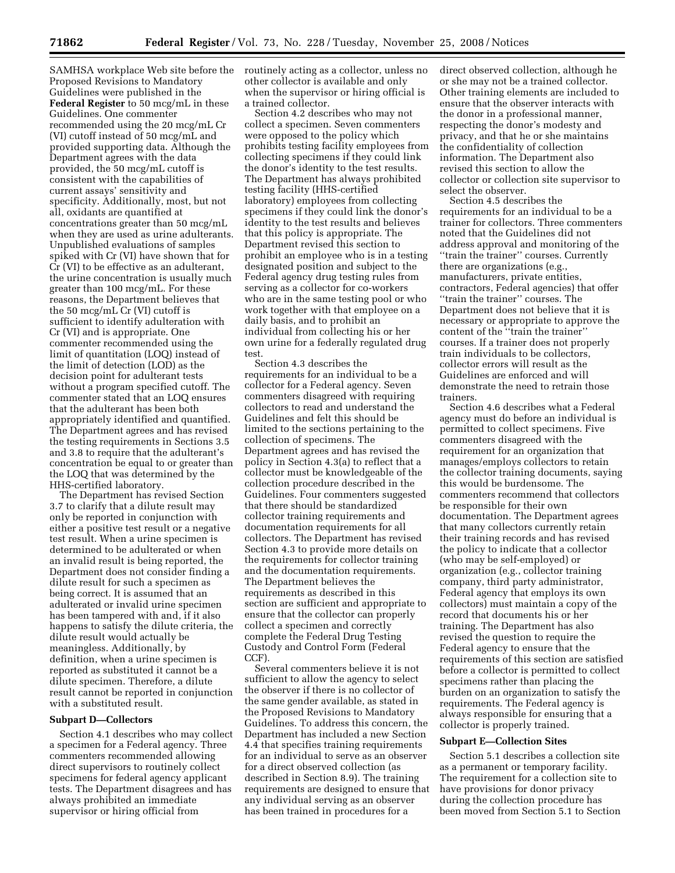SAMHSA workplace Web site before the Proposed Revisions to Mandatory Guidelines were published in the **Federal Register** to 50 mcg/mL in these Guidelines. One commenter recommended using the 20 mcg/mL Cr (VI) cutoff instead of 50 mcg/mL and provided supporting data. Although the Department agrees with the data provided, the 50 mcg/mL cutoff is consistent with the capabilities of current assays' sensitivity and specificity. Additionally, most, but not all, oxidants are quantified at concentrations greater than 50 mcg/mL when they are used as urine adulterants. Unpublished evaluations of samples spiked with Cr (VI) have shown that for Cr (VI) to be effective as an adulterant, the urine concentration is usually much greater than 100 mcg/mL. For these reasons, the Department believes that the 50 mcg/mL Cr (VI) cutoff is sufficient to identify adulteration with Cr (VI) and is appropriate. One commenter recommended using the limit of quantitation (LOQ) instead of the limit of detection (LOD) as the decision point for adulterant tests without a program specified cutoff. The commenter stated that an LOQ ensures that the adulterant has been both appropriately identified and quantified. The Department agrees and has revised the testing requirements in Sections 3.5 and 3.8 to require that the adulterant's concentration be equal to or greater than the LOQ that was determined by the HHS-certified laboratory.

The Department has revised Section 3.7 to clarify that a dilute result may only be reported in conjunction with either a positive test result or a negative test result. When a urine specimen is determined to be adulterated or when an invalid result is being reported, the Department does not consider finding a dilute result for such a specimen as being correct. It is assumed that an adulterated or invalid urine specimen has been tampered with and, if it also happens to satisfy the dilute criteria, the dilute result would actually be meaningless. Additionally, by definition, when a urine specimen is reported as substituted it cannot be a dilute specimen. Therefore, a dilute result cannot be reported in conjunction with a substituted result.

## **Subpart D—Collectors**

Section 4.1 describes who may collect a specimen for a Federal agency. Three commenters recommended allowing direct supervisors to routinely collect specimens for federal agency applicant tests. The Department disagrees and has always prohibited an immediate supervisor or hiring official from

routinely acting as a collector, unless no other collector is available and only when the supervisor or hiring official is a trained collector.

Section 4.2 describes who may not collect a specimen. Seven commenters were opposed to the policy which prohibits testing facility employees from collecting specimens if they could link the donor's identity to the test results. The Department has always prohibited testing facility (HHS-certified laboratory) employees from collecting specimens if they could link the donor's identity to the test results and believes that this policy is appropriate. The Department revised this section to prohibit an employee who is in a testing designated position and subject to the Federal agency drug testing rules from serving as a collector for co-workers who are in the same testing pool or who work together with that employee on a daily basis, and to prohibit an individual from collecting his or her own urine for a federally regulated drug test.

Section 4.3 describes the requirements for an individual to be a collector for a Federal agency. Seven commenters disagreed with requiring collectors to read and understand the Guidelines and felt this should be limited to the sections pertaining to the collection of specimens. The Department agrees and has revised the policy in Section 4.3(a) to reflect that a collector must be knowledgeable of the collection procedure described in the Guidelines. Four commenters suggested that there should be standardized collector training requirements and documentation requirements for all collectors. The Department has revised Section 4.3 to provide more details on the requirements for collector training and the documentation requirements. The Department believes the requirements as described in this section are sufficient and appropriate to ensure that the collector can properly collect a specimen and correctly complete the Federal Drug Testing Custody and Control Form (Federal CCF).

Several commenters believe it is not sufficient to allow the agency to select the observer if there is no collector of the same gender available, as stated in the Proposed Revisions to Mandatory Guidelines. To address this concern, the Department has included a new Section 4.4 that specifies training requirements for an individual to serve as an observer for a direct observed collection (as described in Section 8.9). The training requirements are designed to ensure that any individual serving as an observer has been trained in procedures for a

direct observed collection, although he or she may not be a trained collector. Other training elements are included to ensure that the observer interacts with the donor in a professional manner, respecting the donor's modesty and privacy, and that he or she maintains the confidentiality of collection information. The Department also revised this section to allow the collector or collection site supervisor to select the observer.

Section 4.5 describes the requirements for an individual to be a trainer for collectors. Three commenters noted that the Guidelines did not address approval and monitoring of the ''train the trainer'' courses. Currently there are organizations (e.g., manufacturers, private entities, contractors, Federal agencies) that offer ''train the trainer'' courses. The Department does not believe that it is necessary or appropriate to approve the content of the ''train the trainer'' courses. If a trainer does not properly train individuals to be collectors, collector errors will result as the Guidelines are enforced and will demonstrate the need to retrain those trainers.

Section 4.6 describes what a Federal agency must do before an individual is permitted to collect specimens. Five commenters disagreed with the requirement for an organization that manages/employs collectors to retain the collector training documents, saying this would be burdensome. The commenters recommend that collectors be responsible for their own documentation. The Department agrees that many collectors currently retain their training records and has revised the policy to indicate that a collector (who may be self-employed) or organization (e.g., collector training company, third party administrator, Federal agency that employs its own collectors) must maintain a copy of the record that documents his or her training. The Department has also revised the question to require the Federal agency to ensure that the requirements of this section are satisfied before a collector is permitted to collect specimens rather than placing the burden on an organization to satisfy the requirements. The Federal agency is always responsible for ensuring that a collector is properly trained.

#### **Subpart E—Collection Sites**

Section 5.1 describes a collection site as a permanent or temporary facility. The requirement for a collection site to have provisions for donor privacy during the collection procedure has been moved from Section 5.1 to Section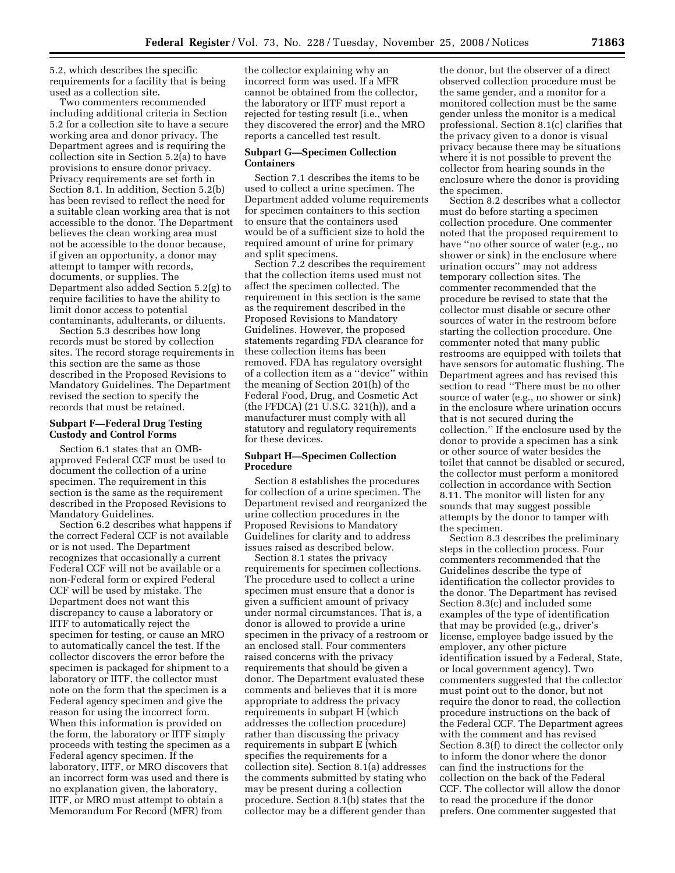5.2, which describes the specific requirements for a facility that is being used as a collection site.

Two commenters recommended including additional criteria in Section 5.2 for a collection site to have a secure working area and donor privacy. The Department agrees and is requiring the collection site in Section 5.2(a) to have provisions to ensure donor privacy. Privacy requirements are set forth in Section 8.1. In addition, Section 5.2(b) has been revised to reflect the need for a suitable clean working area that is not accessible to the donor. The Department believes the clean working area must not be accessible to the donor because, if given an opportunity, a donor may attempt to tamper with records, documents, or supplies. The Department also added Section 5.2(g) to require facilities to have the ability to limit donor access to potential contaminants, adulterants, or diluents.

Section 5.3 describes how long records must be stored by collection sites. The record storage requirements in this section are the same as those described in the Proposed Revisions to Mandatory Guidelines. The Department revised the section to specify the records that must be retained.

# **Subpart F—Federal Drug Testing Custody and Control Forms**

Section 6.1 states that an OMBapproved Federal CCF must be used to document the collection of a urine specimen. The requirement in this section is the same as the requirement described in the Proposed Revisions to Mandatory Guidelines.

Section 6.2 describes what happens if the correct Federal CCF is not available or is not used. The Department recognizes that occasionally a current Federal CCF will not be available or a non-Federal form or expired Federal CCF will be used by mistake. The Department does not want this discrepancy to cause a laboratory or IITF to automatically reject the specimen for testing, or cause an MRO to automatically cancel the test. If the collector discovers the error before the specimen is packaged for shipment to a laboratory or IITF, the collector must note on the form that the specimen is a Federal agency specimen and give the reason for using the incorrect form. When this information is provided on the form, the laboratory or IITF simply proceeds with testing the specimen as a Federal agency specimen. If the laboratory, IITF, or MRO discovers that an incorrect form was used and there is no explanation given, the laboratory, IITF, or MRO must attempt to obtain a Memorandum For Record (MFR) from

the collector explaining why an incorrect form was used. If a MFR cannot be obtained from the collector, the laboratory or IITF must report a rejected for testing result (i.e., when they discovered the error) and the MRO reports a cancelled test result.

## **Subpart G—Specimen Collection Containers**

Section 7.1 describes the items to be used to collect a urine specimen. The Department added volume requirements for specimen containers to this section to ensure that the containers used would be of a sufficient size to hold the required amount of urine for primary and split specimens.

Section 7.2 describes the requirement that the collection items used must not affect the specimen collected. The requirement in this section is the same as the requirement described in the Proposed Revisions to Mandatory Guidelines. However, the proposed statements regarding FDA clearance for these collection items has been removed. FDA has regulatory oversight of a collection item as a ''device'' within the meaning of Section 201(h) of the Federal Food, Drug, and Cosmetic Act (the FFDCA) (21 U.S.C. 321(h)), and a manufacturer must comply with all statutory and regulatory requirements for these devices.

## **Subpart H—Specimen Collection Procedure**

Section 8 establishes the procedures for collection of a urine specimen. The Department revised and reorganized the urine collection procedures in the Proposed Revisions to Mandatory Guidelines for clarity and to address issues raised as described below.

Section 8.1 states the privacy requirements for specimen collections. The procedure used to collect a urine specimen must ensure that a donor is given a sufficient amount of privacy under normal circumstances. That is, a donor is allowed to provide a urine specimen in the privacy of a restroom or an enclosed stall. Four commenters raised concerns with the privacy requirements that should be given a donor. The Department evaluated these comments and believes that it is more appropriate to address the privacy requirements in subpart H (which addresses the collection procedure) rather than discussing the privacy requirements in subpart E (which specifies the requirements for a collection site). Section 8.1(a) addresses the comments submitted by stating who may be present during a collection procedure. Section 8.1(b) states that the collector may be a different gender than

the donor, but the observer of a direct observed collection procedure must be the same gender, and a monitor for a monitored collection must be the same gender unless the monitor is a medical professional. Section 8.1(c) clarifies that the privacy given to a donor is visual privacy because there may be situations where it is not possible to prevent the collector from hearing sounds in the enclosure where the donor is providing the specimen.

Section 8.2 describes what a collector must do before starting a specimen collection procedure. One commenter noted that the proposed requirement to have ''no other source of water (e.g., no shower or sink) in the enclosure where urination occurs'' may not address temporary collection sites. The commenter recommended that the procedure be revised to state that the collector must disable or secure other sources of water in the restroom before starting the collection procedure. One commenter noted that many public restrooms are equipped with toilets that have sensors for automatic flushing. The Department agrees and has revised this section to read ''There must be no other source of water (e.g., no shower or sink) in the enclosure where urination occurs that is not secured during the collection.'' If the enclosure used by the donor to provide a specimen has a sink or other source of water besides the toilet that cannot be disabled or secured, the collector must perform a monitored collection in accordance with Section 8.11. The monitor will listen for any sounds that may suggest possible attempts by the donor to tamper with the specimen.

Section 8.3 describes the preliminary steps in the collection process. Four commenters recommended that the Guidelines describe the type of identification the collector provides to the donor. The Department has revised Section 8.3(c) and included some examples of the type of identification that may be provided (e.g., driver's license, employee badge issued by the employer, any other picture identification issued by a Federal, State, or local government agency). Two commenters suggested that the collector must point out to the donor, but not require the donor to read, the collection procedure instructions on the back of the Federal CCF. The Department agrees with the comment and has revised Section 8.3(f) to direct the collector only to inform the donor where the donor can find the instructions for the collection on the back of the Federal CCF. The collector will allow the donor to read the procedure if the donor prefers. One commenter suggested that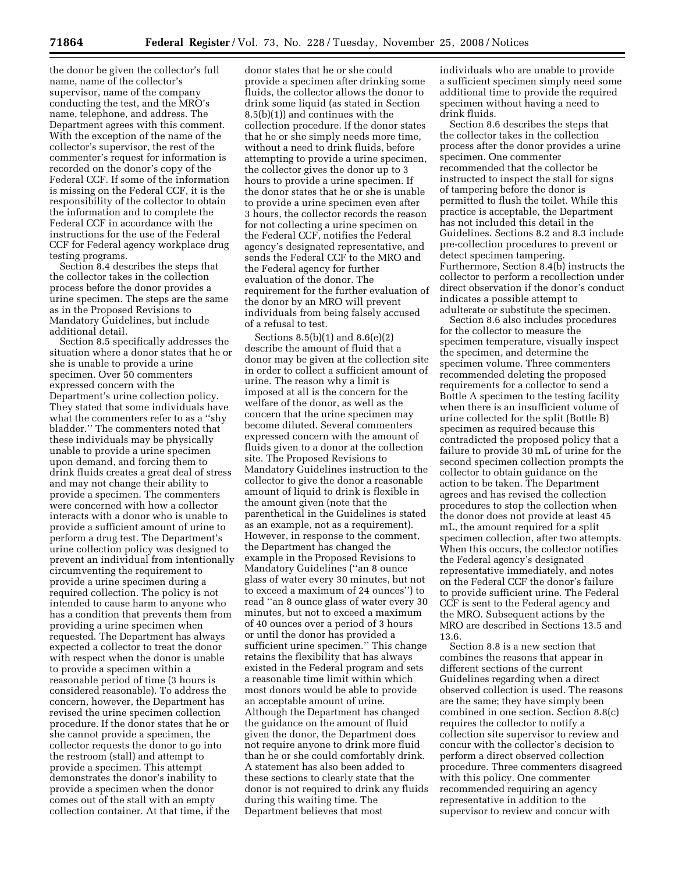the donor be given the collector's full name, name of the collector's supervisor, name of the company conducting the test, and the MRO's name, telephone, and address. The Department agrees with this comment. With the exception of the name of the collector's supervisor, the rest of the commenter's request for information is recorded on the donor's copy of the Federal CCF. If some of the information is missing on the Federal CCF, it is the responsibility of the collector to obtain the information and to complete the Federal CCF in accordance with the instructions for the use of the Federal CCF for Federal agency workplace drug testing programs.

Section 8.4 describes the steps that the collector takes in the collection process before the donor provides a urine specimen. The steps are the same as in the Proposed Revisions to Mandatory Guidelines, but include additional detail.

Section 8.5 specifically addresses the situation where a donor states that he or she is unable to provide a urine specimen. Over 50 commenters expressed concern with the Department's urine collection policy. They stated that some individuals have what the commenters refer to as a ''shy bladder.'' The commenters noted that these individuals may be physically unable to provide a urine specimen upon demand, and forcing them to drink fluids creates a great deal of stress and may not change their ability to provide a specimen. The commenters were concerned with how a collector interacts with a donor who is unable to provide a sufficient amount of urine to perform a drug test. The Department's urine collection policy was designed to prevent an individual from intentionally circumventing the requirement to provide a urine specimen during a required collection. The policy is not intended to cause harm to anyone who has a condition that prevents them from providing a urine specimen when requested. The Department has always expected a collector to treat the donor with respect when the donor is unable to provide a specimen within a reasonable period of time (3 hours is considered reasonable). To address the concern, however, the Department has revised the urine specimen collection procedure. If the donor states that he or she cannot provide a specimen, the collector requests the donor to go into the restroom (stall) and attempt to provide a specimen. This attempt demonstrates the donor's inability to provide a specimen when the donor comes out of the stall with an empty collection container. At that time, if the

donor states that he or she could provide a specimen after drinking some fluids, the collector allows the donor to drink some liquid (as stated in Section 8.5(b)(1)) and continues with the collection procedure. If the donor states that he or she simply needs more time, without a need to drink fluids, before attempting to provide a urine specimen, the collector gives the donor up to 3 hours to provide a urine specimen. If the donor states that he or she is unable to provide a urine specimen even after 3 hours, the collector records the reason for not collecting a urine specimen on the Federal CCF, notifies the Federal agency's designated representative, and sends the Federal CCF to the MRO and the Federal agency for further evaluation of the donor. The requirement for the further evaluation of the donor by an MRO will prevent individuals from being falsely accused of a refusal to test.

Sections 8.5(b)(1) and 8.6(e)(2) describe the amount of fluid that a donor may be given at the collection site in order to collect a sufficient amount of urine. The reason why a limit is imposed at all is the concern for the welfare of the donor, as well as the concern that the urine specimen may become diluted. Several commenters expressed concern with the amount of fluids given to a donor at the collection site. The Proposed Revisions to Mandatory Guidelines instruction to the collector to give the donor a reasonable amount of liquid to drink is flexible in the amount given (note that the parenthetical in the Guidelines is stated as an example, not as a requirement). However, in response to the comment, the Department has changed the example in the Proposed Revisions to Mandatory Guidelines (''an 8 ounce glass of water every 30 minutes, but not to exceed a maximum of 24 ounces'') to read ''an 8 ounce glass of water every 30 minutes, but not to exceed a maximum of 40 ounces over a period of 3 hours or until the donor has provided a sufficient urine specimen.'' This change retains the flexibility that has always existed in the Federal program and sets a reasonable time limit within which most donors would be able to provide an acceptable amount of urine. Although the Department has changed the guidance on the amount of fluid given the donor, the Department does not require anyone to drink more fluid than he or she could comfortably drink. A statement has also been added to these sections to clearly state that the donor is not required to drink any fluids during this waiting time. The Department believes that most

individuals who are unable to provide a sufficient specimen simply need some additional time to provide the required specimen without having a need to drink fluids.

Section 8.6 describes the steps that the collector takes in the collection process after the donor provides a urine specimen. One commenter recommended that the collector be instructed to inspect the stall for signs of tampering before the donor is permitted to flush the toilet. While this practice is acceptable, the Department has not included this detail in the Guidelines. Sections 8.2 and 8.3 include pre-collection procedures to prevent or detect specimen tampering. Furthermore, Section 8.4(b) instructs the collector to perform a recollection under direct observation if the donor's conduct indicates a possible attempt to adulterate or substitute the specimen.

Section 8.6 also includes procedures for the collector to measure the specimen temperature, visually inspect the specimen, and determine the specimen volume. Three commenters recommended deleting the proposed requirements for a collector to send a Bottle A specimen to the testing facility when there is an insufficient volume of urine collected for the split (Bottle B) specimen as required because this contradicted the proposed policy that a failure to provide 30 mL of urine for the second specimen collection prompts the collector to obtain guidance on the action to be taken. The Department agrees and has revised the collection procedures to stop the collection when the donor does not provide at least 45 mL, the amount required for a split specimen collection, after two attempts. When this occurs, the collector notifies the Federal agency's designated representative immediately, and notes on the Federal CCF the donor's failure to provide sufficient urine. The Federal CCF is sent to the Federal agency and the MRO. Subsequent actions by the MRO are described in Sections 13.5 and 13.6.

Section 8.8 is a new section that combines the reasons that appear in different sections of the current Guidelines regarding when a direct observed collection is used. The reasons are the same; they have simply been combined in one section. Section 8.8(c) requires the collector to notify a collection site supervisor to review and concur with the collector's decision to perform a direct observed collection procedure. Three commenters disagreed with this policy. One commenter recommended requiring an agency representative in addition to the supervisor to review and concur with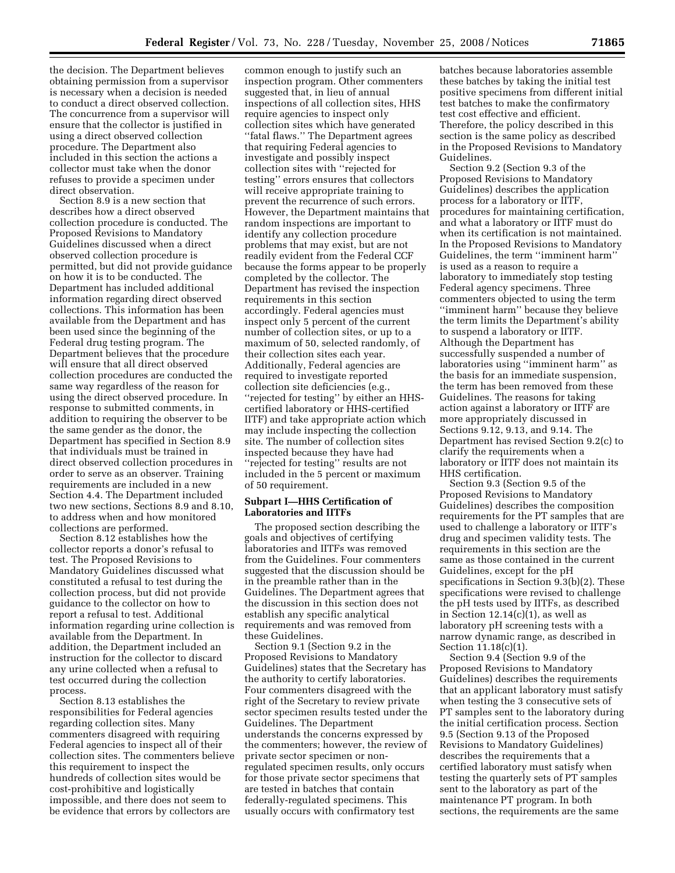the decision. The Department believes obtaining permission from a supervisor is necessary when a decision is needed to conduct a direct observed collection. The concurrence from a supervisor will ensure that the collector is justified in using a direct observed collection procedure. The Department also included in this section the actions a collector must take when the donor refuses to provide a specimen under direct observation.

Section 8.9 is a new section that describes how a direct observed collection procedure is conducted. The Proposed Revisions to Mandatory Guidelines discussed when a direct observed collection procedure is permitted, but did not provide guidance on how it is to be conducted. The Department has included additional information regarding direct observed collections. This information has been available from the Department and has been used since the beginning of the Federal drug testing program. The Department believes that the procedure will ensure that all direct observed collection procedures are conducted the same way regardless of the reason for using the direct observed procedure. In response to submitted comments, in addition to requiring the observer to be the same gender as the donor, the Department has specified in Section 8.9 that individuals must be trained in direct observed collection procedures in order to serve as an observer. Training requirements are included in a new Section 4.4. The Department included two new sections, Sections 8.9 and 8.10, to address when and how monitored collections are performed.

Section 8.12 establishes how the collector reports a donor's refusal to test. The Proposed Revisions to Mandatory Guidelines discussed what constituted a refusal to test during the collection process, but did not provide guidance to the collector on how to report a refusal to test. Additional information regarding urine collection is available from the Department. In addition, the Department included an instruction for the collector to discard any urine collected when a refusal to test occurred during the collection process.

Section 8.13 establishes the responsibilities for Federal agencies regarding collection sites. Many commenters disagreed with requiring Federal agencies to inspect all of their collection sites. The commenters believe this requirement to inspect the hundreds of collection sites would be cost-prohibitive and logistically impossible, and there does not seem to be evidence that errors by collectors are

common enough to justify such an inspection program. Other commenters suggested that, in lieu of annual inspections of all collection sites, HHS require agencies to inspect only collection sites which have generated ''fatal flaws.'' The Department agrees that requiring Federal agencies to investigate and possibly inspect collection sites with ''rejected for testing'' errors ensures that collectors will receive appropriate training to prevent the recurrence of such errors. However, the Department maintains that random inspections are important to identify any collection procedure problems that may exist, but are not readily evident from the Federal CCF because the forms appear to be properly completed by the collector. The Department has revised the inspection requirements in this section accordingly. Federal agencies must inspect only 5 percent of the current number of collection sites, or up to a maximum of 50, selected randomly, of their collection sites each year. Additionally, Federal agencies are required to investigate reported collection site deficiencies (e.g., ''rejected for testing'' by either an HHScertified laboratory or HHS-certified IITF) and take appropriate action which may include inspecting the collection site. The number of collection sites inspected because they have had ''rejected for testing'' results are not included in the 5 percent or maximum of 50 requirement.

# **Subpart I—HHS Certification of Laboratories and IITFs**

The proposed section describing the goals and objectives of certifying laboratories and IITFs was removed from the Guidelines. Four commenters suggested that the discussion should be in the preamble rather than in the Guidelines. The Department agrees that the discussion in this section does not establish any specific analytical requirements and was removed from these Guidelines.

Section 9.1 (Section 9.2 in the Proposed Revisions to Mandatory Guidelines) states that the Secretary has the authority to certify laboratories. Four commenters disagreed with the right of the Secretary to review private sector specimen results tested under the Guidelines. The Department understands the concerns expressed by the commenters; however, the review of private sector specimen or nonregulated specimen results, only occurs for those private sector specimens that are tested in batches that contain federally-regulated specimens. This usually occurs with confirmatory test

batches because laboratories assemble these batches by taking the initial test positive specimens from different initial test batches to make the confirmatory test cost effective and efficient. Therefore, the policy described in this section is the same policy as described in the Proposed Revisions to Mandatory Guidelines.

Section 9.2 (Section 9.3 of the Proposed Revisions to Mandatory Guidelines) describes the application process for a laboratory or IITF, procedures for maintaining certification, and what a laboratory or IITF must do when its certification is not maintained. In the Proposed Revisions to Mandatory Guidelines, the term ''imminent harm'' is used as a reason to require a laboratory to immediately stop testing Federal agency specimens. Three commenters objected to using the term ''imminent harm'' because they believe the term limits the Department's ability to suspend a laboratory or IITF. Although the Department has successfully suspended a number of laboratories using ''imminent harm'' as the basis for an immediate suspension, the term has been removed from these Guidelines. The reasons for taking action against a laboratory or IITF are more appropriately discussed in Sections 9.12, 9.13, and 9.14. The Department has revised Section 9.2(c) to clarify the requirements when a laboratory or IITF does not maintain its HHS certification.

Section 9.3 (Section 9.5 of the Proposed Revisions to Mandatory Guidelines) describes the composition requirements for the PT samples that are used to challenge a laboratory or IITF's drug and specimen validity tests. The requirements in this section are the same as those contained in the current Guidelines, except for the pH specifications in Section 9.3(b)(2). These specifications were revised to challenge the pH tests used by IITFs, as described in Section  $12.14(c)(1)$ , as well as laboratory pH screening tests with a narrow dynamic range, as described in Section 11.18(c)(1).

Section 9.4 (Section 9.9 of the Proposed Revisions to Mandatory Guidelines) describes the requirements that an applicant laboratory must satisfy when testing the 3 consecutive sets of PT samples sent to the laboratory during the initial certification process. Section 9.5 (Section 9.13 of the Proposed Revisions to Mandatory Guidelines) describes the requirements that a certified laboratory must satisfy when testing the quarterly sets of PT samples sent to the laboratory as part of the maintenance PT program. In both sections, the requirements are the same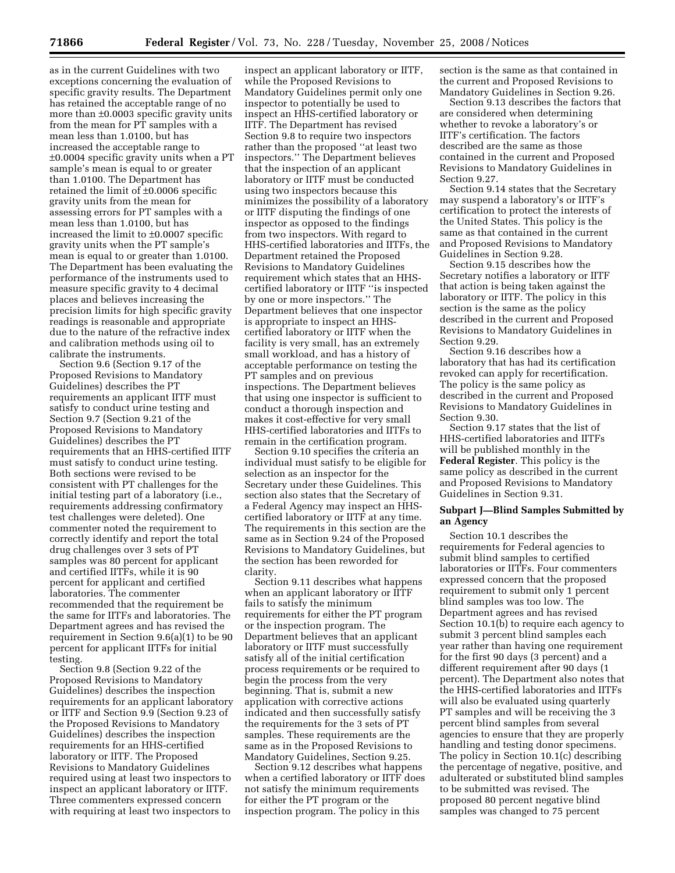as in the current Guidelines with two exceptions concerning the evaluation of specific gravity results. The Department has retained the acceptable range of no more than ±0.0003 specific gravity units from the mean for PT samples with a mean less than 1.0100, but has increased the acceptable range to ±0.0004 specific gravity units when a PT sample's mean is equal to or greater than 1.0100. The Department has retained the limit of ±0.0006 specific gravity units from the mean for assessing errors for PT samples with a mean less than 1.0100, but has increased the limit to ±0.0007 specific gravity units when the PT sample's mean is equal to or greater than 1.0100. The Department has been evaluating the performance of the instruments used to measure specific gravity to 4 decimal places and believes increasing the precision limits for high specific gravity readings is reasonable and appropriate due to the nature of the refractive index and calibration methods using oil to calibrate the instruments.

Section 9.6 (Section 9.17 of the Proposed Revisions to Mandatory Guidelines) describes the PT requirements an applicant IITF must satisfy to conduct urine testing and Section 9.7 (Section 9.21 of the Proposed Revisions to Mandatory Guidelines) describes the PT requirements that an HHS-certified IITF must satisfy to conduct urine testing. Both sections were revised to be consistent with PT challenges for the initial testing part of a laboratory (i.e., requirements addressing confirmatory test challenges were deleted). One commenter noted the requirement to correctly identify and report the total drug challenges over 3 sets of PT samples was 80 percent for applicant and certified IITFs, while it is 90 percent for applicant and certified laboratories. The commenter recommended that the requirement be the same for IITFs and laboratories. The Department agrees and has revised the requirement in Section 9.6(a)(1) to be 90 percent for applicant IITFs for initial testing.

Section 9.8 (Section 9.22 of the Proposed Revisions to Mandatory Guidelines) describes the inspection requirements for an applicant laboratory or IITF and Section 9.9 (Section 9.23 of the Proposed Revisions to Mandatory Guidelines) describes the inspection requirements for an HHS-certified laboratory or IITF. The Proposed Revisions to Mandatory Guidelines required using at least two inspectors to inspect an applicant laboratory or IITF. Three commenters expressed concern with requiring at least two inspectors to

inspect an applicant laboratory or IITF, while the Proposed Revisions to Mandatory Guidelines permit only one inspector to potentially be used to inspect an HHS-certified laboratory or IITF. The Department has revised Section 9.8 to require two inspectors rather than the proposed ''at least two inspectors.'' The Department believes that the inspection of an applicant laboratory or IITF must be conducted using two inspectors because this minimizes the possibility of a laboratory or IITF disputing the findings of one inspector as opposed to the findings from two inspectors. With regard to HHS-certified laboratories and IITFs, the Department retained the Proposed Revisions to Mandatory Guidelines requirement which states that an HHScertified laboratory or IITF ''is inspected by one or more inspectors.'' The Department believes that one inspector is appropriate to inspect an HHScertified laboratory or IITF when the facility is very small, has an extremely small workload, and has a history of acceptable performance on testing the PT samples and on previous inspections. The Department believes that using one inspector is sufficient to conduct a thorough inspection and makes it cost-effective for very small HHS-certified laboratories and IITFs to remain in the certification program.

Section 9.10 specifies the criteria an individual must satisfy to be eligible for selection as an inspector for the Secretary under these Guidelines. This section also states that the Secretary of a Federal Agency may inspect an HHScertified laboratory or IITF at any time. The requirements in this section are the same as in Section 9.24 of the Proposed Revisions to Mandatory Guidelines, but the section has been reworded for clarity.

Section 9.11 describes what happens when an applicant laboratory or IITF fails to satisfy the minimum requirements for either the PT program or the inspection program. The Department believes that an applicant laboratory or IITF must successfully satisfy all of the initial certification process requirements or be required to begin the process from the very beginning. That is, submit a new application with corrective actions indicated and then successfully satisfy the requirements for the 3 sets of PT samples. These requirements are the same as in the Proposed Revisions to Mandatory Guidelines, Section 9.25.

Section 9.12 describes what happens when a certified laboratory or IITF does not satisfy the minimum requirements for either the PT program or the inspection program. The policy in this

section is the same as that contained in the current and Proposed Revisions to Mandatory Guidelines in Section 9.26.

Section 9.13 describes the factors that are considered when determining whether to revoke a laboratory's or IITF's certification. The factors described are the same as those contained in the current and Proposed Revisions to Mandatory Guidelines in Section 9.27.

Section 9.14 states that the Secretary may suspend a laboratory's or IITF's certification to protect the interests of the United States. This policy is the same as that contained in the current and Proposed Revisions to Mandatory Guidelines in Section 9.28.

Section 9.15 describes how the Secretary notifies a laboratory or IITF that action is being taken against the laboratory or IITF. The policy in this section is the same as the policy described in the current and Proposed Revisions to Mandatory Guidelines in Section 9.29.

Section 9.16 describes how a laboratory that has had its certification revoked can apply for recertification. The policy is the same policy as described in the current and Proposed Revisions to Mandatory Guidelines in Section 9.30.

Section 9.17 states that the list of HHS-certified laboratories and IITFs will be published monthly in the **Federal Register**. This policy is the same policy as described in the current and Proposed Revisions to Mandatory Guidelines in Section 9.31.

## **Subpart J—Blind Samples Submitted by an Agency**

Section 10.1 describes the requirements for Federal agencies to submit blind samples to certified laboratories or IITFs. Four commenters expressed concern that the proposed requirement to submit only 1 percent blind samples was too low. The Department agrees and has revised Section 10.1(b) to require each agency to submit 3 percent blind samples each year rather than having one requirement for the first 90 days (3 percent) and a different requirement after 90 days (1 percent). The Department also notes that the HHS-certified laboratories and IITFs will also be evaluated using quarterly PT samples and will be receiving the 3 percent blind samples from several agencies to ensure that they are properly handling and testing donor specimens. The policy in Section 10.1(c) describing the percentage of negative, positive, and adulterated or substituted blind samples to be submitted was revised. The proposed 80 percent negative blind samples was changed to 75 percent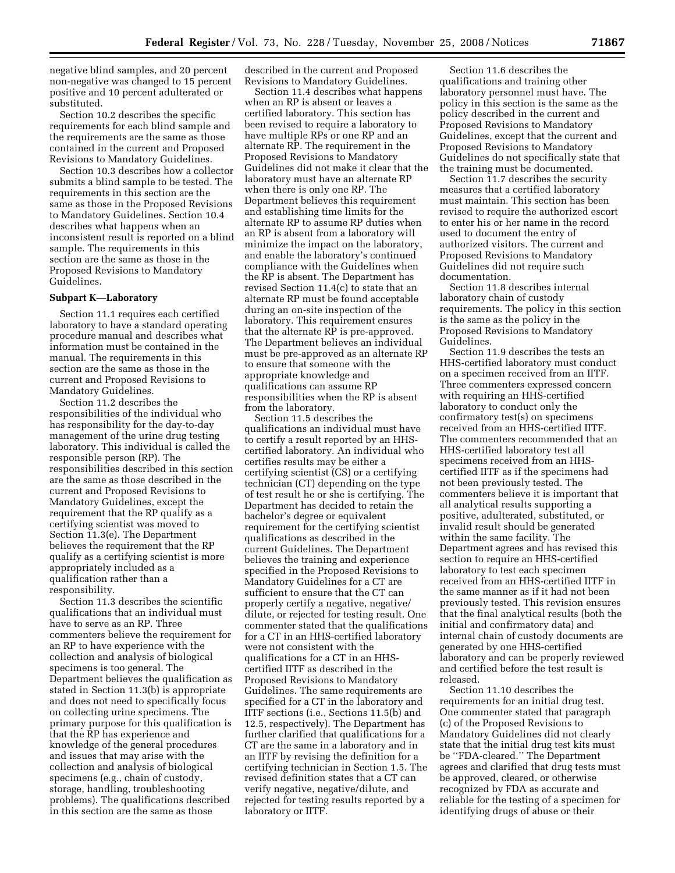negative blind samples, and 20 percent non-negative was changed to 15 percent positive and 10 percent adulterated or substituted.

Section 10.2 describes the specific requirements for each blind sample and the requirements are the same as those contained in the current and Proposed Revisions to Mandatory Guidelines.

Section 10.3 describes how a collector submits a blind sample to be tested. The requirements in this section are the same as those in the Proposed Revisions to Mandatory Guidelines. Section 10.4 describes what happens when an inconsistent result is reported on a blind sample. The requirements in this section are the same as those in the Proposed Revisions to Mandatory Guidelines.

#### **Subpart K—Laboratory**

Section 11.1 requires each certified laboratory to have a standard operating procedure manual and describes what information must be contained in the manual. The requirements in this section are the same as those in the current and Proposed Revisions to Mandatory Guidelines.

Section 11.2 describes the responsibilities of the individual who has responsibility for the day-to-day management of the urine drug testing laboratory. This individual is called the responsible person (RP). The responsibilities described in this section are the same as those described in the current and Proposed Revisions to Mandatory Guidelines, except the requirement that the RP qualify as a certifying scientist was moved to Section 11.3(e). The Department believes the requirement that the RP qualify as a certifying scientist is more appropriately included as a qualification rather than a responsibility.

Section 11.3 describes the scientific qualifications that an individual must have to serve as an RP. Three commenters believe the requirement for an RP to have experience with the collection and analysis of biological specimens is too general. The Department believes the qualification as stated in Section 11.3(b) is appropriate and does not need to specifically focus on collecting urine specimens. The primary purpose for this qualification is that the RP has experience and knowledge of the general procedures and issues that may arise with the collection and analysis of biological specimens (e.g., chain of custody, storage, handling, troubleshooting problems). The qualifications described in this section are the same as those

described in the current and Proposed Revisions to Mandatory Guidelines.

Section 11.4 describes what happens when an RP is absent or leaves a certified laboratory. This section has been revised to require a laboratory to have multiple RPs or one RP and an alternate RP. The requirement in the Proposed Revisions to Mandatory Guidelines did not make it clear that the laboratory must have an alternate RP when there is only one RP. The Department believes this requirement and establishing time limits for the alternate RP to assume RP duties when an RP is absent from a laboratory will minimize the impact on the laboratory, and enable the laboratory's continued compliance with the Guidelines when the RP is absent. The Department has revised Section 11.4(c) to state that an alternate RP must be found acceptable during an on-site inspection of the laboratory. This requirement ensures that the alternate RP is pre-approved. The Department believes an individual must be pre-approved as an alternate RP to ensure that someone with the appropriate knowledge and qualifications can assume RP responsibilities when the RP is absent from the laboratory.

Section 11.5 describes the qualifications an individual must have to certify a result reported by an HHScertified laboratory. An individual who certifies results may be either a certifying scientist (CS) or a certifying technician (CT) depending on the type of test result he or she is certifying. The Department has decided to retain the bachelor's degree or equivalent requirement for the certifying scientist qualifications as described in the current Guidelines. The Department believes the training and experience specified in the Proposed Revisions to Mandatory Guidelines for a CT are sufficient to ensure that the CT can properly certify a negative, negative/ dilute, or rejected for testing result. One commenter stated that the qualifications for a CT in an HHS-certified laboratory were not consistent with the qualifications for a CT in an HHScertified IITF as described in the Proposed Revisions to Mandatory Guidelines. The same requirements are specified for a CT in the laboratory and IITF sections (i.e., Sections 11.5(b) and 12.5, respectively). The Department has further clarified that qualifications for a CT are the same in a laboratory and in an IITF by revising the definition for a certifying technician in Section 1.5. The revised definition states that a CT can verify negative, negative/dilute, and rejected for testing results reported by a laboratory or IITF.

Section 11.6 describes the qualifications and training other laboratory personnel must have. The policy in this section is the same as the policy described in the current and Proposed Revisions to Mandatory Guidelines, except that the current and Proposed Revisions to Mandatory Guidelines do not specifically state that the training must be documented.

Section 11.7 describes the security measures that a certified laboratory must maintain. This section has been revised to require the authorized escort to enter his or her name in the record used to document the entry of authorized visitors. The current and Proposed Revisions to Mandatory Guidelines did not require such documentation.

Section 11.8 describes internal laboratory chain of custody requirements. The policy in this section is the same as the policy in the Proposed Revisions to Mandatory Guidelines.

Section 11.9 describes the tests an HHS-certified laboratory must conduct on a specimen received from an IITF. Three commenters expressed concern with requiring an HHS-certified laboratory to conduct only the confirmatory test(s) on specimens received from an HHS-certified IITF. The commenters recommended that an HHS-certified laboratory test all specimens received from an HHScertified IITF as if the specimens had not been previously tested. The commenters believe it is important that all analytical results supporting a positive, adulterated, substituted, or invalid result should be generated within the same facility. The Department agrees and has revised this section to require an HHS-certified laboratory to test each specimen received from an HHS-certified IITF in the same manner as if it had not been previously tested. This revision ensures that the final analytical results (both the initial and confirmatory data) and internal chain of custody documents are generated by one HHS-certified laboratory and can be properly reviewed and certified before the test result is released.

Section 11.10 describes the requirements for an initial drug test. One commenter stated that paragraph (c) of the Proposed Revisions to Mandatory Guidelines did not clearly state that the initial drug test kits must be ''FDA-cleared.'' The Department agrees and clarified that drug tests must be approved, cleared, or otherwise recognized by FDA as accurate and reliable for the testing of a specimen for identifying drugs of abuse or their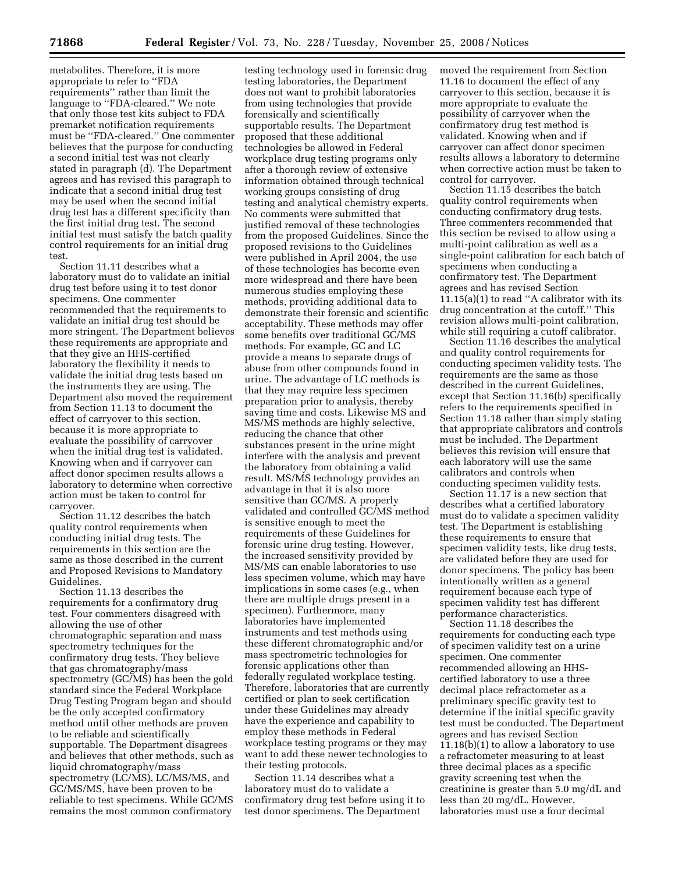metabolites. Therefore, it is more appropriate to refer to ''FDA requirements'' rather than limit the language to ''FDA-cleared.'' We note that only those test kits subject to FDA premarket notification requirements must be ''FDA-cleared.'' One commenter believes that the purpose for conducting a second initial test was not clearly stated in paragraph (d). The Department agrees and has revised this paragraph to indicate that a second initial drug test may be used when the second initial drug test has a different specificity than the first initial drug test. The second initial test must satisfy the batch quality control requirements for an initial drug test.

Section 11.11 describes what a laboratory must do to validate an initial drug test before using it to test donor specimens. One commenter recommended that the requirements to validate an initial drug test should be more stringent. The Department believes these requirements are appropriate and that they give an HHS-certified laboratory the flexibility it needs to validate the initial drug tests based on the instruments they are using. The Department also moved the requirement from Section 11.13 to document the effect of carryover to this section, because it is more appropriate to evaluate the possibility of carryover when the initial drug test is validated. Knowing when and if carryover can affect donor specimen results allows a laboratory to determine when corrective action must be taken to control for carryover.

Section 11.12 describes the batch quality control requirements when conducting initial drug tests. The requirements in this section are the same as those described in the current and Proposed Revisions to Mandatory Guidelines.

Section 11.13 describes the requirements for a confirmatory drug test. Four commenters disagreed with allowing the use of other chromatographic separation and mass spectrometry techniques for the confirmatory drug tests. They believe that gas chromatography/mass spectrometry (GC/MS) has been the gold standard since the Federal Workplace Drug Testing Program began and should be the only accepted confirmatory method until other methods are proven to be reliable and scientifically supportable. The Department disagrees and believes that other methods, such as liquid chromatography/mass spectrometry (LC/MS), LC/MS/MS, and GC/MS/MS, have been proven to be reliable to test specimens. While GC/MS remains the most common confirmatory

testing technology used in forensic drug testing laboratories, the Department does not want to prohibit laboratories from using technologies that provide forensically and scientifically supportable results. The Department proposed that these additional technologies be allowed in Federal workplace drug testing programs only after a thorough review of extensive information obtained through technical working groups consisting of drug testing and analytical chemistry experts. No comments were submitted that justified removal of these technologies from the proposed Guidelines. Since the proposed revisions to the Guidelines were published in April 2004, the use of these technologies has become even more widespread and there have been numerous studies employing these methods, providing additional data to demonstrate their forensic and scientific acceptability. These methods may offer some benefits over traditional GC/MS methods. For example, GC and LC provide a means to separate drugs of abuse from other compounds found in urine. The advantage of LC methods is that they may require less specimen preparation prior to analysis, thereby saving time and costs. Likewise MS and MS/MS methods are highly selective, reducing the chance that other substances present in the urine might interfere with the analysis and prevent the laboratory from obtaining a valid result. MS/MS technology provides an advantage in that it is also more sensitive than GC/MS. A properly validated and controlled GC/MS method is sensitive enough to meet the requirements of these Guidelines for forensic urine drug testing. However, the increased sensitivity provided by MS/MS can enable laboratories to use less specimen volume, which may have implications in some cases (e.g., when there are multiple drugs present in a specimen). Furthermore, many laboratories have implemented instruments and test methods using these different chromatographic and/or mass spectrometric technologies for forensic applications other than federally regulated workplace testing. Therefore, laboratories that are currently certified or plan to seek certification under these Guidelines may already have the experience and capability to employ these methods in Federal workplace testing programs or they may want to add these newer technologies to their testing protocols.

Section 11.14 describes what a laboratory must do to validate a confirmatory drug test before using it to test donor specimens. The Department

moved the requirement from Section 11.16 to document the effect of any carryover to this section, because it is more appropriate to evaluate the possibility of carryover when the confirmatory drug test method is validated. Knowing when and if carryover can affect donor specimen results allows a laboratory to determine when corrective action must be taken to control for carryover.

Section 11.15 describes the batch quality control requirements when conducting confirmatory drug tests. Three commenters recommended that this section be revised to allow using a multi-point calibration as well as a single-point calibration for each batch of specimens when conducting a confirmatory test. The Department agrees and has revised Section 11.15(a)(1) to read ''A calibrator with its drug concentration at the cutoff.'' This revision allows multi-point calibration, while still requiring a cutoff calibrator.

Section 11.16 describes the analytical and quality control requirements for conducting specimen validity tests. The requirements are the same as those described in the current Guidelines, except that Section 11.16(b) specifically refers to the requirements specified in Section 11.18 rather than simply stating that appropriate calibrators and controls must be included. The Department believes this revision will ensure that each laboratory will use the same calibrators and controls when conducting specimen validity tests.

Section 11.17 is a new section that describes what a certified laboratory must do to validate a specimen validity test. The Department is establishing these requirements to ensure that specimen validity tests, like drug tests, are validated before they are used for donor specimens. The policy has been intentionally written as a general requirement because each type of specimen validity test has different performance characteristics.

Section 11.18 describes the requirements for conducting each type of specimen validity test on a urine specimen. One commenter recommended allowing an HHScertified laboratory to use a three decimal place refractometer as a preliminary specific gravity test to determine if the initial specific gravity test must be conducted. The Department agrees and has revised Section 11.18(b)(1) to allow a laboratory to use a refractometer measuring to at least three decimal places as a specific gravity screening test when the creatinine is greater than 5.0 mg/dL and less than 20 mg/dL. However, laboratories must use a four decimal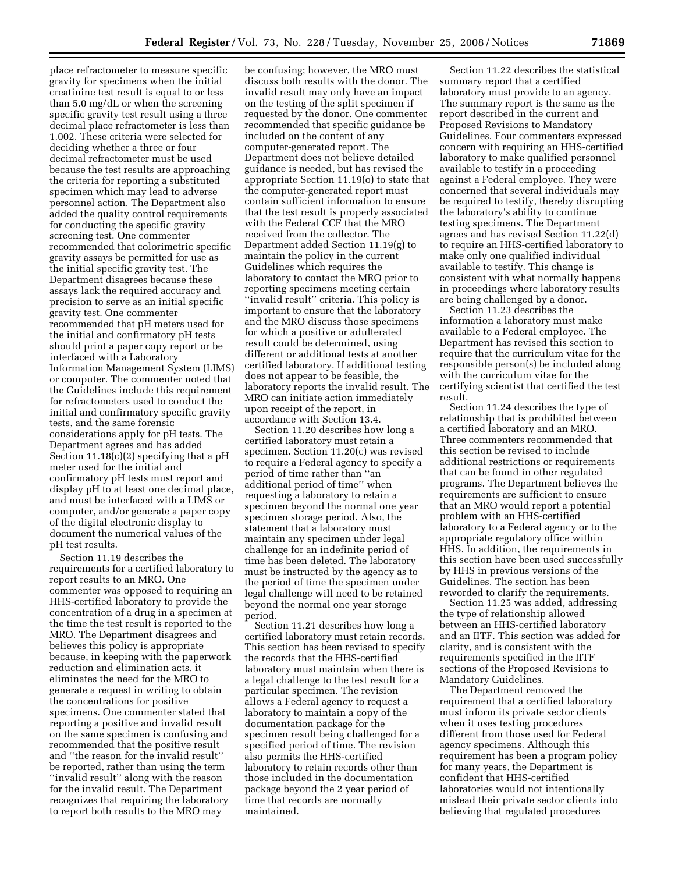place refractometer to measure specific gravity for specimens when the initial creatinine test result is equal to or less than 5.0 mg/dL or when the screening specific gravity test result using a three decimal place refractometer is less than 1.002. These criteria were selected for deciding whether a three or four decimal refractometer must be used because the test results are approaching the criteria for reporting a substituted specimen which may lead to adverse personnel action. The Department also added the quality control requirements for conducting the specific gravity screening test. One commenter recommended that colorimetric specific gravity assays be permitted for use as the initial specific gravity test. The Department disagrees because these assays lack the required accuracy and precision to serve as an initial specific gravity test. One commenter recommended that pH meters used for the initial and confirmatory pH tests should print a paper copy report or be interfaced with a Laboratory Information Management System (LIMS) or computer. The commenter noted that the Guidelines include this requirement for refractometers used to conduct the initial and confirmatory specific gravity tests, and the same forensic considerations apply for pH tests. The Department agrees and has added Section 11.18(c)(2) specifying that a pH meter used for the initial and confirmatory pH tests must report and display pH to at least one decimal place, and must be interfaced with a LIMS or computer, and/or generate a paper copy of the digital electronic display to document the numerical values of the pH test results.

Section 11.19 describes the requirements for a certified laboratory to report results to an MRO. One commenter was opposed to requiring an HHS-certified laboratory to provide the concentration of a drug in a specimen at the time the test result is reported to the MRO. The Department disagrees and believes this policy is appropriate because, in keeping with the paperwork reduction and elimination acts, it eliminates the need for the MRO to generate a request in writing to obtain the concentrations for positive specimens. One commenter stated that reporting a positive and invalid result on the same specimen is confusing and recommended that the positive result and ''the reason for the invalid result'' be reported, rather than using the term ''invalid result'' along with the reason for the invalid result. The Department recognizes that requiring the laboratory to report both results to the MRO may

be confusing; however, the MRO must discuss both results with the donor. The invalid result may only have an impact on the testing of the split specimen if requested by the donor. One commenter recommended that specific guidance be included on the content of any computer-generated report. The Department does not believe detailed guidance is needed, but has revised the appropriate Section 11.19(o) to state that the computer-generated report must contain sufficient information to ensure that the test result is properly associated with the Federal CCF that the MRO received from the collector. The Department added Section 11.19(g) to maintain the policy in the current Guidelines which requires the laboratory to contact the MRO prior to reporting specimens meeting certain ''invalid result'' criteria. This policy is important to ensure that the laboratory and the MRO discuss those specimens for which a positive or adulterated result could be determined, using different or additional tests at another certified laboratory. If additional testing does not appear to be feasible, the laboratory reports the invalid result. The MRO can initiate action immediately upon receipt of the report, in accordance with Section 13.4.

Section 11.20 describes how long a certified laboratory must retain a specimen. Section 11.20(c) was revised to require a Federal agency to specify a period of time rather than ''an additional period of time'' when requesting a laboratory to retain a specimen beyond the normal one year specimen storage period. Also, the statement that a laboratory must maintain any specimen under legal challenge for an indefinite period of time has been deleted. The laboratory must be instructed by the agency as to the period of time the specimen under legal challenge will need to be retained beyond the normal one year storage period.

Section 11.21 describes how long a certified laboratory must retain records. This section has been revised to specify the records that the HHS-certified laboratory must maintain when there is a legal challenge to the test result for a particular specimen. The revision allows a Federal agency to request a laboratory to maintain a copy of the documentation package for the specimen result being challenged for a specified period of time. The revision also permits the HHS-certified laboratory to retain records other than those included in the documentation package beyond the 2 year period of time that records are normally maintained.

Section 11.22 describes the statistical summary report that a certified laboratory must provide to an agency. The summary report is the same as the report described in the current and Proposed Revisions to Mandatory Guidelines. Four commenters expressed concern with requiring an HHS-certified laboratory to make qualified personnel available to testify in a proceeding against a Federal employee. They were concerned that several individuals may be required to testify, thereby disrupting the laboratory's ability to continue testing specimens. The Department agrees and has revised Section 11.22(d) to require an HHS-certified laboratory to make only one qualified individual available to testify. This change is consistent with what normally happens in proceedings where laboratory results are being challenged by a donor.

Section 11.23 describes the information a laboratory must make available to a Federal employee. The Department has revised this section to require that the curriculum vitae for the responsible person(s) be included along with the curriculum vitae for the certifying scientist that certified the test result.

Section 11.24 describes the type of relationship that is prohibited between a certified laboratory and an MRO. Three commenters recommended that this section be revised to include additional restrictions or requirements that can be found in other regulated programs. The Department believes the requirements are sufficient to ensure that an MRO would report a potential problem with an HHS-certified laboratory to a Federal agency or to the appropriate regulatory office within HHS. In addition, the requirements in this section have been used successfully by HHS in previous versions of the Guidelines. The section has been reworded to clarify the requirements.

Section 11.25 was added, addressing the type of relationship allowed between an HHS-certified laboratory and an IITF. This section was added for clarity, and is consistent with the requirements specified in the IITF sections of the Proposed Revisions to Mandatory Guidelines.

The Department removed the requirement that a certified laboratory must inform its private sector clients when it uses testing procedures different from those used for Federal agency specimens. Although this requirement has been a program policy for many years, the Department is confident that HHS-certified laboratories would not intentionally mislead their private sector clients into believing that regulated procedures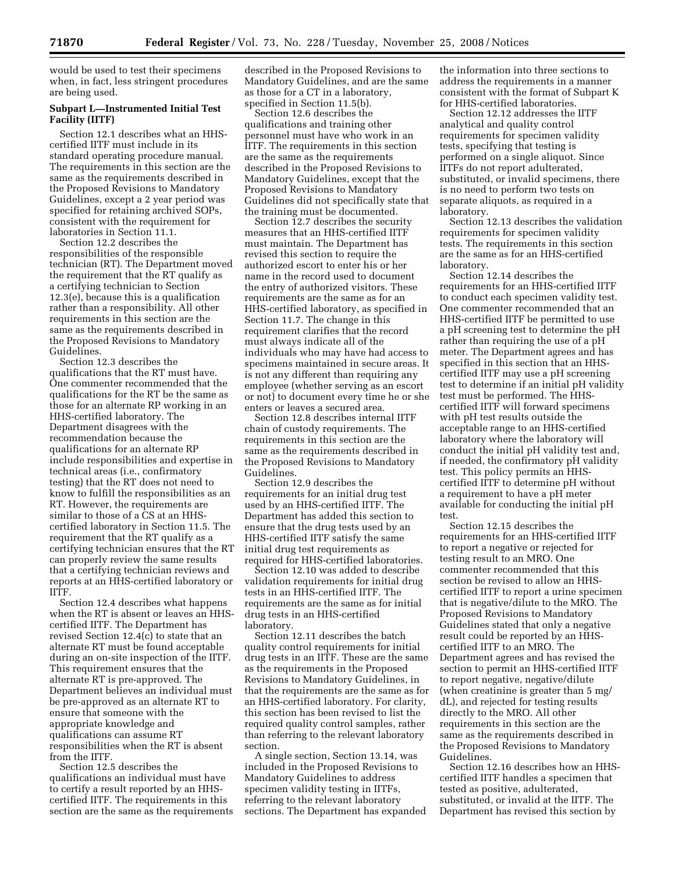would be used to test their specimens when, in fact, less stringent procedures are being used.

# **Subpart L—Instrumented Initial Test Facility (IITF)**

Section 12.1 describes what an HHScertified IITF must include in its standard operating procedure manual. The requirements in this section are the same as the requirements described in the Proposed Revisions to Mandatory Guidelines, except a 2 year period was specified for retaining archived SOPs, consistent with the requirement for laboratories in Section 11.1.

Section 12.2 describes the responsibilities of the responsible technician (RT). The Department moved the requirement that the RT qualify as a certifying technician to Section 12.3(e), because this is a qualification rather than a responsibility. All other requirements in this section are the same as the requirements described in the Proposed Revisions to Mandatory Guidelines.

Section 12.3 describes the qualifications that the RT must have. One commenter recommended that the qualifications for the RT be the same as those for an alternate RP working in an HHS-certified laboratory. The Department disagrees with the recommendation because the qualifications for an alternate RP include responsibilities and expertise in technical areas (i.e., confirmatory testing) that the RT does not need to know to fulfill the responsibilities as an RT. However, the requirements are similar to those of a CS at an HHScertified laboratory in Section 11.5. The requirement that the RT qualify as a certifying technician ensures that the RT can properly review the same results that a certifying technician reviews and reports at an HHS-certified laboratory or IITF.

Section 12.4 describes what happens when the RT is absent or leaves an HHScertified IITF. The Department has revised Section 12.4(c) to state that an alternate RT must be found acceptable during an on-site inspection of the IITF. This requirement ensures that the alternate RT is pre-approved. The Department believes an individual must be pre-approved as an alternate RT to ensure that someone with the appropriate knowledge and qualifications can assume RT responsibilities when the RT is absent from the IITF.

Section 12.5 describes the qualifications an individual must have to certify a result reported by an HHScertified IITF. The requirements in this section are the same as the requirements described in the Proposed Revisions to Mandatory Guidelines, and are the same as those for a CT in a laboratory, specified in Section 11.5(b).

Section 12.6 describes the qualifications and training other personnel must have who work in an IITF. The requirements in this section are the same as the requirements described in the Proposed Revisions to Mandatory Guidelines, except that the Proposed Revisions to Mandatory Guidelines did not specifically state that the training must be documented.

Section 12.7 describes the security measures that an HHS-certified IITF must maintain. The Department has revised this section to require the authorized escort to enter his or her name in the record used to document the entry of authorized visitors. These requirements are the same as for an HHS-certified laboratory, as specified in Section 11.7. The change in this requirement clarifies that the record must always indicate all of the individuals who may have had access to specimens maintained in secure areas. It is not any different than requiring any employee (whether serving as an escort or not) to document every time he or she enters or leaves a secured area.

Section 12.8 describes internal IITF chain of custody requirements. The requirements in this section are the same as the requirements described in the Proposed Revisions to Mandatory Guidelines.

Section 12.9 describes the requirements for an initial drug test used by an HHS-certified IITF. The Department has added this section to ensure that the drug tests used by an HHS-certified IITF satisfy the same initial drug test requirements as required for HHS-certified laboratories.

Section 12.10 was added to describe validation requirements for initial drug tests in an HHS-certified IITF. The requirements are the same as for initial drug tests in an HHS-certified laboratory.

Section 12.11 describes the batch quality control requirements for initial drug tests in an IITF. These are the same as the requirements in the Proposed Revisions to Mandatory Guidelines, in that the requirements are the same as for an HHS-certified laboratory. For clarity, this section has been revised to list the required quality control samples, rather than referring to the relevant laboratory section.

A single section, Section 13.14, was included in the Proposed Revisions to Mandatory Guidelines to address specimen validity testing in IITFs, referring to the relevant laboratory sections. The Department has expanded

the information into three sections to address the requirements in a manner consistent with the format of Subpart K for HHS-certified laboratories.

Section 12.12 addresses the IITF analytical and quality control requirements for specimen validity tests, specifying that testing is performed on a single aliquot. Since IITFs do not report adulterated, substituted, or invalid specimens, there is no need to perform two tests on separate aliquots, as required in a laboratory.

Section 12.13 describes the validation requirements for specimen validity tests. The requirements in this section are the same as for an HHS-certified laboratory.

Section 12.14 describes the requirements for an HHS-certified IITF to conduct each specimen validity test. One commenter recommended that an HHS-certified IITF be permitted to use a pH screening test to determine the pH rather than requiring the use of a pH meter. The Department agrees and has specified in this section that an HHScertified IITF may use a pH screening test to determine if an initial pH validity test must be performed. The HHScertified IITF will forward specimens with pH test results outside the acceptable range to an HHS-certified laboratory where the laboratory will conduct the initial pH validity test and, if needed, the confirmatory pH validity test. This policy permits an HHScertified IITF to determine pH without a requirement to have a pH meter available for conducting the initial pH test.

Section 12.15 describes the requirements for an HHS-certified IITF to report a negative or rejected for testing result to an MRO. One commenter recommended that this section be revised to allow an HHScertified IITF to report a urine specimen that is negative/dilute to the MRO. The Proposed Revisions to Mandatory Guidelines stated that only a negative result could be reported by an HHScertified IITF to an MRO. The Department agrees and has revised the section to permit an HHS-certified IITF to report negative, negative/dilute (when creatinine is greater than 5 mg/ dL), and rejected for testing results directly to the MRO. All other requirements in this section are the same as the requirements described in the Proposed Revisions to Mandatory Guidelines.

Section 12.16 describes how an HHScertified IITF handles a specimen that tested as positive, adulterated, substituted, or invalid at the IITF. The Department has revised this section by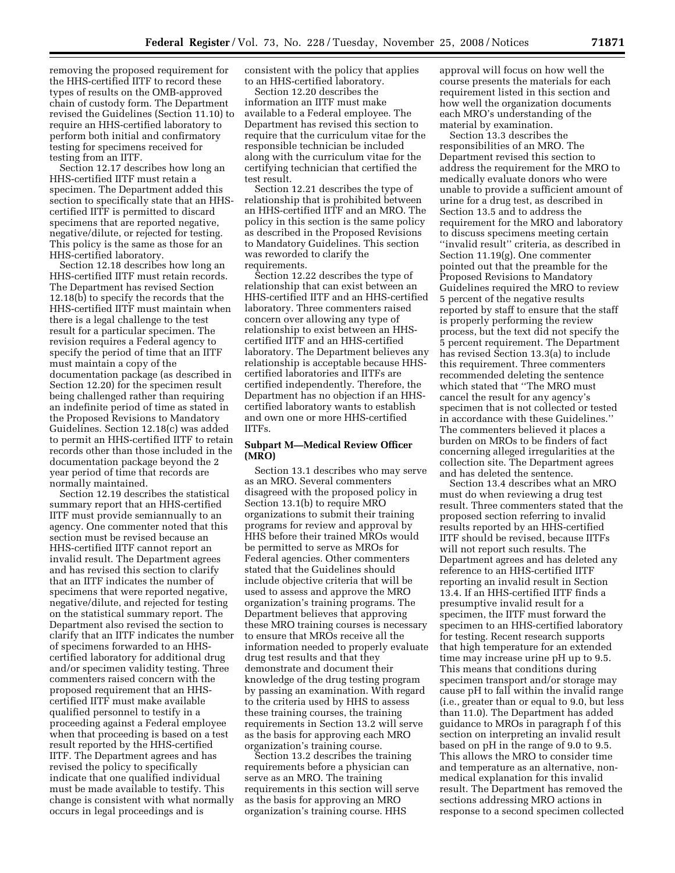removing the proposed requirement for the HHS-certified IITF to record these types of results on the OMB-approved chain of custody form. The Department revised the Guidelines (Section 11.10) to require an HHS-certified laboratory to perform both initial and confirmatory testing for specimens received for testing from an IITF.

Section 12.17 describes how long an HHS-certified IITF must retain a specimen. The Department added this section to specifically state that an HHScertified IITF is permitted to discard specimens that are reported negative, negative/dilute, or rejected for testing. This policy is the same as those for an HHS-certified laboratory.

Section 12.18 describes how long an HHS-certified IITF must retain records. The Department has revised Section 12.18(b) to specify the records that the HHS-certified IITF must maintain when there is a legal challenge to the test result for a particular specimen. The revision requires a Federal agency to specify the period of time that an IITF must maintain a copy of the documentation package (as described in Section 12.20) for the specimen result being challenged rather than requiring an indefinite period of time as stated in the Proposed Revisions to Mandatory Guidelines. Section 12.18(c) was added to permit an HHS-certified IITF to retain records other than those included in the documentation package beyond the 2 year period of time that records are normally maintained.

Section 12.19 describes the statistical summary report that an HHS-certified IITF must provide semiannually to an agency. One commenter noted that this section must be revised because an HHS-certified IITF cannot report an invalid result. The Department agrees and has revised this section to clarify that an IITF indicates the number of specimens that were reported negative, negative/dilute, and rejected for testing on the statistical summary report. The Department also revised the section to clarify that an IITF indicates the number of specimens forwarded to an HHScertified laboratory for additional drug and/or specimen validity testing. Three commenters raised concern with the proposed requirement that an HHScertified IITF must make available qualified personnel to testify in a proceeding against a Federal employee when that proceeding is based on a test result reported by the HHS-certified IITF. The Department agrees and has revised the policy to specifically indicate that one qualified individual must be made available to testify. This change is consistent with what normally occurs in legal proceedings and is

consistent with the policy that applies to an HHS-certified laboratory.

Section 12.20 describes the information an IITF must make available to a Federal employee. The Department has revised this section to require that the curriculum vitae for the responsible technician be included along with the curriculum vitae for the certifying technician that certified the test result.

Section 12.21 describes the type of relationship that is prohibited between an HHS-certified IITF and an MRO. The policy in this section is the same policy as described in the Proposed Revisions to Mandatory Guidelines. This section was reworded to clarify the requirements.

Section 12.22 describes the type of relationship that can exist between an HHS-certified IITF and an HHS-certified laboratory. Three commenters raised concern over allowing any type of relationship to exist between an HHScertified IITF and an HHS-certified laboratory. The Department believes any relationship is acceptable because HHScertified laboratories and IITFs are certified independently. Therefore, the Department has no objection if an HHScertified laboratory wants to establish and own one or more HHS-certified IITFs.

## **Subpart M—Medical Review Officer (MRO)**

Section 13.1 describes who may serve as an MRO. Several commenters disagreed with the proposed policy in Section 13.1(b) to require MRO organizations to submit their training programs for review and approval by HHS before their trained MROs would be permitted to serve as MROs for Federal agencies. Other commenters stated that the Guidelines should include objective criteria that will be used to assess and approve the MRO organization's training programs. The Department believes that approving these MRO training courses is necessary to ensure that MROs receive all the information needed to properly evaluate drug test results and that they demonstrate and document their knowledge of the drug testing program by passing an examination. With regard to the criteria used by HHS to assess these training courses, the training requirements in Section 13.2 will serve as the basis for approving each MRO organization's training course.

Section 13.2 describes the training requirements before a physician can serve as an MRO. The training requirements in this section will serve as the basis for approving an MRO organization's training course. HHS

approval will focus on how well the course presents the materials for each requirement listed in this section and how well the organization documents each MRO's understanding of the material by examination.

Section 13.3 describes the responsibilities of an MRO. The Department revised this section to address the requirement for the MRO to medically evaluate donors who were unable to provide a sufficient amount of urine for a drug test, as described in Section 13.5 and to address the requirement for the MRO and laboratory to discuss specimens meeting certain ''invalid result'' criteria, as described in Section 11.19(g). One commenter pointed out that the preamble for the Proposed Revisions to Mandatory Guidelines required the MRO to review 5 percent of the negative results reported by staff to ensure that the staff is properly performing the review process, but the text did not specify the 5 percent requirement. The Department has revised Section 13.3(a) to include this requirement. Three commenters recommended deleting the sentence which stated that ''The MRO must cancel the result for any agency's specimen that is not collected or tested in accordance with these Guidelines.'' The commenters believed it places a burden on MROs to be finders of fact concerning alleged irregularities at the collection site. The Department agrees and has deleted the sentence.

Section 13.4 describes what an MRO must do when reviewing a drug test result. Three commenters stated that the proposed section referring to invalid results reported by an HHS-certified IITF should be revised, because IITFs will not report such results. The Department agrees and has deleted any reference to an HHS-certified IITF reporting an invalid result in Section 13.4. If an HHS-certified IITF finds a presumptive invalid result for a specimen, the IITF must forward the specimen to an HHS-certified laboratory for testing. Recent research supports that high temperature for an extended time may increase urine pH up to 9.5. This means that conditions during specimen transport and/or storage may cause pH to fall within the invalid range (i.e., greater than or equal to 9.0, but less than 11.0). The Department has added guidance to MROs in paragraph f of this section on interpreting an invalid result based on pH in the range of 9.0 to 9.5. This allows the MRO to consider time and temperature as an alternative, nonmedical explanation for this invalid result. The Department has removed the sections addressing MRO actions in response to a second specimen collected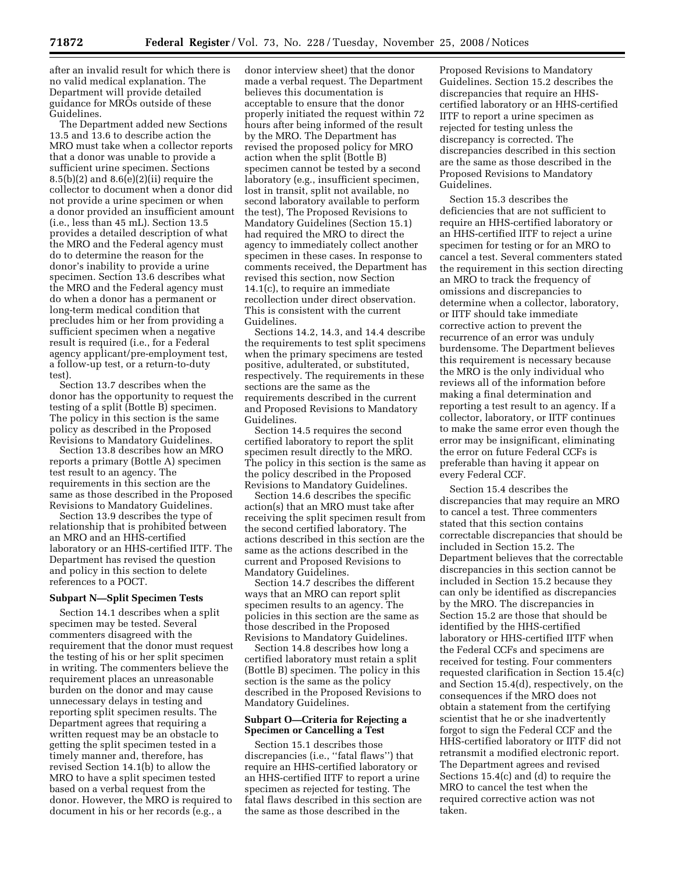after an invalid result for which there is no valid medical explanation. The Department will provide detailed guidance for MROs outside of these Guidelines.

The Department added new Sections 13.5 and 13.6 to describe action the MRO must take when a collector reports that a donor was unable to provide a sufficient urine specimen. Sections 8.5(b)(2) and 8.6(e)(2)(ii) require the collector to document when a donor did not provide a urine specimen or when a donor provided an insufficient amount (i.e., less than 45 mL). Section 13.5 provides a detailed description of what the MRO and the Federal agency must do to determine the reason for the donor's inability to provide a urine specimen. Section 13.6 describes what the MRO and the Federal agency must do when a donor has a permanent or long-term medical condition that precludes him or her from providing a sufficient specimen when a negative result is required (i.e., for a Federal agency applicant/pre-employment test, a follow-up test, or a return-to-duty test).

Section 13.7 describes when the donor has the opportunity to request the testing of a split (Bottle B) specimen. The policy in this section is the same policy as described in the Proposed Revisions to Mandatory Guidelines.

Section 13.8 describes how an MRO reports a primary (Bottle A) specimen test result to an agency. The requirements in this section are the same as those described in the Proposed Revisions to Mandatory Guidelines.

Section 13.9 describes the type of relationship that is prohibited between an MRO and an HHS-certified laboratory or an HHS-certified IITF. The Department has revised the question and policy in this section to delete references to a POCT.

## **Subpart N—Split Specimen Tests**

Section 14.1 describes when a split specimen may be tested. Several commenters disagreed with the requirement that the donor must request the testing of his or her split specimen in writing. The commenters believe the requirement places an unreasonable burden on the donor and may cause unnecessary delays in testing and reporting split specimen results. The Department agrees that requiring a written request may be an obstacle to getting the split specimen tested in a timely manner and, therefore, has revised Section 14.1(b) to allow the MRO to have a split specimen tested based on a verbal request from the donor. However, the MRO is required to document in his or her records (e.g., a

donor interview sheet) that the donor made a verbal request. The Department believes this documentation is acceptable to ensure that the donor properly initiated the request within 72 hours after being informed of the result by the MRO. The Department has revised the proposed policy for MRO action when the split (Bottle B) specimen cannot be tested by a second laboratory (e.g., insufficient specimen, lost in transit, split not available, no second laboratory available to perform the test), The Proposed Revisions to Mandatory Guidelines (Section 15.1) had required the MRO to direct the agency to immediately collect another specimen in these cases. In response to comments received, the Department has revised this section, now Section 14.1(c), to require an immediate recollection under direct observation. This is consistent with the current Guidelines.

Sections 14.2, 14.3, and 14.4 describe the requirements to test split specimens when the primary specimens are tested positive, adulterated, or substituted, respectively. The requirements in these sections are the same as the requirements described in the current and Proposed Revisions to Mandatory Guidelines.

Section 14.5 requires the second certified laboratory to report the split specimen result directly to the MRO. The policy in this section is the same as the policy described in the Proposed Revisions to Mandatory Guidelines.

Section 14.6 describes the specific action(s) that an MRO must take after receiving the split specimen result from the second certified laboratory. The actions described in this section are the same as the actions described in the current and Proposed Revisions to Mandatory Guidelines.

Section 14.7 describes the different ways that an MRO can report split specimen results to an agency. The policies in this section are the same as those described in the Proposed Revisions to Mandatory Guidelines.

Section 14.8 describes how long a certified laboratory must retain a split (Bottle B) specimen. The policy in this section is the same as the policy described in the Proposed Revisions to Mandatory Guidelines.

# **Subpart O—Criteria for Rejecting a Specimen or Cancelling a Test**

Section 15.1 describes those discrepancies (i.e., ''fatal flaws'') that require an HHS-certified laboratory or an HHS-certified IITF to report a urine specimen as rejected for testing. The fatal flaws described in this section are the same as those described in the

Proposed Revisions to Mandatory Guidelines. Section 15.2 describes the discrepancies that require an HHScertified laboratory or an HHS-certified IITF to report a urine specimen as rejected for testing unless the discrepancy is corrected. The discrepancies described in this section are the same as those described in the Proposed Revisions to Mandatory Guidelines.

Section 15.3 describes the deficiencies that are not sufficient to require an HHS-certified laboratory or an HHS-certified IITF to reject a urine specimen for testing or for an MRO to cancel a test. Several commenters stated the requirement in this section directing an MRO to track the frequency of omissions and discrepancies to determine when a collector, laboratory, or IITF should take immediate corrective action to prevent the recurrence of an error was unduly burdensome. The Department believes this requirement is necessary because the MRO is the only individual who reviews all of the information before making a final determination and reporting a test result to an agency. If a collector, laboratory, or IITF continues to make the same error even though the error may be insignificant, eliminating the error on future Federal CCFs is preferable than having it appear on every Federal CCF.

Section 15.4 describes the discrepancies that may require an MRO to cancel a test. Three commenters stated that this section contains correctable discrepancies that should be included in Section 15.2. The Department believes that the correctable discrepancies in this section cannot be included in Section 15.2 because they can only be identified as discrepancies by the MRO. The discrepancies in Section 15.2 are those that should be identified by the HHS-certified laboratory or HHS-certified IITF when the Federal CCFs and specimens are received for testing. Four commenters requested clarification in Section 15.4(c) and Section 15.4(d), respectively, on the consequences if the MRO does not obtain a statement from the certifying scientist that he or she inadvertently forgot to sign the Federal CCF and the HHS-certified laboratory or IITF did not retransmit a modified electronic report. The Department agrees and revised Sections 15.4(c) and (d) to require the MRO to cancel the test when the required corrective action was not taken.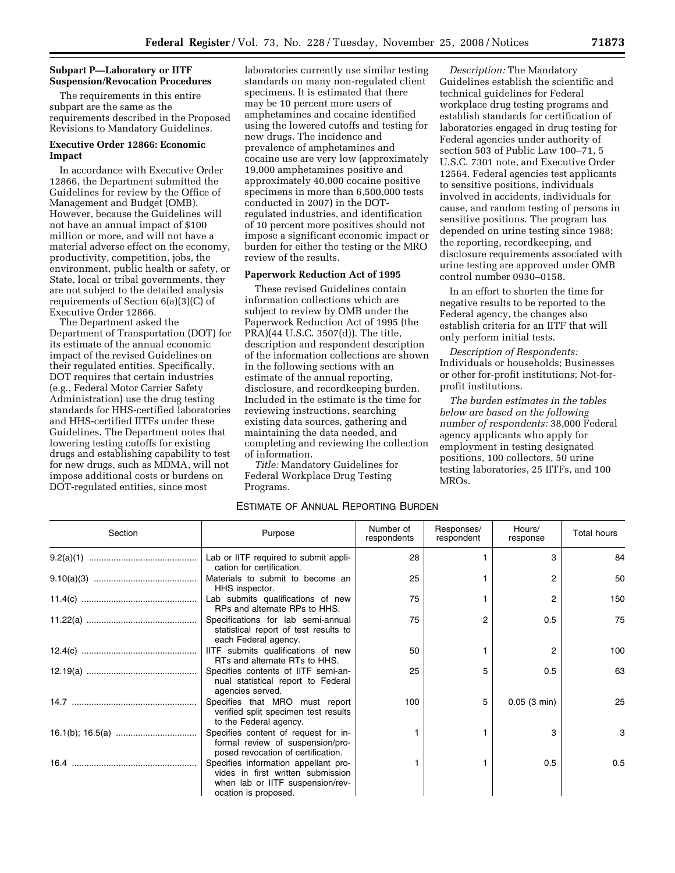# **Subpart P—Laboratory or IITF Suspension/Revocation Procedures**

The requirements in this entire subpart are the same as the requirements described in the Proposed Revisions to Mandatory Guidelines.

# **Executive Order 12866: Economic Impact**

In accordance with Executive Order 12866, the Department submitted the Guidelines for review by the Office of Management and Budget (OMB). However, because the Guidelines will not have an annual impact of \$100 million or more, and will not have a material adverse effect on the economy, productivity, competition, jobs, the environment, public health or safety, or State, local or tribal governments, they are not subject to the detailed analysis requirements of Section 6(a)(3)(C) of Executive Order 12866.

The Department asked the Department of Transportation (DOT) for its estimate of the annual economic impact of the revised Guidelines on their regulated entities. Specifically, DOT requires that certain industries (e.g., Federal Motor Carrier Safety Administration) use the drug testing standards for HHS-certified laboratories and HHS-certified IITFs under these Guidelines. The Department notes that lowering testing cutoffs for existing drugs and establishing capability to test for new drugs, such as MDMA, will not impose additional costs or burdens on DOT-regulated entities, since most

laboratories currently use similar testing standards on many non-regulated client specimens. It is estimated that there may be 10 percent more users of amphetamines and cocaine identified using the lowered cutoffs and testing for new drugs. The incidence and prevalence of amphetamines and cocaine use are very low (approximately 19,000 amphetamines positive and approximately 40,000 cocaine positive specimens in more than 6,500,000 tests conducted in 2007) in the DOTregulated industries, and identification of 10 percent more positives should not impose a significant economic impact or burden for either the testing or the MRO review of the results.

# **Paperwork Reduction Act of 1995**

These revised Guidelines contain information collections which are subject to review by OMB under the Paperwork Reduction Act of 1995 (the PRA)(44 U.S.C. 3507(d)). The title, description and respondent description of the information collections are shown in the following sections with an estimate of the annual reporting, disclosure, and recordkeeping burden. Included in the estimate is the time for reviewing instructions, searching existing data sources, gathering and maintaining the data needed, and completing and reviewing the collection of information.

*Title:* Mandatory Guidelines for Federal Workplace Drug Testing Programs.

# ESTIMATE OF ANNUAL REPORTING BURDEN

*Description:* The Mandatory Guidelines establish the scientific and technical guidelines for Federal workplace drug testing programs and establish standards for certification of laboratories engaged in drug testing for Federal agencies under authority of section 503 of Public Law 100–71, 5 U.S.C. 7301 note, and Executive Order 12564. Federal agencies test applicants to sensitive positions, individuals involved in accidents, individuals for cause, and random testing of persons in sensitive positions. The program has depended on urine testing since 1988; the reporting, recordkeeping, and disclosure requirements associated with urine testing are approved under OMB control number 0930–0158.

In an effort to shorten the time for negative results to be reported to the Federal agency, the changes also establish criteria for an IITF that will only perform initial tests.

*Description of Respondents:*  Individuals or households; Businesses or other for-profit institutions; Not-forprofit institutions.

*The burden estimates in the tables below are based on the following number of respondents:* 38,000 Federal agency applicants who apply for employment in testing designated positions, 100 collectors, 50 urine testing laboratories, 25 IITFs, and 100 MROs.

| Section | Purpose                                                                                                                               | Number of<br>respondents | Responses/<br>respondent | Hours/<br>response | Total hours |
|---------|---------------------------------------------------------------------------------------------------------------------------------------|--------------------------|--------------------------|--------------------|-------------|
|         | Lab or IITF required to submit appli-<br>cation for certification.                                                                    | 28                       |                          | 3                  | 84          |
|         | Materials to submit to become an<br>HHS inspector.                                                                                    | 25                       |                          | 2                  | 50          |
|         | Lab submits qualifications of new<br>RPs and alternate RPs to HHS.                                                                    | 75                       |                          | 2                  | 150         |
|         | Specifications for lab semi-annual<br>statistical report of test results to<br>each Federal agency.                                   | 75                       | 2                        | 0.5                | 75          |
|         | IITF submits qualifications of new<br>RTs and alternate RTs to HHS.                                                                   | 50                       |                          | 2                  | 100         |
|         | Specifies contents of IITF semi-an-<br>nual statistical report to Federal<br>agencies served.                                         | 25                       | 5                        | 0.5                | 63          |
|         | Specifies that MRO must report<br>verified split specimen test results<br>to the Federal agency.                                      | 100                      | 5                        | $0.05$ (3 min)     | 25          |
|         | Specifies content of request for in-<br>formal review of suspension/pro-<br>posed revocation of certification.                        |                          |                          | 3                  | 3           |
|         | Specifies information appellant pro-<br>vides in first written submission<br>when lab or IITF suspension/rev-<br>ocation is proposed. |                          |                          | 0.5                | 0.5         |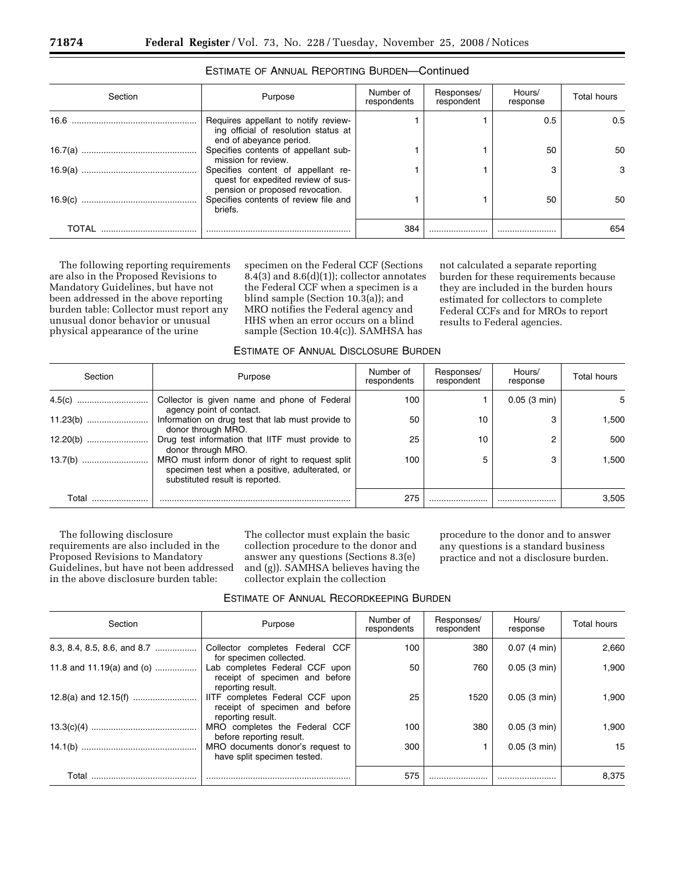| Section | Purpose                                                                                                     | Number of<br>respondents | Responses/<br>respondent | Hours/<br>response | <b>Total hours</b> |
|---------|-------------------------------------------------------------------------------------------------------------|--------------------------|--------------------------|--------------------|--------------------|
|         | Requires appellant to notify review-<br>ing official of resolution status at<br>end of abeyance period.     |                          |                          | 0.5                | 0.5                |
|         | Specifies contents of appellant sub-<br>mission for review.                                                 |                          |                          | 50                 | 50.                |
|         | Specifies content of appellant re-<br>quest for expedited review of sus-<br>pension or proposed revocation. |                          |                          |                    | 3                  |
|         | Specifies contents of review file and<br>briefs.                                                            |                          |                          | 50                 | 50.                |
| TOTAL   |                                                                                                             | 384                      |                          |                    | 654                |

# ESTIMATE OF ANNUAL REPORTING BURDEN—Continued

The following reporting requirements are also in the Proposed Revisions to Mandatory Guidelines, but have not been addressed in the above reporting burden table: Collector must report any unusual donor behavior or unusual physical appearance of the urine

specimen on the Federal CCF (Sections  $8.4(3)$  and  $8.6(d)(1)$ ; collector annotates the Federal CCF when a specimen is a blind sample (Section 10.3(a)); and MRO notifies the Federal agency and HHS when an error occurs on a blind sample (Section 10.4(c)). SAMHSA has

not calculated a separate reporting burden for these requirements because they are included in the burden hours estimated for collectors to complete Federal CCFs and for MROs to report results to Federal agencies.

# ESTIMATE OF ANNUAL DISCLOSURE BURDEN

| Section | Purpose                                                                                                                              | Number of<br>respondents | Responses/<br>respondent | Hours/<br>response | Total hours |
|---------|--------------------------------------------------------------------------------------------------------------------------------------|--------------------------|--------------------------|--------------------|-------------|
|         | Collector is given name and phone of Federal<br>agency point of contact.                                                             | 100                      |                          | $0.05$ (3 min)     | 5           |
|         | Information on drug test that lab must provide to<br>donor through MRO.                                                              | 50                       | 10                       |                    | 1,500       |
|         | Drug test information that IITF must provide to<br>donor through MRO.                                                                | 25                       | 10                       |                    | 500         |
|         | MRO must inform donor of right to request split<br>specimen test when a positive, adulterated, or<br>substituted result is reported. | 100                      | 5                        |                    | 1.500       |
| Γ∩tal   |                                                                                                                                      | 275                      |                          |                    | 3.505       |

The following disclosure requirements are also included in the Proposed Revisions to Mandatory Guidelines, but have not been addressed in the above disclosure burden table:

The collector must explain the basic collection procedure to the donor and answer any questions (Sections 8.3(e) and (g)). SAMHSA believes having the collector explain the collection

procedure to the donor and to answer any questions is a standard business practice and not a disclosure burden.

| Section                     | Purpose                                                                                | Number of<br>respondents | Responses/<br>respondent | Hours/<br>response    | <b>Total hours</b> |
|-----------------------------|----------------------------------------------------------------------------------------|--------------------------|--------------------------|-----------------------|--------------------|
| 8.3, 8.4, 8.5, 8.6, and 8.7 | Collector completes Federal CCF<br>for specimen collected.                             | 100                      | 380                      | $0.07(4 \text{ min})$ | 2.660              |
| 11.8 and 11.19(a) and (o)   | Lab completes Federal CCF upon<br>receipt of specimen and before<br>reporting result.  | 50                       | 760                      | 0.05(3 min)           | 1.900              |
|                             | IITF completes Federal CCF upon<br>receipt of specimen and before<br>reporting result. | 25                       | 1520                     | 0.05(3 min)           | 1.900              |
|                             | MRO completes the Federal CCF<br>before reporting result.                              | 100                      | 380                      | 0.05(3 min)           | 1.900              |
|                             | MRO documents donor's request to<br>have split specimen tested.                        | 300                      |                          | 0.05(3 min)           | 15                 |
| Total                       |                                                                                        | 575                      |                          |                       | 8,375              |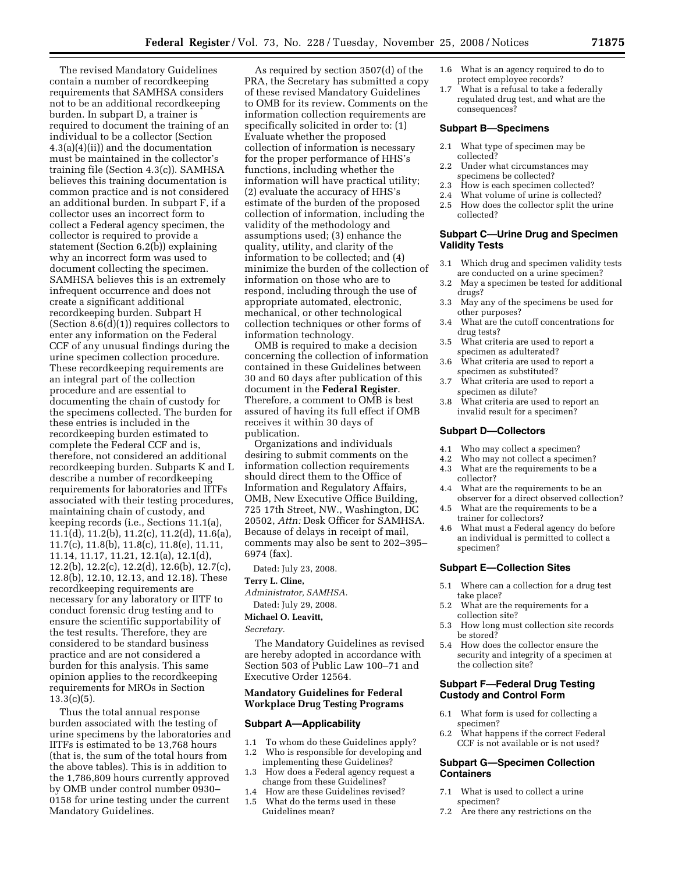The revised Mandatory Guidelines contain a number of recordkeeping requirements that SAMHSA considers not to be an additional recordkeeping burden. In subpart D, a trainer is required to document the training of an individual to be a collector (Section 4.3(a)(4)(ii)) and the documentation must be maintained in the collector's training file (Section 4.3(c)). SAMHSA believes this training documentation is common practice and is not considered an additional burden. In subpart F, if a collector uses an incorrect form to collect a Federal agency specimen, the collector is required to provide a statement (Section 6.2(b)) explaining why an incorrect form was used to document collecting the specimen. SAMHSA believes this is an extremely infrequent occurrence and does not create a significant additional recordkeeping burden. Subpart H (Section 8.6(d)(1)) requires collectors to enter any information on the Federal CCF of any unusual findings during the urine specimen collection procedure. These recordkeeping requirements are an integral part of the collection procedure and are essential to documenting the chain of custody for the specimens collected. The burden for these entries is included in the recordkeeping burden estimated to complete the Federal CCF and is, therefore, not considered an additional recordkeeping burden. Subparts K and L describe a number of recordkeeping requirements for laboratories and IITFs associated with their testing procedures, maintaining chain of custody, and keeping records (i.e., Sections 11.1(a), 11.1(d), 11.2(b), 11.2(c), 11.2(d), 11.6(a), 11.7(c), 11.8(b), 11.8(c), 11.8(e), 11.11, 11.14, 11.17, 11.21, 12.1(a), 12.1(d), 12.2(b), 12.2(c), 12.2(d), 12.6(b), 12.7(c), 12.8(b), 12.10, 12.13, and 12.18). These recordkeeping requirements are necessary for any laboratory or IITF to conduct forensic drug testing and to ensure the scientific supportability of the test results. Therefore, they are considered to be standard business practice and are not considered a burden for this analysis. This same opinion applies to the recordkeeping requirements for MROs in Section  $13.3(c)(5)$ .

Thus the total annual response burden associated with the testing of urine specimens by the laboratories and IITFs is estimated to be 13,768 hours (that is, the sum of the total hours from the above tables). This is in addition to the 1,786,809 hours currently approved by OMB under control number 0930– 0158 for urine testing under the current Mandatory Guidelines.

As required by section 3507(d) of the PRA, the Secretary has submitted a copy of these revised Mandatory Guidelines to OMB for its review. Comments on the information collection requirements are specifically solicited in order to: (1) Evaluate whether the proposed collection of information is necessary for the proper performance of HHS's functions, including whether the information will have practical utility; (2) evaluate the accuracy of HHS's estimate of the burden of the proposed collection of information, including the validity of the methodology and assumptions used; (3) enhance the quality, utility, and clarity of the information to be collected; and (4) minimize the burden of the collection of information on those who are to respond, including through the use of appropriate automated, electronic, mechanical, or other technological collection techniques or other forms of information technology.

OMB is required to make a decision concerning the collection of information contained in these Guidelines between 30 and 60 days after publication of this document in the **Federal Register**. Therefore, a comment to OMB is best assured of having its full effect if OMB receives it within 30 days of publication.

Organizations and individuals desiring to submit comments on the information collection requirements should direct them to the Office of Information and Regulatory Affairs, OMB, New Executive Office Building, 725 17th Street, NW., Washington, DC 20502, *Attn:* Desk Officer for SAMHSA. Because of delays in receipt of mail, comments may also be sent to 202–395– 6974 (fax).

Dated: July 23, 2008.

#### **Terry L. Cline,**

*Administrator, SAMHSA.* 

Dated: July 29, 2008.

**Michael O. Leavitt,** 

*Secretary.* 

The Mandatory Guidelines as revised are hereby adopted in accordance with Section 503 of Public Law 100–71 and Executive Order 12564.

# **Mandatory Guidelines for Federal Workplace Drug Testing Programs**

## **Subpart A—Applicability**

- 1.1 To whom do these Guidelines apply?<br>1.2 Who is responsible for developing and Who is responsible for developing and
- implementing these Guidelines? 1.3 How does a Federal agency request a
- change from these Guidelines? 1.4 How are these Guidelines revised?
- 1.5 What do the terms used in these Guidelines mean?
- 1.6 What is an agency required to do to protect employee records?
- 1.7 What is a refusal to take a federally regulated drug test, and what are the consequences?

#### **Subpart B—Specimens**

- 2.1 What type of specimen may be collected?
- 2.2 Under what circumstances may specimens be collected?
- 2.3 How is each specimen collected?
- 2.4 What volume of urine is collected?
- 2.5 How does the collector split the urine collected?

# **Subpart C—Urine Drug and Specimen Validity Tests**

- 3.1 Which drug and specimen validity tests are conducted on a urine specimen?
- 3.2 May a specimen be tested for additional drugs?
- 3.3 May any of the specimens be used for other purposes?
- 3.4 What are the cutoff concentrations for drug tests?
- 3.5 What criteria are used to report a specimen as adulterated?
- 3.6 What criteria are used to report a specimen as substituted?
- 3.7 What criteria are used to report a specimen as dilute?
- 3.8 What criteria are used to report an invalid result for a specimen?

#### **Subpart D—Collectors**

- 4.1 Who may collect a specimen?
- 4.2 Who may not collect a specimen?
- 4.3 What are the requirements to be a collector?
- 4.4 What are the requirements to be an observer for a direct observed collection?
- 4.5 What are the requirements to be a trainer for collectors?
- 4.6 What must a Federal agency do before an individual is permitted to collect a specimen?

## **Subpart E—Collection Sites**

- 5.1 Where can a collection for a drug test take place?
- 5.2 What are the requirements for a collection site?
- 5.3 How long must collection site records be stored?
- 5.4 How does the collector ensure the security and integrity of a specimen at the collection site?

# **Subpart F—Federal Drug Testing Custody and Control Form**

- 6.1 What form is used for collecting a specimen?
- 6.2 What happens if the correct Federal CCF is not available or is not used?

#### **Subpart G—Specimen Collection Containers**

- 7.1 What is used to collect a urine specimen?
- 7.2 Are there any restrictions on the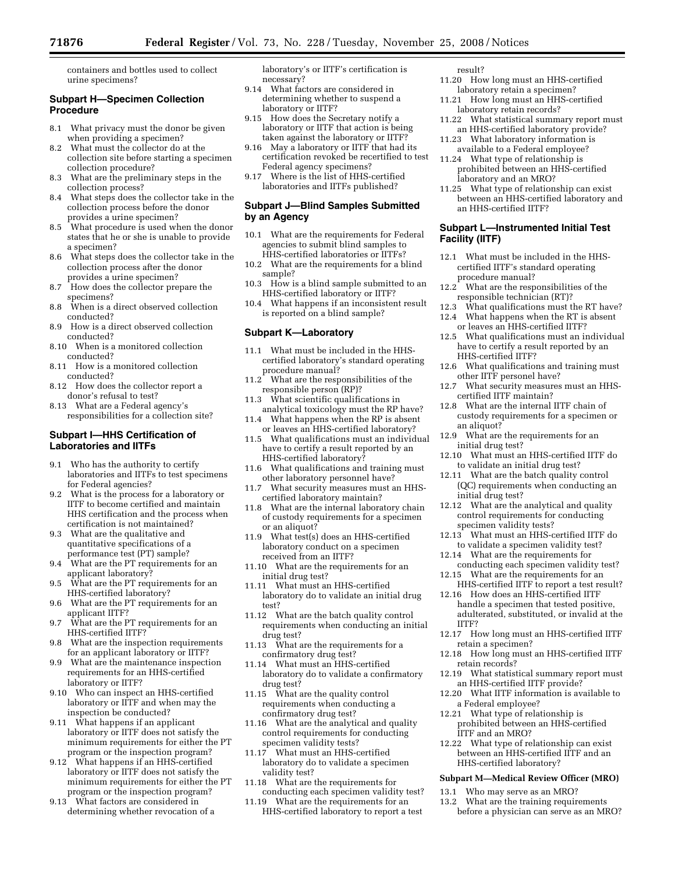containers and bottles used to collect urine specimens?

# **Subpart H—Specimen Collection Procedure**

- 8.1 What privacy must the donor be given when providing a specimen?
- What must the collector do at the collection site before starting a specimen collection procedure?
- 8.3 What are the preliminary steps in the collection process?
- 8.4 What steps does the collector take in the collection process before the donor provides a urine specimen?
- 8.5 What procedure is used when the donor states that he or she is unable to provide a specimen?
- 8.6 What steps does the collector take in the collection process after the donor provides a urine specimen?
- 8.7 How does the collector prepare the specimens?
- 8.8 When is a direct observed collection conducted?
- 8.9 How is a direct observed collection conducted?
- 8.10 When is a monitored collection conducted?
- 8.11 How is a monitored collection conducted?
- 8.12 How does the collector report a donor's refusal to test?
- 8.13 What are a Federal agency's responsibilities for a collection site?

# **Subpart I—HHS Certification of Laboratories and IITFs**

- 9.1 Who has the authority to certify laboratories and IITFs to test specimens for Federal agencies?
- 9.2 What is the process for a laboratory or IITF to become certified and maintain HHS certification and the process when certification is not maintained?
- 9.3 What are the qualitative and quantitative specifications of a performance test (PT) sample?
- 9.4 What are the PT requirements for an applicant laboratory?
- 9.5 What are the PT requirements for an HHS-certified laboratory?
- 9.6 What are the PT requirements for an applicant IITF?
- 9.7 What are the PT requirements for an HHS-certified IITF?
- What are the inspection requirements for an applicant laboratory or IITF?
- 9.9 What are the maintenance inspection requirements for an HHS-certified laboratory or IITF?<br>9.10 Who can inspect
- Who can inspect an HHS-certified laboratory or IITF and when may the inspection be conducted?
- 9.11 What happens if an applicant laboratory or IITF does not satisfy the minimum requirements for either the PT program or the inspection program?<br>9.12 What hannens if an HHS-certified
- What happens if an HHS-certified laboratory or IITF does not satisfy the minimum requirements for either the PT program or the inspection program?
- 9.13 What factors are considered in determining whether revocation of a

laboratory's or IITF's certification is necessary?

- 9.14 What factors are considered in determining whether to suspend a laboratory or IITF?
- 9.15 How does the Secretary notify a laboratory or IITF that action is being taken against the laboratory or IITF?
- 9.16 May a laboratory or IITF that had its certification revoked be recertified to test Federal agency specimens?<br>9.17 Where is the list of HHS-
- 9.17 Where is the list of HHS-certified laboratories and IITFs published?

# **Subpart J—Blind Samples Submitted by an Agency**

- 10.1 What are the requirements for Federal agencies to submit blind samples to HHS-certified laboratories or IITFs?
- 10.2 What are the requirements for a blind sample?
- 10.3 How is a blind sample submitted to an HHS-certified laboratory or IITF?
- 10.4 What happens if an inconsistent result is reported on a blind sample?

# **Subpart K—Laboratory**

- 11.1 What must be included in the HHScertified laboratory's standard operating procedure manual?
- 11.2 What are the responsibilities of the responsible person (RP)?
- 11.3 What scientific qualifications in analytical toxicology must the RP have?
- 11.4 What happens when the RP is absent or leaves an HHS-certified laboratory?
- 11.5 What qualifications must an individual have to certify a result reported by an HHS-certified laboratory?
- 11.6 What qualifications and training must other laboratory personnel have?
- 11.7 What security measures must an HHScertified laboratory maintain?
- 11.8 What are the internal laboratory chain of custody requirements for a specimen or an aliquot?
- 11.9 What test(s) does an HHS-certified laboratory conduct on a specimen received from an IITF?
- 11.10 What are the requirements for an initial drug test?
- 11.11 What must an HHS-certified laboratory do to validate an initial drug test?
- 11.12 What are the batch quality control requirements when conducting an initial drug test?
- 11.13 What are the requirements for a confirmatory drug test?
- 11.14 What must an HHS-certified laboratory do to validate a confirmatory drug test?
- 11.15 What are the quality control requirements when conducting a confirmatory drug test?
- 11.16 What are the analytical and quality control requirements for conducting specimen validity tests?
- 11.17 What must an HHS-certified laboratory do to validate a specimen validity test?
- 11.18 What are the requirements for conducting each specimen validity test?
- 11.19 What are the requirements for an HHS-certified laboratory to report a test

#### result?

- 11.20 How long must an HHS-certified laboratory retain a specimen?
- 11.21 How long must an HHS-certified laboratory retain records?
- 11.22 What statistical summary report must an HHS-certified laboratory provide?
- 11.23 What laboratory information is available to a Federal employee?
- 11.24 What type of relationship is prohibited between an HHS-certified laboratory and an MRO?
- 11.25 What type of relationship can exist between an HHS-certified laboratory and an HHS-certified IITF?

# **Subpart L—Instrumented Initial Test Facility (IITF)**

- 12.1 What must be included in the HHScertified IITF's standard operating procedure manual?
- 12.2 What are the responsibilities of the responsible technician (RT)?
- 12.3 What qualifications must the RT have?
- 12.4 What happens when the RT is absent or leaves an HHS-certified IITF?
- 12.5 What qualifications must an individual have to certify a result reported by an HHS-certified IITF?
- 12.6 What qualifications and training must other IITF personel have?
- 12.7 What security measures must an HHScertified IITF maintain?
- 12.8 What are the internal IITF chain of custody requirements for a specimen or an aliquot?
- 12.9 What are the requirements for an initial drug test?
- 12.10 What must an HHS-certified IITF do to validate an initial drug test?
- 12.11 What are the batch quality control (QC) requirements when conducting an initial drug test?
- 12.12 What are the analytical and quality control requirements for conducting specimen validity tests?
- 12.13 What must an HHS-certified IITF do to validate a specimen validity test?
- 12.14 What are the requirements for
- conducting each specimen validity test? 12.15 What are the requirements for an
- HHS-certified IITF to report a test result? 12.16 How does an HHS-certified IITF
- handle a specimen that tested positive, adulterated, substituted, or invalid at the IITF?
- 12.17 How long must an HHS-certified IITF retain a specimen?
- 12.18 How long must an HHS-certified IITF retain records?
- 12.19 What statistical summary report must an HHS-certified IITF provide?
- 12.20 What IITF information is available to a Federal employee?
- 12.21 What type of relationship is prohibited between an HHS-certified IITF and an MRO?
- 12.22 What type of relationship can exist between an HHS-certified IITF and an HHS-certified laboratory?

## **Subpart M—Medical Review Officer (MRO)**

- 13.1 Who may serve as an MRO?
- 13.2 What are the training requirements before a physician can serve as an MRO?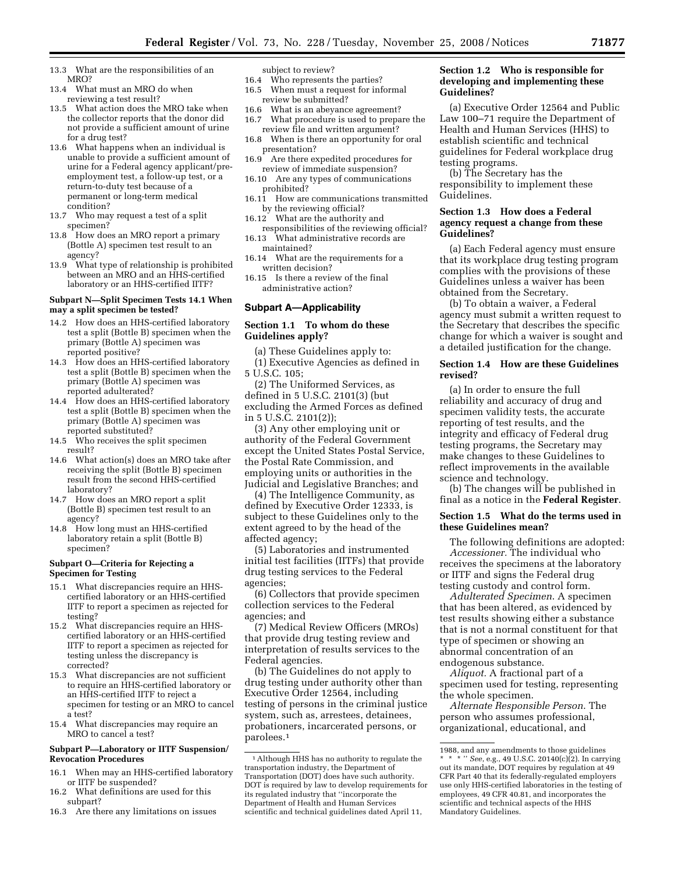- 13.3 What are the responsibilities of an MRO?
- 13.4 What must an MRO do when reviewing a test result?
- 13.5 What action does the MRO take when the collector reports that the donor did not provide a sufficient amount of urine for a drug test?
- 13.6 What happens when an individual is unable to provide a sufficient amount of urine for a Federal agency applicant/preemployment test, a follow-up test, or a return-to-duty test because of a permanent or long-term medical condition?
- 13.7 Who may request a test of a split specimen?
- 13.8 How does an MRO report a primary (Bottle A) specimen test result to an agency?
- 13.9 What type of relationship is prohibited between an MRO and an HHS-certified laboratory or an HHS-certified IITF?

#### **Subpart N—Split Specimen Tests 14.1 When may a split specimen be tested?**

- 14.2 How does an HHS-certified laboratory test a split (Bottle B) specimen when the primary (Bottle A) specimen was reported positive?
- 14.3 How does an HHS-certified laboratory test a split (Bottle B) specimen when the primary (Bottle A) specimen was reported adulterated?
- 14.4 How does an HHS-certified laboratory test a split (Bottle B) specimen when the primary (Bottle A) specimen was reported substituted?
- 14.5 Who receives the split specimen result?
- 14.6 What action(s) does an MRO take after receiving the split (Bottle B) specimen result from the second HHS-certified laboratory?
- 14.7 How does an MRO report a split (Bottle B) specimen test result to an agency?
- 14.8 How long must an HHS-certified laboratory retain a split (Bottle B) specimen?

#### **Subpart O—Criteria for Rejecting a Specimen for Testing**

- 15.1 What discrepancies require an HHScertified laboratory or an HHS-certified IITF to report a specimen as rejected for testing?
- 15.2 What discrepancies require an HHScertified laboratory or an HHS-certified IITF to report a specimen as rejected for testing unless the discrepancy is corrected?
- 15.3 What discrepancies are not sufficient to require an HHS-certified laboratory or an HHS-certified IITF to reject a specimen for testing or an MRO to cancel a test?
- 15.4 What discrepancies may require an MRO to cancel a test?

## **Subpart P—Laboratory or IITF Suspension/ Revocation Procedures**

- 16.1 When may an HHS-certified laboratory or IITF be suspended?
- 16.2 What definitions are used for this subpart?
- 16.3 Are there any limitations on issues

# subject to review?

- 16.4 Who represents the parties? 16.5 When must a request for informal review be submitted?
- 16.6 What is an abeyance agreement?
- 16.7 What procedure is used to prepare the
- review file and written argument?
- 16.8 When is there an opportunity for oral presentation?
- 16.9 Are there expedited procedures for review of immediate suspension?
- 16.10 Are any types of communications prohibited?
- 16.11 How are communications transmitted by the reviewing official?
- 16.12 What are the authority and responsibilities of the reviewing official?
- 16.13 What administrative records are maintained?
- 16.14 What are the requirements for a written decision?
- 16.15 Is there a review of the final administrative action?

### **Subpart A—Applicability**

# **Section 1.1 To whom do these Guidelines apply?**

(a) These Guidelines apply to:

(1) Executive Agencies as defined in 5 U.S.C. 105;

(2) The Uniformed Services, as defined in 5 U.S.C. 2101(3) (but excluding the Armed Forces as defined in 5 U.S.C. 2101(2));

(3) Any other employing unit or authority of the Federal Government except the United States Postal Service, the Postal Rate Commission, and employing units or authorities in the Judicial and Legislative Branches; and

(4) The Intelligence Community, as defined by Executive Order 12333, is subject to these Guidelines only to the extent agreed to by the head of the affected agency;

(5) Laboratories and instrumented initial test facilities (IITFs) that provide drug testing services to the Federal agencies;

(6) Collectors that provide specimen collection services to the Federal agencies; and

(7) Medical Review Officers (MROs) that provide drug testing review and interpretation of results services to the Federal agencies.

(b) The Guidelines do not apply to drug testing under authority other than Executive Order 12564, including testing of persons in the criminal justice system, such as, arrestees, detainees, probationers, incarcerated persons, or parolees.1

# **Section 1.2 Who is responsible for developing and implementing these Guidelines?**

(a) Executive Order 12564 and Public Law 100–71 require the Department of Health and Human Services (HHS) to establish scientific and technical guidelines for Federal workplace drug testing programs.

(b) The Secretary has the responsibility to implement these Guidelines.

# **Section 1.3 How does a Federal agency request a change from these Guidelines?**

(a) Each Federal agency must ensure that its workplace drug testing program complies with the provisions of these Guidelines unless a waiver has been obtained from the Secretary.

(b) To obtain a waiver, a Federal agency must submit a written request to the Secretary that describes the specific change for which a waiver is sought and a detailed justification for the change.

# **Section 1.4 How are these Guidelines revised?**

(a) In order to ensure the full reliability and accuracy of drug and specimen validity tests, the accurate reporting of test results, and the integrity and efficacy of Federal drug testing programs, the Secretary may make changes to these Guidelines to reflect improvements in the available science and technology.

(b) The changes will be published in final as a notice in the **Federal Register**.

# **Section 1.5 What do the terms used in these Guidelines mean?**

The following definitions are adopted: *Accessioner.* The individual who receives the specimens at the laboratory or IITF and signs the Federal drug testing custody and control form.

*Adulterated Specimen*. A specimen that has been altered, as evidenced by test results showing either a substance that is not a normal constituent for that type of specimen or showing an abnormal concentration of an endogenous substance.

*Aliquot.* A fractional part of a specimen used for testing, representing the whole specimen.

*Alternate Responsible Person*. The person who assumes professional, organizational, educational, and

<sup>1</sup>Although HHS has no authority to regulate the transportation industry, the Department of Transportation (DOT) does have such authority. DOT is required by law to develop requirements for its regulated industry that ''incorporate the Department of Health and Human Services scientific and technical guidelines dated April 11,

<sup>1988,</sup> and any amendments to those guidelines \* \* \* '' *See*, e.g., 49 U.S.C. 20140(c)(2). In carrying out its mandate, DOT requires by regulation at 49 CFR Part 40 that its federally-regulated employers use only HHS-certified laboratories in the testing of employees, 49 CFR 40.81, and incorporates the scientific and technical aspects of the HHS Mandatory Guidelines.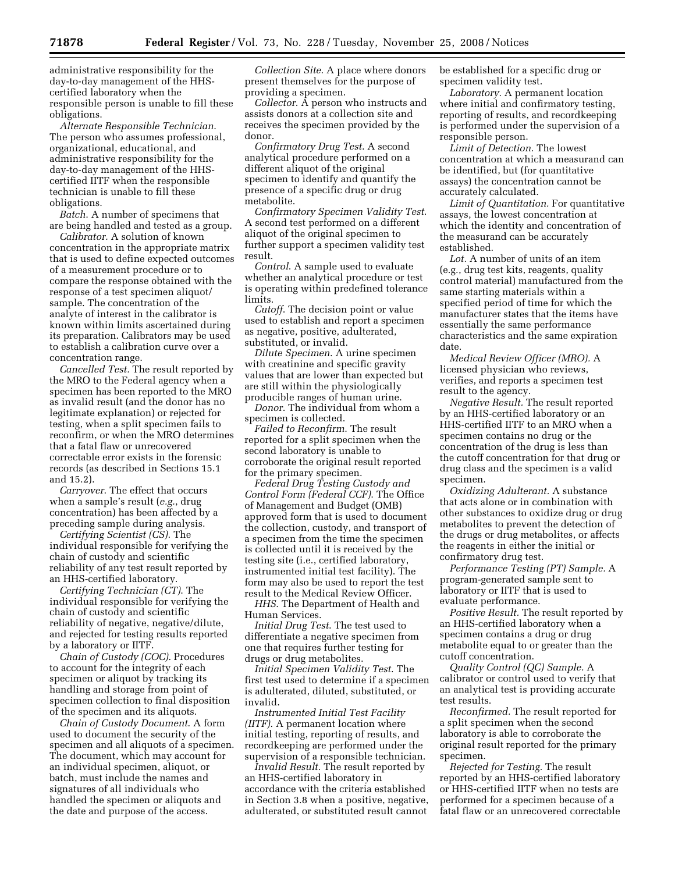administrative responsibility for the day-to-day management of the HHScertified laboratory when the responsible person is unable to fill these obligations.

*Alternate Responsible Technician*. The person who assumes professional, organizational, educational, and administrative responsibility for the day-to-day management of the HHScertified IITF when the responsible technician is unable to fill these obligations.

*Batch*. A number of specimens that are being handled and tested as a group.

*Calibrator.* A solution of known concentration in the appropriate matrix that is used to define expected outcomes of a measurement procedure or to compare the response obtained with the response of a test specimen aliquot/ sample. The concentration of the analyte of interest in the calibrator is known within limits ascertained during its preparation. Calibrators may be used to establish a calibration curve over a concentration range.

*Cancelled Test.* The result reported by the MRO to the Federal agency when a specimen has been reported to the MRO as invalid result (and the donor has no legitimate explanation) or rejected for testing, when a split specimen fails to reconfirm, or when the MRO determines that a fatal flaw or unrecovered correctable error exists in the forensic records (as described in Sections 15.1 and 15.2).

*Carryover*. The effect that occurs when a sample's result (*e.g.*, drug concentration) has been affected by a preceding sample during analysis.

*Certifying Scientist (CS)*. The individual responsible for verifying the chain of custody and scientific reliability of any test result reported by an HHS-certified laboratory.

*Certifying Technician (CT)*. The individual responsible for verifying the chain of custody and scientific reliability of negative, negative/dilute, and rejected for testing results reported by a laboratory or IITF.

*Chain of Custody (COC)*. Procedures to account for the integrity of each specimen or aliquot by tracking its handling and storage from point of specimen collection to final disposition of the specimen and its aliquots.

*Chain of Custody Document*. A form used to document the security of the specimen and all aliquots of a specimen. The document, which may account for an individual specimen, aliquot, or batch, must include the names and signatures of all individuals who handled the specimen or aliquots and the date and purpose of the access.

*Collection Site*. A place where donors present themselves for the purpose of providing a specimen.

*Collector*. A person who instructs and assists donors at a collection site and receives the specimen provided by the donor.

*Confirmatory Drug Test*. A second analytical procedure performed on a different aliquot of the original specimen to identify and quantify the presence of a specific drug or drug metabolite.

*Confirmatory Specimen Validity Test*. A second test performed on a different aliquot of the original specimen to further support a specimen validity test result.

*Control*. A sample used to evaluate whether an analytical procedure or test is operating within predefined tolerance limits.

*Cutoff*. The decision point or value used to establish and report a specimen as negative, positive, adulterated, substituted, or invalid.

*Dilute Specimen*. A urine specimen with creatinine and specific gravity values that are lower than expected but are still within the physiologically producible ranges of human urine.

*Donor*. The individual from whom a specimen is collected.

*Failed to Reconfirm*. The result reported for a split specimen when the second laboratory is unable to corroborate the original result reported for the primary specimen.

*Federal Drug Testing Custody and Control Form (Federal CCF)*. The Office of Management and Budget (OMB) approved form that is used to document the collection, custody, and transport of a specimen from the time the specimen is collected until it is received by the testing site (i.e., certified laboratory, instrumented initial test facility). The form may also be used to report the test result to the Medical Review Officer.

*HHS*. The Department of Health and Human Services.

*Initial Drug Test*. The test used to differentiate a negative specimen from one that requires further testing for drugs or drug metabolites.

*Initial Specimen Validity Test*. The first test used to determine if a specimen is adulterated, diluted, substituted, or invalid.

*Instrumented Initial Test Facility (IITF)*. A permanent location where initial testing, reporting of results, and recordkeeping are performed under the supervision of a responsible technician.

*Invalid Result.* The result reported by an HHS-certified laboratory in accordance with the criteria established in Section 3.8 when a positive, negative, adulterated, or substituted result cannot

be established for a specific drug or specimen validity test.

*Laboratory.* A permanent location where initial and confirmatory testing, reporting of results, and recordkeeping is performed under the supervision of a responsible person.

*Limit of Detection.* The lowest concentration at which a measurand can be identified, but (for quantitative assays) the concentration cannot be accurately calculated.

*Limit of Quantitation.* For quantitative assays, the lowest concentration at which the identity and concentration of the measurand can be accurately established.

*Lot.* A number of units of an item (e.g., drug test kits, reagents, quality control material) manufactured from the same starting materials within a specified period of time for which the manufacturer states that the items have essentially the same performance characteristics and the same expiration date.

*Medical Review Officer (MRO).* A licensed physician who reviews, verifies, and reports a specimen test result to the agency.

*Negative Result.* The result reported by an HHS-certified laboratory or an HHS-certified IITF to an MRO when a specimen contains no drug or the concentration of the drug is less than the cutoff concentration for that drug or drug class and the specimen is a valid specimen.

*Oxidizing Adulterant.* A substance that acts alone or in combination with other substances to oxidize drug or drug metabolites to prevent the detection of the drugs or drug metabolites, or affects the reagents in either the initial or confirmatory drug test.

*Performance Testing (PT) Sample.* A program-generated sample sent to laboratory or IITF that is used to evaluate performance.

*Positive Result.* The result reported by an HHS-certified laboratory when a specimen contains a drug or drug metabolite equal to or greater than the cutoff concentration.

*Quality Control (QC) Sample.* A calibrator or control used to verify that an analytical test is providing accurate test results.

*Reconfirmed.* The result reported for a split specimen when the second laboratory is able to corroborate the original result reported for the primary specimen.

*Rejected for Testing.* The result reported by an HHS-certified laboratory or HHS-certified IITF when no tests are performed for a specimen because of a fatal flaw or an unrecovered correctable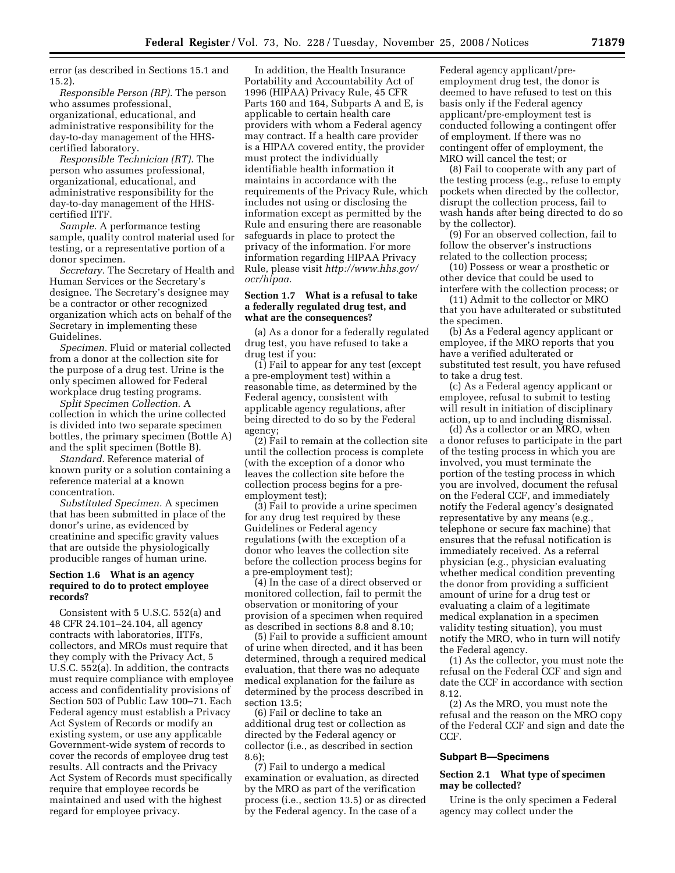error (as described in Sections 15.1 and 15.2).

*Responsible Person (RP).* The person who assumes professional, organizational, educational, and administrative responsibility for the day-to-day management of the HHScertified laboratory.

*Responsible Technician (RT).* The person who assumes professional, organizational, educational, and administrative responsibility for the day-to-day management of the HHScertified IITF.

*Sample.* A performance testing sample, quality control material used for testing, or a representative portion of a donor specimen.

*Secretary.* The Secretary of Health and Human Services or the Secretary's designee. The Secretary's designee may be a contractor or other recognized organization which acts on behalf of the Secretary in implementing these Guidelines.

*Specimen.* Fluid or material collected from a donor at the collection site for the purpose of a drug test. Urine is the only specimen allowed for Federal workplace drug testing programs.

*Split Specimen Collection.* A collection in which the urine collected is divided into two separate specimen bottles, the primary specimen (Bottle A) and the split specimen (Bottle B).

*Standard.* Reference material of known purity or a solution containing a reference material at a known concentration.

*Substituted Specimen.* A specimen that has been submitted in place of the donor's urine, as evidenced by creatinine and specific gravity values that are outside the physiologically producible ranges of human urine.

# **Section 1.6 What is an agency required to do to protect employee records?**

Consistent with 5 U.S.C. 552(a) and 48 CFR 24.101–24.104, all agency contracts with laboratories, IITFs, collectors, and MROs must require that they comply with the Privacy Act, 5 U.S.C. 552(a). In addition, the contracts must require compliance with employee access and confidentiality provisions of Section 503 of Public Law 100–71. Each Federal agency must establish a Privacy Act System of Records or modify an existing system, or use any applicable Government-wide system of records to cover the records of employee drug test results. All contracts and the Privacy Act System of Records must specifically require that employee records be maintained and used with the highest regard for employee privacy.

In addition, the Health Insurance Portability and Accountability Act of 1996 (HIPAA) Privacy Rule, 45 CFR Parts 160 and 164, Subparts A and E, is applicable to certain health care providers with whom a Federal agency may contract. If a health care provider is a HIPAA covered entity, the provider must protect the individually identifiable health information it maintains in accordance with the requirements of the Privacy Rule, which includes not using or disclosing the information except as permitted by the Rule and ensuring there are reasonable safeguards in place to protect the privacy of the information. For more information regarding HIPAA Privacy Rule, please visit *http://www.hhs.gov/ ocr/hipaa.* 

# **Section 1.7 What is a refusal to take a federally regulated drug test, and what are the consequences?**

(a) As a donor for a federally regulated drug test, you have refused to take a drug test if you:

(1) Fail to appear for any test (except a pre-employment test) within a reasonable time, as determined by the Federal agency, consistent with applicable agency regulations, after being directed to do so by the Federal agency;

(2) Fail to remain at the collection site until the collection process is complete (with the exception of a donor who leaves the collection site before the collection process begins for a preemployment test);

(3) Fail to provide a urine specimen for any drug test required by these Guidelines or Federal agency regulations (with the exception of a donor who leaves the collection site before the collection process begins for a pre-employment test);

(4) In the case of a direct observed or monitored collection, fail to permit the observation or monitoring of your provision of a specimen when required as described in sections 8.8 and 8.10;

(5) Fail to provide a sufficient amount of urine when directed, and it has been determined, through a required medical evaluation, that there was no adequate medical explanation for the failure as determined by the process described in section 13.5;

(6) Fail or decline to take an additional drug test or collection as directed by the Federal agency or collector (i.e., as described in section  $8.6$ 

(7) Fail to undergo a medical examination or evaluation, as directed by the MRO as part of the verification process (i.e., section 13.5) or as directed by the Federal agency. In the case of a

Federal agency applicant/preemployment drug test, the donor is deemed to have refused to test on this basis only if the Federal agency applicant/pre-employment test is conducted following a contingent offer of employment. If there was no contingent offer of employment, the MRO will cancel the test; or

(8) Fail to cooperate with any part of the testing process (e.g., refuse to empty pockets when directed by the collector, disrupt the collection process, fail to wash hands after being directed to do so by the collector).

(9) For an observed collection, fail to follow the observer's instructions related to the collection process;

(10) Possess or wear a prosthetic or other device that could be used to interfere with the collection process; or

(11) Admit to the collector or MRO that you have adulterated or substituted the specimen.

(b) As a Federal agency applicant or employee, if the MRO reports that you have a verified adulterated or substituted test result, you have refused to take a drug test.

(c) As a Federal agency applicant or employee, refusal to submit to testing will result in initiation of disciplinary action, up to and including dismissal.

(d) As a collector or an MRO, when a donor refuses to participate in the part of the testing process in which you are involved, you must terminate the portion of the testing process in which you are involved, document the refusal on the Federal CCF, and immediately notify the Federal agency's designated representative by any means (e.g., telephone or secure fax machine) that ensures that the refusal notification is immediately received. As a referral physician (e.g., physician evaluating whether medical condition preventing the donor from providing a sufficient amount of urine for a drug test or evaluating a claim of a legitimate medical explanation in a specimen validity testing situation), you must notify the MRO, who in turn will notify the Federal agency.

(1) As the collector, you must note the refusal on the Federal CCF and sign and date the CCF in accordance with section 8.12.

(2) As the MRO, you must note the refusal and the reason on the MRO copy of the Federal CCF and sign and date the CCF.

# **Subpart B—Specimens**

# **Section 2.1 What type of specimen may be collected?**

Urine is the only specimen a Federal agency may collect under the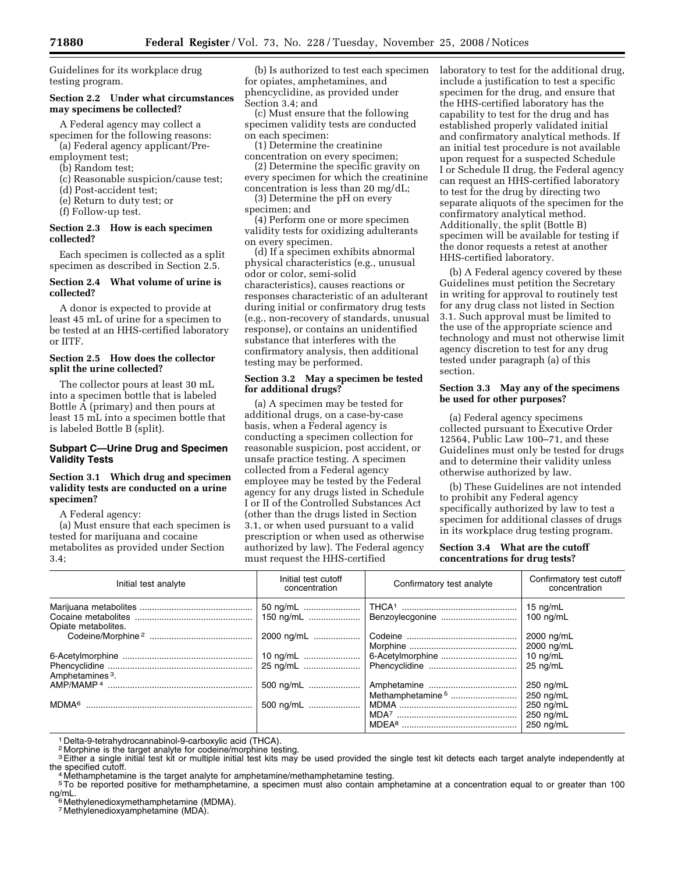Guidelines for its workplace drug testing program.

## **Section 2.2 Under what circumstances may specimens be collected?**

A Federal agency may collect a specimen for the following reasons: (a) Federal agency applicant/Pre-

- employment test;
	- (b) Random test;
	- (c) Reasonable suspicion/cause test;
	- (d) Post-accident test;
	- (e) Return to duty test; or
	- (f) Follow-up test.

# **Section 2.3 How is each specimen collected?**

Each specimen is collected as a split specimen as described in Section 2.5.

# **Section 2.4 What volume of urine is collected?**

A donor is expected to provide at least 45 mL of urine for a specimen to be tested at an HHS-certified laboratory or IITF.

# **Section 2.5 How does the collector split the urine collected?**

The collector pours at least 30 mL into a specimen bottle that is labeled Bottle A (primary) and then pours at least 15 mL into a specimen bottle that is labeled Bottle B (split).

# **Subpart C—Urine Drug and Specimen Validity Tests**

# **Section 3.1 Which drug and specimen validity tests are conducted on a urine specimen?**

A Federal agency:

(a) Must ensure that each specimen is tested for marijuana and cocaine metabolites as provided under Section 3.4;

(b) Is authorized to test each specimen for opiates, amphetamines, and phencyclidine, as provided under Section 3.4; and

(c) Must ensure that the following specimen validity tests are conducted on each specimen:

(1) Determine the creatinine concentration on every specimen;

- (2) Determine the specific gravity on every specimen for which the creatinine
- concentration is less than 20 mg/dL; (3) Determine the pH on every
- specimen; and

(4) Perform one or more specimen validity tests for oxidizing adulterants on every specimen.

(d) If a specimen exhibits abnormal physical characteristics (e.g., unusual odor or color, semi-solid characteristics), causes reactions or responses characteristic of an adulterant during initial or confirmatory drug tests (e.g., non-recovery of standards, unusual response), or contains an unidentified substance that interferes with the confirmatory analysis, then additional testing may be performed.

#### **Section 3.2 May a specimen be tested for additional drugs?**

(a) A specimen may be tested for additional drugs, on a case-by-case basis, when a Federal agency is conducting a specimen collection for reasonable suspicion, post accident, or unsafe practice testing. A specimen collected from a Federal agency employee may be tested by the Federal agency for any drugs listed in Schedule I or II of the Controlled Substances Act (other than the drugs listed in Section 3.1, or when used pursuant to a valid prescription or when used as otherwise authorized by law). The Federal agency must request the HHS-certified

laboratory to test for the additional drug, include a justification to test a specific specimen for the drug, and ensure that the HHS-certified laboratory has the capability to test for the drug and has established properly validated initial and confirmatory analytical methods. If an initial test procedure is not available upon request for a suspected Schedule I or Schedule II drug, the Federal agency can request an HHS-certified laboratory to test for the drug by directing two separate aliquots of the specimen for the confirmatory analytical method. Additionally, the split (Bottle B) specimen will be available for testing if the donor requests a retest at another HHS-certified laboratory.

(b) A Federal agency covered by these Guidelines must petition the Secretary in writing for approval to routinely test for any drug class not listed in Section 3.1. Such approval must be limited to the use of the appropriate science and technology and must not otherwise limit agency discretion to test for any drug tested under paragraph (a) of this section.

# **Section 3.3 May any of the specimens be used for other purposes?**

(a) Federal agency specimens collected pursuant to Executive Order 12564, Public Law 100–71, and these Guidelines must only be tested for drugs and to determine their validity unless otherwise authorized by law.

(b) These Guidelines are not intended to prohibit any Federal agency specifically authorized by law to test a specimen for additional classes of drugs in its workplace drug testing program.

## **Section 3.4 What are the cutoff concentrations for drug tests?**

| Initial test analyte        | Initial test cutoff<br>concentration | Confirmatory test analyte    | Confirmatory test cutoff<br>concentration |
|-----------------------------|--------------------------------------|------------------------------|-------------------------------------------|
| Opiate metabolites.         | 50 ng/mL<br>150 ng/mL                | Benzoylecgonine              | $15 \text{ nq/mL}$<br>100 $ng/mL$         |
|                             | 2000 ng/mL                           |                              | 2000 ng/mL<br>2000 ng/mL                  |
|                             | 10 ng/mL                             |                              | 10 $ng/mL$                                |
|                             | 25 ng/mL                             |                              | 25 ng/mL                                  |
| Amphetamines <sup>3</sup> . |                                      |                              |                                           |
|                             | 500 ng/mL                            |                              | 250 ng/mL                                 |
|                             |                                      | Methamphetamine <sup>5</sup> | 250 ng/mL                                 |
|                             | 500 ng/mL                            |                              | 250 ng/mL                                 |
|                             |                                      |                              | 250 ng/mL                                 |
|                             |                                      |                              | 250 ng/mL                                 |

1 Delta-9-tetrahydrocannabinol-9-carboxylic acid (THCA).

<sup>2</sup> Morphine is the target analyte for codeine/morphine testing.

3 Either a single initial test kit or multiple initial test kits may be used provided the single test kit detects each target analyte independently at<br>the specified cutoff.

<sup>4</sup> Methamphetamine is the target analyte for amphetamine/methamphetamine testing.

5To be reported positive for methamphetamine, a specimen must also contain amphetamine at a concentration equal to or greater than 100 ng/mL.

 $6$ Methylenedioxymethamphetamine (MDMA).

7 Methylenedioxyamphetamine (MDA).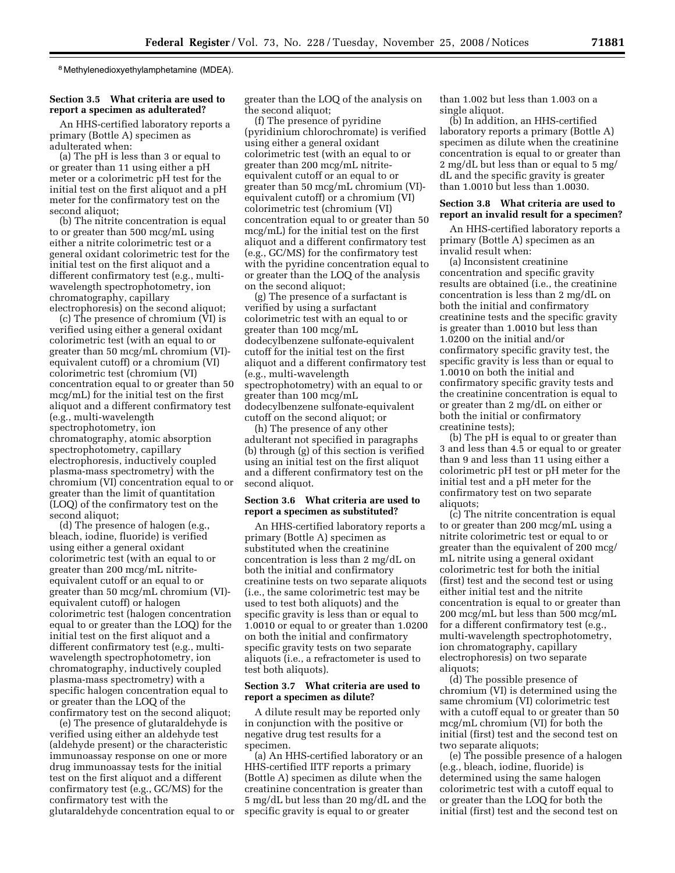8 Methylenedioxyethylamphetamine (MDEA).

# **Section 3.5 What criteria are used to report a specimen as adulterated?**

An HHS-certified laboratory reports a primary (Bottle A) specimen as adulterated when:

(a) The pH is less than 3 or equal to or greater than 11 using either a pH meter or a colorimetric pH test for the initial test on the first aliquot and a pH meter for the confirmatory test on the second aliquot;

(b) The nitrite concentration is equal to or greater than 500 mcg/mL using either a nitrite colorimetric test or a general oxidant colorimetric test for the initial test on the first aliquot and a different confirmatory test (e.g., multiwavelength spectrophotometry, ion chromatography, capillary electrophoresis) on the second aliquot;

(c) The presence of chromium (VI) is verified using either a general oxidant colorimetric test (with an equal to or greater than 50 mcg/mL chromium (VI) equivalent cutoff) or a chromium (VI) colorimetric test (chromium (VI) concentration equal to or greater than 50 mcg/mL) for the initial test on the first aliquot and a different confirmatory test (e.g., multi-wavelength spectrophotometry, ion chromatography, atomic absorption spectrophotometry, capillary electrophoresis, inductively coupled plasma-mass spectrometry) with the chromium (VI) concentration equal to or greater than the limit of quantitation (LOQ) of the confirmatory test on the second aliquot;

(d) The presence of halogen (e.g., bleach, iodine, fluoride) is verified using either a general oxidant colorimetric test (with an equal to or greater than 200 mcg/mL nitriteequivalent cutoff or an equal to or greater than 50 mcg/mL chromium (VI) equivalent cutoff) or halogen colorimetric test (halogen concentration equal to or greater than the LOQ) for the initial test on the first aliquot and a different confirmatory test (e.g., multiwavelength spectrophotometry, ion chromatography, inductively coupled plasma-mass spectrometry) with a specific halogen concentration equal to or greater than the LOQ of the confirmatory test on the second aliquot;

(e) The presence of glutaraldehyde is verified using either an aldehyde test (aldehyde present) or the characteristic immunoassay response on one or more drug immunoassay tests for the initial test on the first aliquot and a different confirmatory test (e.g., GC/MS) for the confirmatory test with the glutaraldehyde concentration equal to or greater than the LOQ of the analysis on the second aliquot;

(f) The presence of pyridine (pyridinium chlorochromate) is verified using either a general oxidant colorimetric test (with an equal to or greater than 200 mcg/mL nitriteequivalent cutoff or an equal to or greater than 50 mcg/mL chromium (VI) equivalent cutoff) or a chromium (VI) colorimetric test (chromium (VI) concentration equal to or greater than 50 mcg/mL) for the initial test on the first aliquot and a different confirmatory test (e.g., GC/MS) for the confirmatory test with the pyridine concentration equal to or greater than the LOQ of the analysis on the second aliquot;

(g) The presence of a surfactant is verified by using a surfactant colorimetric test with an equal to or greater than 100 mcg/mL dodecylbenzene sulfonate-equivalent cutoff for the initial test on the first aliquot and a different confirmatory test (e.g., multi-wavelength spectrophotometry) with an equal to or greater than 100 mcg/mL dodecylbenzene sulfonate-equivalent cutoff on the second aliquot; or

(h) The presence of any other adulterant not specified in paragraphs (b) through (g) of this section is verified using an initial test on the first aliquot and a different confirmatory test on the second aliquot.

## **Section 3.6 What criteria are used to report a specimen as substituted?**

An HHS-certified laboratory reports a primary (Bottle A) specimen as substituted when the creatinine concentration is less than 2 mg/dL on both the initial and confirmatory creatinine tests on two separate aliquots (i.e., the same colorimetric test may be used to test both aliquots) and the specific gravity is less than or equal to 1.0010 or equal to or greater than 1.0200 on both the initial and confirmatory specific gravity tests on two separate aliquots (i.e., a refractometer is used to test both aliquots).

### **Section 3.7 What criteria are used to report a specimen as dilute?**

A dilute result may be reported only in conjunction with the positive or negative drug test results for a specimen.

(a) An HHS-certified laboratory or an HHS-certified IITF reports a primary (Bottle A) specimen as dilute when the creatinine concentration is greater than 5 mg/dL but less than 20 mg/dL and the specific gravity is equal to or greater

than 1.002 but less than 1.003 on a single aliquot.

(b) In addition, an HHS-certified laboratory reports a primary (Bottle A) specimen as dilute when the creatinine concentration is equal to or greater than 2 mg/dL but less than or equal to 5 mg/ dL and the specific gravity is greater than 1.0010 but less than 1.0030.

## **Section 3.8 What criteria are used to report an invalid result for a specimen?**

An HHS-certified laboratory reports a primary (Bottle A) specimen as an invalid result when:

(a) Inconsistent creatinine concentration and specific gravity results are obtained (i.e., the creatinine concentration is less than 2 mg/dL on both the initial and confirmatory creatinine tests and the specific gravity is greater than 1.0010 but less than 1.0200 on the initial and/or confirmatory specific gravity test, the specific gravity is less than or equal to 1.0010 on both the initial and confirmatory specific gravity tests and the creatinine concentration is equal to or greater than 2 mg/dL on either or both the initial or confirmatory creatinine tests);

(b) The pH is equal to or greater than 3 and less than 4.5 or equal to or greater than 9 and less than 11 using either a colorimetric pH test or pH meter for the initial test and a pH meter for the confirmatory test on two separate aliquots;

(c) The nitrite concentration is equal to or greater than 200 mcg/mL using a nitrite colorimetric test or equal to or greater than the equivalent of 200 mcg/ mL nitrite using a general oxidant colorimetric test for both the initial (first) test and the second test or using either initial test and the nitrite concentration is equal to or greater than 200 mcg/mL but less than 500 mcg/mL for a different confirmatory test (e.g., multi-wavelength spectrophotometry, ion chromatography, capillary electrophoresis) on two separate aliquots;

(d) The possible presence of chromium (VI) is determined using the same chromium (VI) colorimetric test with a cutoff equal to or greater than 50 mcg/mL chromium (VI) for both the initial (first) test and the second test on two separate aliquots;

(e) The possible presence of a halogen (e.g., bleach, iodine, fluoride) is determined using the same halogen colorimetric test with a cutoff equal to or greater than the LOQ for both the initial (first) test and the second test on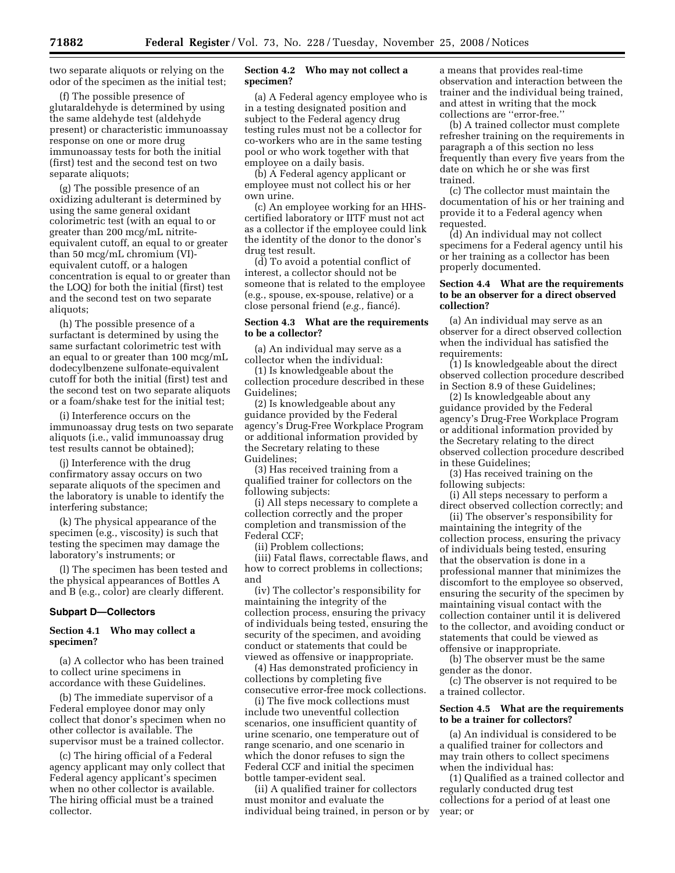two separate aliquots or relying on the odor of the specimen as the initial test;

(f) The possible presence of glutaraldehyde is determined by using the same aldehyde test (aldehyde present) or characteristic immunoassay response on one or more drug immunoassay tests for both the initial (first) test and the second test on two separate aliquots;

(g) The possible presence of an oxidizing adulterant is determined by using the same general oxidant colorimetric test (with an equal to or greater than 200 mcg/mL nitriteequivalent cutoff, an equal to or greater than 50 mcg/mL chromium (VI) equivalent cutoff, or a halogen concentration is equal to or greater than the LOQ) for both the initial (first) test and the second test on two separate aliquots;

(h) The possible presence of a surfactant is determined by using the same surfactant colorimetric test with an equal to or greater than 100 mcg/mL dodecylbenzene sulfonate-equivalent cutoff for both the initial (first) test and the second test on two separate aliquots or a foam/shake test for the initial test;

(i) Interference occurs on the immunoassay drug tests on two separate aliquots (i.e., valid immunoassay drug test results cannot be obtained);

(j) Interference with the drug confirmatory assay occurs on two separate aliquots of the specimen and the laboratory is unable to identify the interfering substance;

(k) The physical appearance of the specimen (e.g., viscosity) is such that testing the specimen may damage the laboratory's instruments; or

(l) The specimen has been tested and the physical appearances of Bottles A and B (e.g., color) are clearly different.

## **Subpart D—Collectors**

## **Section 4.1 Who may collect a specimen?**

(a) A collector who has been trained to collect urine specimens in accordance with these Guidelines.

(b) The immediate supervisor of a Federal employee donor may only collect that donor's specimen when no other collector is available. The supervisor must be a trained collector.

(c) The hiring official of a Federal agency applicant may only collect that Federal agency applicant's specimen when no other collector is available. The hiring official must be a trained collector.

# **Section 4.2 Who may not collect a specimen?**

(a) A Federal agency employee who is in a testing designated position and subject to the Federal agency drug testing rules must not be a collector for co-workers who are in the same testing pool or who work together with that employee on a daily basis.

(b) A Federal agency applicant or employee must not collect his or her own urine.

(c) An employee working for an HHScertified laboratory or IITF must not act as a collector if the employee could link the identity of the donor to the donor's drug test result.

(d) To avoid a potential conflict of interest, a collector should not be someone that is related to the employee (e.g., spouse, ex-spouse, relative) or a close personal friend (e.g., fiancé).

# **Section 4.3 What are the requirements to be a collector?**

(a) An individual may serve as a collector when the individual:

(1) Is knowledgeable about the collection procedure described in these Guidelines;

(2) Is knowledgeable about any guidance provided by the Federal agency's Drug-Free Workplace Program or additional information provided by the Secretary relating to these Guidelines;

(3) Has received training from a qualified trainer for collectors on the following subjects:

(i) All steps necessary to complete a collection correctly and the proper completion and transmission of the Federal CCF;

(ii) Problem collections;

(iii) Fatal flaws, correctable flaws, and how to correct problems in collections; and

(iv) The collector's responsibility for maintaining the integrity of the collection process, ensuring the privacy of individuals being tested, ensuring the security of the specimen, and avoiding conduct or statements that could be viewed as offensive or inappropriate.

(4) Has demonstrated proficiency in collections by completing five consecutive error-free mock collections.

(i) The five mock collections must include two uneventful collection scenarios, one insufficient quantity of urine scenario, one temperature out of range scenario, and one scenario in which the donor refuses to sign the Federal CCF and initial the specimen bottle tamper-evident seal.

(ii) A qualified trainer for collectors must monitor and evaluate the individual being trained, in person or by a means that provides real-time observation and interaction between the trainer and the individual being trained, and attest in writing that the mock collections are ''error-free.''

(b) A trained collector must complete refresher training on the requirements in paragraph a of this section no less frequently than every five years from the date on which he or she was first trained.

(c) The collector must maintain the documentation of his or her training and provide it to a Federal agency when requested.

(d) An individual may not collect specimens for a Federal agency until his or her training as a collector has been properly documented.

# **Section 4.4 What are the requirements to be an observer for a direct observed collection?**

(a) An individual may serve as an observer for a direct observed collection when the individual has satisfied the requirements:

(1) Is knowledgeable about the direct observed collection procedure described in Section 8.9 of these Guidelines;

(2) Is knowledgeable about any guidance provided by the Federal agency's Drug-Free Workplace Program or additional information provided by the Secretary relating to the direct observed collection procedure described in these Guidelines;

(3) Has received training on the following subjects:

(i) All steps necessary to perform a direct observed collection correctly; and

(ii) The observer's responsibility for maintaining the integrity of the collection process, ensuring the privacy of individuals being tested, ensuring that the observation is done in a professional manner that minimizes the discomfort to the employee so observed, ensuring the security of the specimen by maintaining visual contact with the collection container until it is delivered to the collector, and avoiding conduct or statements that could be viewed as offensive or inappropriate.

(b) The observer must be the same gender as the donor.

(c) The observer is not required to be a trained collector.

## **Section 4.5 What are the requirements to be a trainer for collectors?**

(a) An individual is considered to be a qualified trainer for collectors and may train others to collect specimens when the individual has:

(1) Qualified as a trained collector and regularly conducted drug test collections for a period of at least one year; or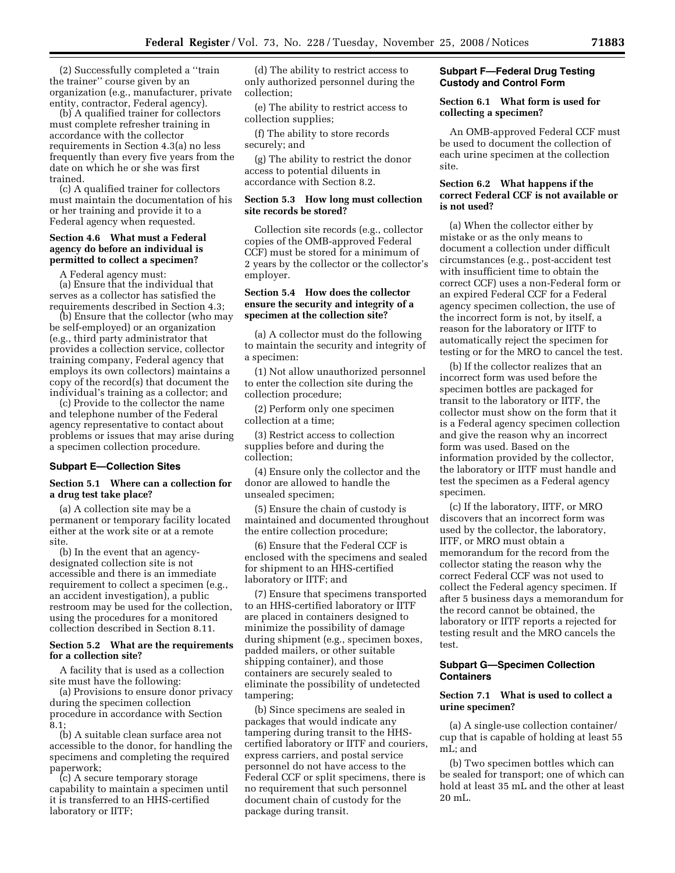(2) Successfully completed a ''train the trainer'' course given by an organization (e.g., manufacturer, private entity, contractor, Federal agency).

(b) A qualified trainer for collectors must complete refresher training in accordance with the collector requirements in Section 4.3(a) no less frequently than every five years from the date on which he or she was first trained.

(c) A qualified trainer for collectors must maintain the documentation of his or her training and provide it to a Federal agency when requested.

# **Section 4.6 What must a Federal agency do before an individual is permitted to collect a specimen?**

A Federal agency must: (a) Ensure that the individual that serves as a collector has satisfied the requirements described in Section 4.3;

(b) Ensure that the collector (who may be self-employed) or an organization (e.g., third party administrator that provides a collection service, collector training company, Federal agency that employs its own collectors) maintains a copy of the record(s) that document the individual's training as a collector; and

(c) Provide to the collector the name and telephone number of the Federal agency representative to contact about problems or issues that may arise during a specimen collection procedure.

#### **Subpart E—Collection Sites**

## **Section 5.1 Where can a collection for a drug test take place?**

(a) A collection site may be a permanent or temporary facility located either at the work site or at a remote site.

(b) In the event that an agencydesignated collection site is not accessible and there is an immediate requirement to collect a specimen (e.g., an accident investigation), a public restroom may be used for the collection, using the procedures for a monitored collection described in Section 8.11.

# **Section 5.2 What are the requirements for a collection site?**

A facility that is used as a collection site must have the following:

(a) Provisions to ensure donor privacy during the specimen collection procedure in accordance with Section 8.1;

(b) A suitable clean surface area not accessible to the donor, for handling the specimens and completing the required paperwork;

(c) A secure temporary storage capability to maintain a specimen until it is transferred to an HHS-certified laboratory or IITF;

(d) The ability to restrict access to only authorized personnel during the collection;

(e) The ability to restrict access to collection supplies;

(f) The ability to store records securely; and

(g) The ability to restrict the donor access to potential diluents in accordance with Section 8.2.

## **Section 5.3 How long must collection site records be stored?**

Collection site records (e.g., collector copies of the OMB-approved Federal CCF) must be stored for a minimum of 2 years by the collector or the collector's employer.

# **Section 5.4 How does the collector ensure the security and integrity of a specimen at the collection site?**

(a) A collector must do the following to maintain the security and integrity of a specimen:

(1) Not allow unauthorized personnel to enter the collection site during the collection procedure;

(2) Perform only one specimen collection at a time;

(3) Restrict access to collection supplies before and during the collection;

(4) Ensure only the collector and the donor are allowed to handle the unsealed specimen;

(5) Ensure the chain of custody is maintained and documented throughout the entire collection procedure;

(6) Ensure that the Federal CCF is enclosed with the specimens and sealed for shipment to an HHS-certified laboratory or IITF; and

(7) Ensure that specimens transported to an HHS-certified laboratory or IITF are placed in containers designed to minimize the possibility of damage during shipment (e.g., specimen boxes, padded mailers, or other suitable shipping container), and those containers are securely sealed to eliminate the possibility of undetected tampering;

(b) Since specimens are sealed in packages that would indicate any tampering during transit to the HHScertified laboratory or IITF and couriers, express carriers, and postal service personnel do not have access to the Federal CCF or split specimens, there is no requirement that such personnel document chain of custody for the package during transit.

# **Subpart F—Federal Drug Testing Custody and Control Form**

# **Section 6.1 What form is used for collecting a specimen?**

An OMB-approved Federal CCF must be used to document the collection of each urine specimen at the collection site.

# **Section 6.2 What happens if the correct Federal CCF is not available or is not used?**

(a) When the collector either by mistake or as the only means to document a collection under difficult circumstances (e.g., post-accident test with insufficient time to obtain the correct CCF) uses a non-Federal form or an expired Federal CCF for a Federal agency specimen collection, the use of the incorrect form is not, by itself, a reason for the laboratory or IITF to automatically reject the specimen for testing or for the MRO to cancel the test.

(b) If the collector realizes that an incorrect form was used before the specimen bottles are packaged for transit to the laboratory or IITF, the collector must show on the form that it is a Federal agency specimen collection and give the reason why an incorrect form was used. Based on the information provided by the collector, the laboratory or IITF must handle and test the specimen as a Federal agency specimen.

(c) If the laboratory, IITF, or MRO discovers that an incorrect form was used by the collector, the laboratory, IITF, or MRO must obtain a memorandum for the record from the collector stating the reason why the correct Federal CCF was not used to collect the Federal agency specimen. If after 5 business days a memorandum for the record cannot be obtained, the laboratory or IITF reports a rejected for testing result and the MRO cancels the test.

# **Subpart G—Specimen Collection Containers**

# **Section 7.1 What is used to collect a urine specimen?**

(a) A single-use collection container/ cup that is capable of holding at least 55 mL; and

(b) Two specimen bottles which can be sealed for transport; one of which can hold at least 35 mL and the other at least 20 mL.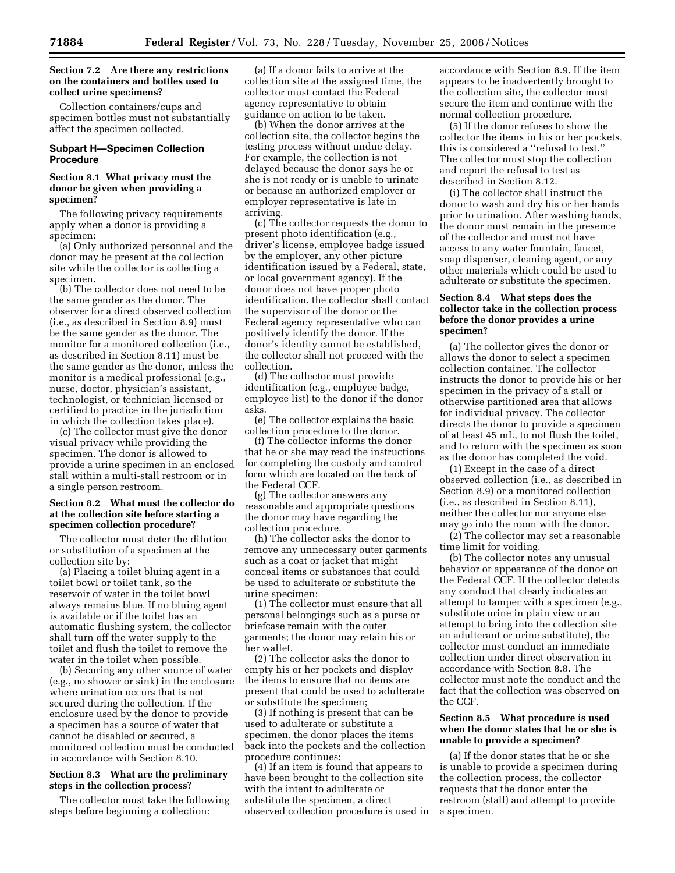# **Section 7.2 Are there any restrictions on the containers and bottles used to collect urine specimens?**

Collection containers/cups and specimen bottles must not substantially affect the specimen collected.

## **Subpart H—Specimen Collection Procedure**

# **Section 8.1 What privacy must the donor be given when providing a specimen?**

The following privacy requirements apply when a donor is providing a specimen:

(a) Only authorized personnel and the donor may be present at the collection site while the collector is collecting a specimen.

(b) The collector does not need to be the same gender as the donor. The observer for a direct observed collection (i.e., as described in Section 8.9) must be the same gender as the donor. The monitor for a monitored collection (i.e., as described in Section 8.11) must be the same gender as the donor, unless the monitor is a medical professional (e.g., nurse, doctor, physician's assistant, technologist, or technician licensed or certified to practice in the jurisdiction in which the collection takes place).

(c) The collector must give the donor visual privacy while providing the specimen. The donor is allowed to provide a urine specimen in an enclosed stall within a multi-stall restroom or in a single person restroom.

# **Section 8.2 What must the collector do at the collection site before starting a specimen collection procedure?**

The collector must deter the dilution or substitution of a specimen at the collection site by:

(a) Placing a toilet bluing agent in a toilet bowl or toilet tank, so the reservoir of water in the toilet bowl always remains blue. If no bluing agent is available or if the toilet has an automatic flushing system, the collector shall turn off the water supply to the toilet and flush the toilet to remove the water in the toilet when possible.

(b) Securing any other source of water (e.g., no shower or sink) in the enclosure where urination occurs that is not secured during the collection. If the enclosure used by the donor to provide a specimen has a source of water that cannot be disabled or secured, a monitored collection must be conducted in accordance with Section 8.10.

## **Section 8.3 What are the preliminary steps in the collection process?**

The collector must take the following steps before beginning a collection:

(a) If a donor fails to arrive at the collection site at the assigned time, the collector must contact the Federal agency representative to obtain guidance on action to be taken.

(b) When the donor arrives at the collection site, the collector begins the testing process without undue delay. For example, the collection is not delayed because the donor says he or she is not ready or is unable to urinate or because an authorized employer or employer representative is late in arriving.

(c) The collector requests the donor to present photo identification (e.g., driver's license, employee badge issued by the employer, any other picture identification issued by a Federal, state, or local government agency). If the donor does not have proper photo identification, the collector shall contact the supervisor of the donor or the Federal agency representative who can positively identify the donor. If the donor's identity cannot be established, the collector shall not proceed with the collection.

(d) The collector must provide identification (e.g., employee badge, employee list) to the donor if the donor asks.

(e) The collector explains the basic collection procedure to the donor.

(f) The collector informs the donor that he or she may read the instructions for completing the custody and control form which are located on the back of the Federal CCF.

(g) The collector answers any reasonable and appropriate questions the donor may have regarding the collection procedure.

(h) The collector asks the donor to remove any unnecessary outer garments such as a coat or jacket that might conceal items or substances that could be used to adulterate or substitute the urine specimen:

(1) The collector must ensure that all personal belongings such as a purse or briefcase remain with the outer garments; the donor may retain his or her wallet.

(2) The collector asks the donor to empty his or her pockets and display the items to ensure that no items are present that could be used to adulterate or substitute the specimen;

(3) If nothing is present that can be used to adulterate or substitute a specimen, the donor places the items back into the pockets and the collection procedure continues;

(4) If an item is found that appears to have been brought to the collection site with the intent to adulterate or substitute the specimen, a direct observed collection procedure is used in accordance with Section 8.9. If the item appears to be inadvertently brought to the collection site, the collector must secure the item and continue with the normal collection procedure.

(5) If the donor refuses to show the collector the items in his or her pockets, this is considered a ''refusal to test.'' The collector must stop the collection and report the refusal to test as described in Section 8.12.

(i) The collector shall instruct the donor to wash and dry his or her hands prior to urination. After washing hands, the donor must remain in the presence of the collector and must not have access to any water fountain, faucet, soap dispenser, cleaning agent, or any other materials which could be used to adulterate or substitute the specimen.

# **Section 8.4 What steps does the collector take in the collection process before the donor provides a urine specimen?**

(a) The collector gives the donor or allows the donor to select a specimen collection container. The collector instructs the donor to provide his or her specimen in the privacy of a stall or otherwise partitioned area that allows for individual privacy. The collector directs the donor to provide a specimen of at least 45 mL, to not flush the toilet, and to return with the specimen as soon as the donor has completed the void.

(1) Except in the case of a direct observed collection (i.e., as described in Section 8.9) or a monitored collection (i.e., as described in Section 8.11), neither the collector nor anyone else may go into the room with the donor.

(2) The collector may set a reasonable time limit for voiding.

(b) The collector notes any unusual behavior or appearance of the donor on the Federal CCF. If the collector detects any conduct that clearly indicates an attempt to tamper with a specimen (e.g., substitute urine in plain view or an attempt to bring into the collection site an adulterant or urine substitute), the collector must conduct an immediate collection under direct observation in accordance with Section 8.8. The collector must note the conduct and the fact that the collection was observed on the CCF.

# **Section 8.5 What procedure is used when the donor states that he or she is unable to provide a specimen?**

(a) If the donor states that he or she is unable to provide a specimen during the collection process, the collector requests that the donor enter the restroom (stall) and attempt to provide a specimen.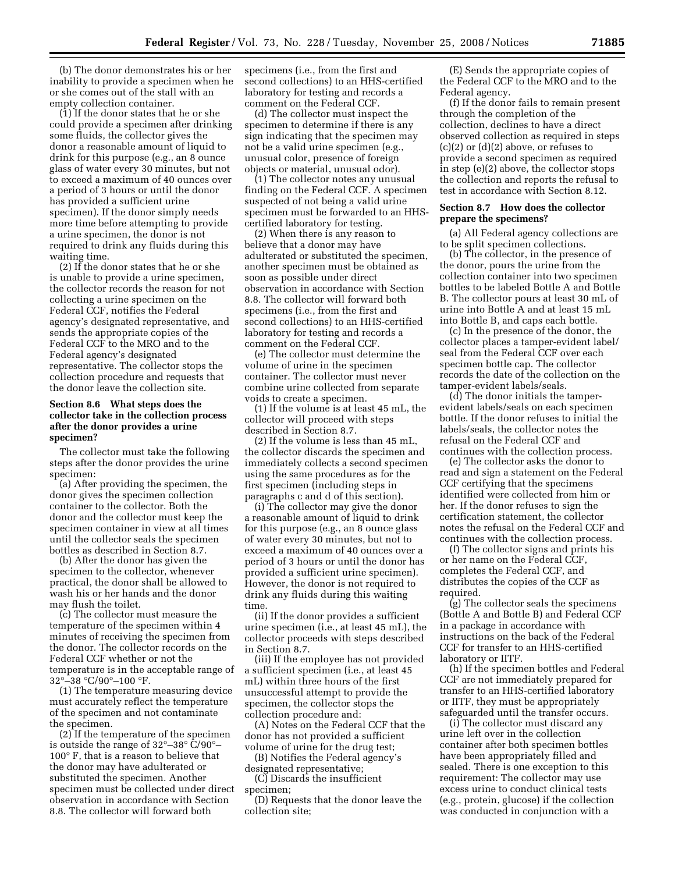(b) The donor demonstrates his or her inability to provide a specimen when he or she comes out of the stall with an empty collection container.

(1) If the donor states that he or she could provide a specimen after drinking some fluids, the collector gives the donor a reasonable amount of liquid to drink for this purpose (e.g., an 8 ounce glass of water every 30 minutes, but not to exceed a maximum of 40 ounces over a period of 3 hours or until the donor has provided a sufficient urine specimen). If the donor simply needs more time before attempting to provide a urine specimen, the donor is not required to drink any fluids during this waiting time.

(2) If the donor states that he or she is unable to provide a urine specimen, the collector records the reason for not collecting a urine specimen on the Federal CCF, notifies the Federal agency's designated representative, and sends the appropriate copies of the Federal CCF to the MRO and to the Federal agency's designated representative. The collector stops the collection procedure and requests that the donor leave the collection site.

# **Section 8.6 What steps does the collector take in the collection process after the donor provides a urine specimen?**

The collector must take the following steps after the donor provides the urine specimen:

(a) After providing the specimen, the donor gives the specimen collection container to the collector. Both the donor and the collector must keep the specimen container in view at all times until the collector seals the specimen bottles as described in Section 8.7.

(b) After the donor has given the specimen to the collector, whenever practical, the donor shall be allowed to wash his or her hands and the donor may flush the toilet.

(c) The collector must measure the temperature of the specimen within 4 minutes of receiving the specimen from the donor. The collector records on the Federal CCF whether or not the temperature is in the acceptable range of 32°–38 °C/90°–100 °F.

(1) The temperature measuring device must accurately reflect the temperature of the specimen and not contaminate the specimen.

(2) If the temperature of the specimen is outside the range of  $32^{\circ} - 38^{\circ}$  C/90°– 100° F, that is a reason to believe that the donor may have adulterated or substituted the specimen. Another specimen must be collected under direct observation in accordance with Section 8.8. The collector will forward both

specimens (i.e., from the first and second collections) to an HHS-certified laboratory for testing and records a comment on the Federal CCF.

(d) The collector must inspect the specimen to determine if there is any sign indicating that the specimen may not be a valid urine specimen (e.g., unusual color, presence of foreign objects or material, unusual odor).

(1) The collector notes any unusual finding on the Federal CCF. A specimen suspected of not being a valid urine specimen must be forwarded to an HHScertified laboratory for testing.

(2) When there is any reason to believe that a donor may have adulterated or substituted the specimen, another specimen must be obtained as soon as possible under direct observation in accordance with Section 8.8. The collector will forward both specimens (i.e., from the first and second collections) to an HHS-certified laboratory for testing and records a comment on the Federal CCF.

(e) The collector must determine the volume of urine in the specimen container. The collector must never combine urine collected from separate voids to create a specimen.

(1) If the volume is at least 45 mL, the collector will proceed with steps described in Section 8.7.

(2) If the volume is less than 45 mL, the collector discards the specimen and immediately collects a second specimen using the same procedures as for the first specimen (including steps in paragraphs c and d of this section).

(i) The collector may give the donor a reasonable amount of liquid to drink for this purpose (e.g., an 8 ounce glass of water every 30 minutes, but not to exceed a maximum of 40 ounces over a period of 3 hours or until the donor has provided a sufficient urine specimen). However, the donor is not required to drink any fluids during this waiting time.

(ii) If the donor provides a sufficient urine specimen (i.e., at least 45 mL), the collector proceeds with steps described in Section 8.7.

(iii) If the employee has not provided a sufficient specimen (i.e., at least 45 mL) within three hours of the first unsuccessful attempt to provide the specimen, the collector stops the collection procedure and:

(A) Notes on the Federal CCF that the donor has not provided a sufficient volume of urine for the drug test;

(B) Notifies the Federal agency's

designated representative; (C) Discards the insufficient

specimen;

(D) Requests that the donor leave the collection site;

(E) Sends the appropriate copies of the Federal CCF to the MRO and to the Federal agency.

(f) If the donor fails to remain present through the completion of the collection, declines to have a direct observed collection as required in steps (c)(2) or (d)(2) above, or refuses to provide a second specimen as required in step (e)(2) above, the collector stops the collection and reports the refusal to test in accordance with Section 8.12.

# **Section 8.7 How does the collector prepare the specimens?**

(a) All Federal agency collections are to be split specimen collections.

(b) The collector, in the presence of the donor, pours the urine from the collection container into two specimen bottles to be labeled Bottle A and Bottle B. The collector pours at least 30 mL of urine into Bottle A and at least 15 mL into Bottle B, and caps each bottle.

(c) In the presence of the donor, the collector places a tamper-evident label/ seal from the Federal CCF over each specimen bottle cap. The collector records the date of the collection on the tamper-evident labels/seals.

(d) The donor initials the tamperevident labels/seals on each specimen bottle. If the donor refuses to initial the labels/seals, the collector notes the refusal on the Federal CCF and continues with the collection process.

(e) The collector asks the donor to read and sign a statement on the Federal CCF certifying that the specimens identified were collected from him or her. If the donor refuses to sign the certification statement, the collector notes the refusal on the Federal CCF and continues with the collection process.

(f) The collector signs and prints his or her name on the Federal CCF, completes the Federal CCF, and distributes the copies of the CCF as required.

(g) The collector seals the specimens (Bottle A and Bottle B) and Federal CCF in a package in accordance with instructions on the back of the Federal CCF for transfer to an HHS-certified laboratory or IITF.

(h) If the specimen bottles and Federal CCF are not immediately prepared for transfer to an HHS-certified laboratory or IITF, they must be appropriately safeguarded until the transfer occurs.

(i) The collector must discard any urine left over in the collection container after both specimen bottles have been appropriately filled and sealed. There is one exception to this requirement: The collector may use excess urine to conduct clinical tests (e.g., protein, glucose) if the collection was conducted in conjunction with a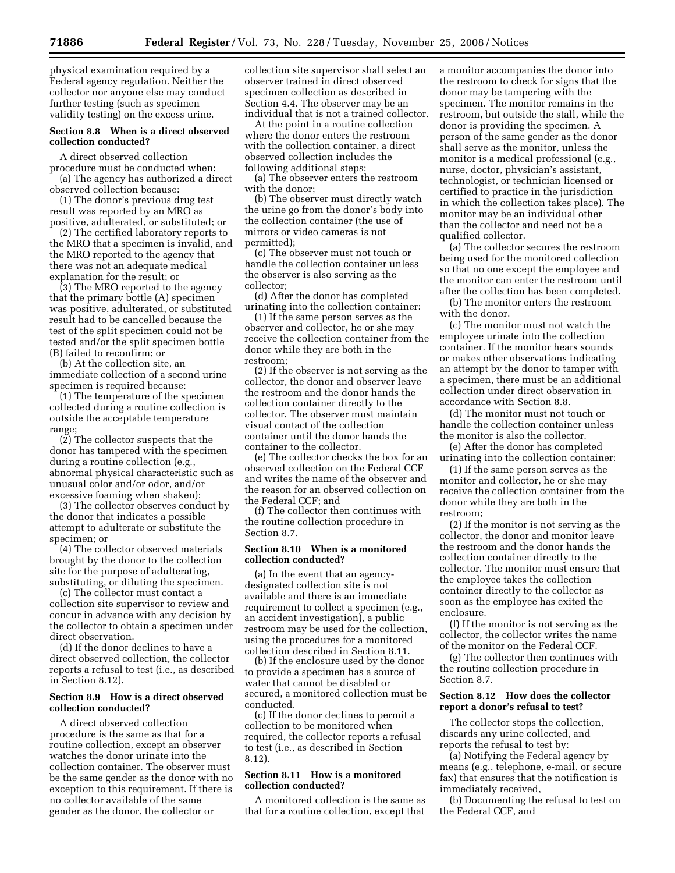physical examination required by a Federal agency regulation. Neither the collector nor anyone else may conduct further testing (such as specimen validity testing) on the excess urine.

# **Section 8.8 When is a direct observed collection conducted?**

A direct observed collection procedure must be conducted when: (a) The agency has authorized a direct

observed collection because: (1) The donor's previous drug test

result was reported by an MRO as positive, adulterated, or substituted; or

(2) The certified laboratory reports to the MRO that a specimen is invalid, and the MRO reported to the agency that there was not an adequate medical explanation for the result; or

(3) The MRO reported to the agency that the primary bottle (A) specimen was positive, adulterated, or substituted result had to be cancelled because the test of the split specimen could not be tested and/or the split specimen bottle (B) failed to reconfirm; or

(b) At the collection site, an immediate collection of a second urine specimen is required because:

(1) The temperature of the specimen collected during a routine collection is outside the acceptable temperature range;

(2) The collector suspects that the donor has tampered with the specimen during a routine collection (e.g., abnormal physical characteristic such as unusual color and/or odor, and/or excessive foaming when shaken);

(3) The collector observes conduct by the donor that indicates a possible attempt to adulterate or substitute the specimen; or

(4) The collector observed materials brought by the donor to the collection site for the purpose of adulterating, substituting, or diluting the specimen.

(c) The collector must contact a collection site supervisor to review and concur in advance with any decision by the collector to obtain a specimen under direct observation.

(d) If the donor declines to have a direct observed collection, the collector reports a refusal to test (i.e., as described in Section 8.12).

# **Section 8.9 How is a direct observed collection conducted?**

A direct observed collection procedure is the same as that for a routine collection, except an observer watches the donor urinate into the collection container. The observer must be the same gender as the donor with no exception to this requirement. If there is no collector available of the same gender as the donor, the collector or

collection site supervisor shall select an observer trained in direct observed specimen collection as described in Section 4.4. The observer may be an individual that is not a trained collector.

At the point in a routine collection where the donor enters the restroom with the collection container, a direct observed collection includes the following additional steps:

(a) The observer enters the restroom with the donor;

(b) The observer must directly watch the urine go from the donor's body into the collection container (the use of mirrors or video cameras is not permitted);

(c) The observer must not touch or handle the collection container unless the observer is also serving as the collector;

(d) After the donor has completed urinating into the collection container:

(1) If the same person serves as the observer and collector, he or she may receive the collection container from the donor while they are both in the restroom;

(2) If the observer is not serving as the collector, the donor and observer leave the restroom and the donor hands the collection container directly to the collector. The observer must maintain visual contact of the collection container until the donor hands the container to the collector.

(e) The collector checks the box for an observed collection on the Federal CCF and writes the name of the observer and the reason for an observed collection on the Federal CCF; and

(f) The collector then continues with the routine collection procedure in Section 8.7.

## **Section 8.10 When is a monitored collection conducted?**

(a) In the event that an agencydesignated collection site is not available and there is an immediate requirement to collect a specimen (e.g., an accident investigation), a public restroom may be used for the collection, using the procedures for a monitored collection described in Section 8.11.

(b) If the enclosure used by the donor to provide a specimen has a source of water that cannot be disabled or secured, a monitored collection must be conducted.

(c) If the donor declines to permit a collection to be monitored when required, the collector reports a refusal to test (i.e., as described in Section 8.12).

# **Section 8.11 How is a monitored collection conducted?**

A monitored collection is the same as that for a routine collection, except that

a monitor accompanies the donor into the restroom to check for signs that the donor may be tampering with the specimen. The monitor remains in the restroom, but outside the stall, while the donor is providing the specimen. A person of the same gender as the donor shall serve as the monitor, unless the monitor is a medical professional (e.g., nurse, doctor, physician's assistant, technologist, or technician licensed or certified to practice in the jurisdiction in which the collection takes place). The monitor may be an individual other than the collector and need not be a qualified collector.

(a) The collector secures the restroom being used for the monitored collection so that no one except the employee and the monitor can enter the restroom until after the collection has been completed.

(b) The monitor enters the restroom with the donor.

(c) The monitor must not watch the employee urinate into the collection container. If the monitor hears sounds or makes other observations indicating an attempt by the donor to tamper with a specimen, there must be an additional collection under direct observation in accordance with Section 8.8.

(d) The monitor must not touch or handle the collection container unless the monitor is also the collector.

(e) After the donor has completed urinating into the collection container:

(1) If the same person serves as the monitor and collector, he or she may receive the collection container from the donor while they are both in the restroom;

(2) If the monitor is not serving as the collector, the donor and monitor leave the restroom and the donor hands the collection container directly to the collector. The monitor must ensure that the employee takes the collection container directly to the collector as soon as the employee has exited the enclosure.

(f) If the monitor is not serving as the collector, the collector writes the name of the monitor on the Federal CCF.

(g) The collector then continues with the routine collection procedure in Section 8.7.

# **Section 8.12 How does the collector report a donor's refusal to test?**

The collector stops the collection, discards any urine collected, and reports the refusal to test by:

(a) Notifying the Federal agency by means (e.g., telephone, e-mail, or secure fax) that ensures that the notification is immediately received,

(b) Documenting the refusal to test on the Federal CCF, and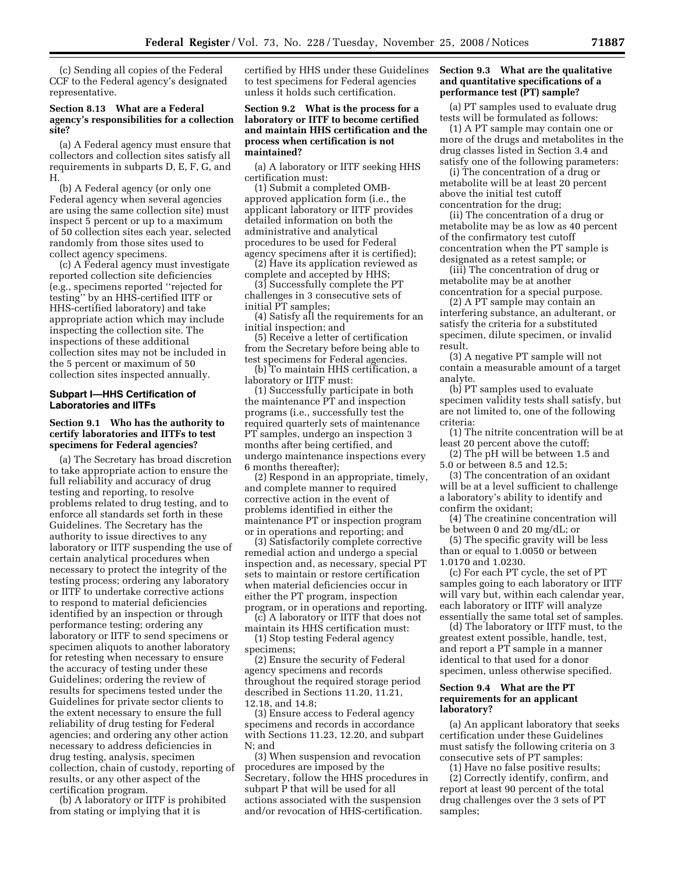(c) Sending all copies of the Federal CCF to the Federal agency's designated representative.

# **Section 8.13 What are a Federal agency's responsibilities for a collection site?**

(a) A Federal agency must ensure that collectors and collection sites satisfy all requirements in subparts D, E, F, G, and H.

(b) A Federal agency (or only one Federal agency when several agencies are using the same collection site) must inspect 5 percent or up to a maximum of 50 collection sites each year, selected randomly from those sites used to collect agency specimens.

(c) A Federal agency must investigate reported collection site deficiencies (e.g., specimens reported ''rejected for testing'' by an HHS-certified IITF or HHS-certified laboratory) and take appropriate action which may include inspecting the collection site. The inspections of these additional collection sites may not be included in the 5 percent or maximum of 50 collection sites inspected annually.

## **Subpart I—HHS Certification of Laboratories and IITFs**

# **Section 9.1 Who has the authority to certify laboratories and IITFs to test specimens for Federal agencies?**

(a) The Secretary has broad discretion to take appropriate action to ensure the full reliability and accuracy of drug testing and reporting, to resolve problems related to drug testing, and to enforce all standards set forth in these Guidelines. The Secretary has the authority to issue directives to any laboratory or IITF suspending the use of certain analytical procedures when necessary to protect the integrity of the testing process; ordering any laboratory or IITF to undertake corrective actions to respond to material deficiencies identified by an inspection or through performance testing; ordering any laboratory or IITF to send specimens or specimen aliquots to another laboratory for retesting when necessary to ensure the accuracy of testing under these Guidelines; ordering the review of results for specimens tested under the Guidelines for private sector clients to the extent necessary to ensure the full reliability of drug testing for Federal agencies; and ordering any other action necessary to address deficiencies in drug testing, analysis, specimen collection, chain of custody, reporting of results, or any other aspect of the certification program.

(b) A laboratory or IITF is prohibited from stating or implying that it is

certified by HHS under these Guidelines to test specimens for Federal agencies unless it holds such certification.

# **Section 9.2 What is the process for a laboratory or IITF to become certified and maintain HHS certification and the process when certification is not maintained?**

(a) A laboratory or IITF seeking HHS certification must:

(1) Submit a completed OMBapproved application form (i.e., the applicant laboratory or IITF provides detailed information on both the administrative and analytical procedures to be used for Federal agency specimens after it is certified);

(2) Have its application reviewed as complete and accepted by HHS;

(3) Successfully complete the PT challenges in 3 consecutive sets of initial PT samples;

(4) Satisfy all the requirements for an initial inspection; and

(5) Receive a letter of certification from the Secretary before being able to test specimens for Federal agencies.

(b) To maintain HHS certification, a laboratory or IITF must:

(1) Successfully participate in both the maintenance PT and inspection programs (i.e., successfully test the required quarterly sets of maintenance PT samples, undergo an inspection 3 months after being certified, and undergo maintenance inspections every 6 months thereafter);

(2) Respond in an appropriate, timely, and complete manner to required corrective action in the event of problems identified in either the maintenance PT or inspection program or in operations and reporting; and

(3) Satisfactorily complete corrective remedial action and undergo a special inspection and, as necessary, special PT sets to maintain or restore certification when material deficiencies occur in either the PT program, inspection program, or in operations and reporting.

(c) A laboratory or IITF that does not

maintain its HHS certification must: (1) Stop testing Federal agency specimens;

(2) Ensure the security of Federal agency specimens and records throughout the required storage period described in Sections 11.20, 11.21, 12.18, and 14.8;

(3) Ensure access to Federal agency specimens and records in accordance with Sections 11.23, 12.20, and subpart N; and

(3) When suspension and revocation procedures are imposed by the Secretary, follow the HHS procedures in subpart P that will be used for all actions associated with the suspension and/or revocation of HHS-certification.

# **Section 9.3 What are the qualitative and quantitative specifications of a performance test (PT) sample?**

(a) PT samples used to evaluate drug tests will be formulated as follows:

(1) A PT sample may contain one or more of the drugs and metabolites in the drug classes listed in Section 3.4 and satisfy one of the following parameters:

(i) The concentration of a drug or metabolite will be at least 20 percent above the initial test cutoff concentration for the drug;

(ii) The concentration of a drug or metabolite may be as low as 40 percent of the confirmatory test cutoff concentration when the PT sample is designated as a retest sample; or

(iii) The concentration of drug or metabolite may be at another concentration for a special purpose.

(2) A PT sample may contain an interfering substance, an adulterant, or satisfy the criteria for a substituted specimen, dilute specimen, or invalid result.

(3) A negative PT sample will not contain a measurable amount of a target analyte.

(b) PT samples used to evaluate specimen validity tests shall satisfy, but are not limited to, one of the following criteria:

(1) The nitrite concentration will be at least 20 percent above the cutoff;

(2) The pH will be between 1.5 and 5.0 or between 8.5 and 12.5;

(3) The concentration of an oxidant will be at a level sufficient to challenge a laboratory's ability to identify and confirm the oxidant;

(4) The creatinine concentration will be between 0 and 20 mg/dL; or

(5) The specific gravity will be less than or equal to 1.0050 or between 1.0170 and 1.0230.

(c) For each PT cycle, the set of PT samples going to each laboratory or IITF will vary but, within each calendar year, each laboratory or IITF will analyze essentially the same total set of samples.

(d) The laboratory or IITF must, to the greatest extent possible, handle, test, and report a PT sample in a manner identical to that used for a donor specimen, unless otherwise specified.

#### **Section 9.4 What are the PT requirements for an applicant laboratory?**

(a) An applicant laboratory that seeks certification under these Guidelines must satisfy the following criteria on 3 consecutive sets of PT samples:

(1) Have no false positive results; (2) Correctly identify, confirm, and report at least 90 percent of the total drug challenges over the 3 sets of PT samples;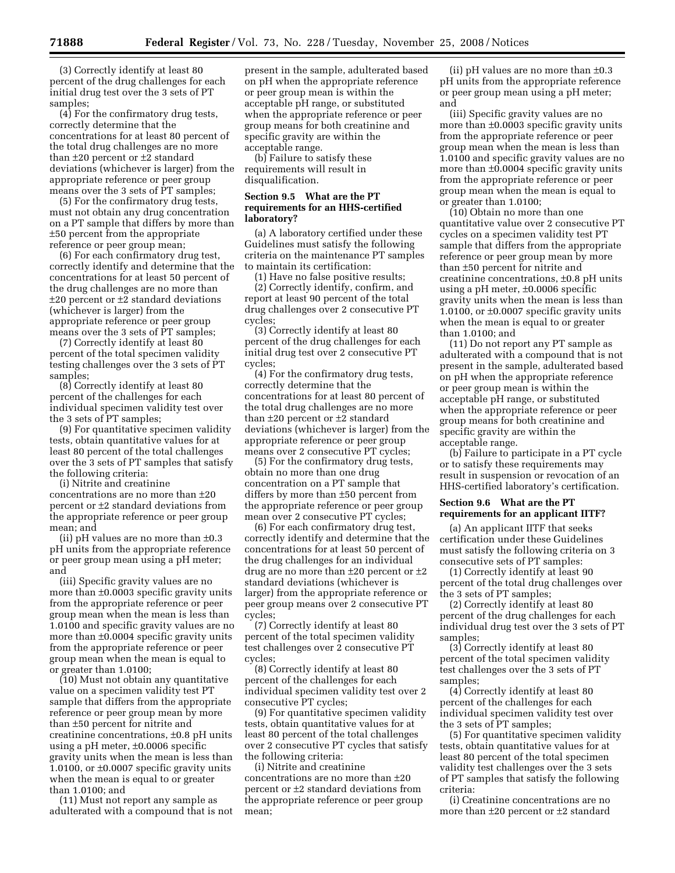(3) Correctly identify at least 80 percent of the drug challenges for each initial drug test over the 3 sets of PT samples;

(4) For the confirmatory drug tests, correctly determine that the concentrations for at least 80 percent of the total drug challenges are no more than ±20 percent or ±2 standard deviations (whichever is larger) from the appropriate reference or peer group means over the 3 sets of PT samples;

(5) For the confirmatory drug tests, must not obtain any drug concentration on a PT sample that differs by more than ±50 percent from the appropriate reference or peer group mean;

(6) For each confirmatory drug test, correctly identify and determine that the concentrations for at least 50 percent of the drug challenges are no more than  $\pm 20$  percent or  $\pm 2$  standard deviations (whichever is larger) from the appropriate reference or peer group means over the 3 sets of PT samples;

(7) Correctly identify at least 80 percent of the total specimen validity testing challenges over the 3 sets of PT samples;

(8) Correctly identify at least 80 percent of the challenges for each individual specimen validity test over the 3 sets of PT samples;

(9) For quantitative specimen validity tests, obtain quantitative values for at least 80 percent of the total challenges over the 3 sets of PT samples that satisfy the following criteria:

(i) Nitrite and creatinine concentrations are no more than ±20 percent or ±2 standard deviations from the appropriate reference or peer group mean; and

(ii) pH values are no more than ±0.3 pH units from the appropriate reference or peer group mean using a pH meter; and

(iii) Specific gravity values are no more than ±0.0003 specific gravity units from the appropriate reference or peer group mean when the mean is less than 1.0100 and specific gravity values are no more than ±0.0004 specific gravity units from the appropriate reference or peer group mean when the mean is equal to or greater than 1.0100;

(10) Must not obtain any quantitative value on a specimen validity test PT sample that differs from the appropriate reference or peer group mean by more than ±50 percent for nitrite and creatinine concentrations, ±0.8 pH units using a pH meter, ±0.0006 specific gravity units when the mean is less than 1.0100, or  $\pm 0.0007$  specific gravity units when the mean is equal to or greater than 1.0100; and

(11) Must not report any sample as adulterated with a compound that is not present in the sample, adulterated based on pH when the appropriate reference or peer group mean is within the acceptable pH range, or substituted when the appropriate reference or peer group means for both creatinine and specific gravity are within the acceptable range.

(b) Failure to satisfy these requirements will result in disqualification.

## **Section 9.5 What are the PT requirements for an HHS-certified laboratory?**

(a) A laboratory certified under these Guidelines must satisfy the following criteria on the maintenance PT samples to maintain its certification:

(1) Have no false positive results;

(2) Correctly identify, confirm, and report at least 90 percent of the total drug challenges over 2 consecutive PT cycles;

(3) Correctly identify at least 80 percent of the drug challenges for each initial drug test over 2 consecutive PT cycles;

(4) For the confirmatory drug tests, correctly determine that the concentrations for at least 80 percent of the total drug challenges are no more than ±20 percent or ±2 standard deviations (whichever is larger) from the appropriate reference or peer group means over 2 consecutive PT cycles;

(5) For the confirmatory drug tests, obtain no more than one drug concentration on a PT sample that differs by more than ±50 percent from the appropriate reference or peer group mean over 2 consecutive PT cycles;

(6) For each confirmatory drug test, correctly identify and determine that the concentrations for at least 50 percent of the drug challenges for an individual drug are no more than ±20 percent or ±2 standard deviations (whichever is larger) from the appropriate reference or peer group means over 2 consecutive PT cycles;

(7) Correctly identify at least 80 percent of the total specimen validity test challenges over 2 consecutive PT cycles;

(8) Correctly identify at least 80 percent of the challenges for each individual specimen validity test over 2 consecutive PT cycles;

(9) For quantitative specimen validity tests, obtain quantitative values for at least 80 percent of the total challenges over 2 consecutive PT cycles that satisfy the following criteria:

(i) Nitrite and creatinine concentrations are no more than ±20 percent or ±2 standard deviations from the appropriate reference or peer group mean;

(ii) pH values are no more than  $\pm 0.3$ pH units from the appropriate reference or peer group mean using a pH meter; and

(iii) Specific gravity values are no more than ±0.0003 specific gravity units from the appropriate reference or peer group mean when the mean is less than 1.0100 and specific gravity values are no more than ±0.0004 specific gravity units from the appropriate reference or peer group mean when the mean is equal to or greater than 1.0100;

(10) Obtain no more than one quantitative value over 2 consecutive PT cycles on a specimen validity test PT sample that differs from the appropriate reference or peer group mean by more than ±50 percent for nitrite and creatinine concentrations, ±0.8 pH units using a pH meter, ±0.0006 specific gravity units when the mean is less than 1.0100, or ±0.0007 specific gravity units when the mean is equal to or greater than 1.0100; and

(11) Do not report any PT sample as adulterated with a compound that is not present in the sample, adulterated based on pH when the appropriate reference or peer group mean is within the acceptable pH range, or substituted when the appropriate reference or peer group means for both creatinine and specific gravity are within the acceptable range.

(b) Failure to participate in a PT cycle or to satisfy these requirements may result in suspension or revocation of an HHS-certified laboratory's certification.

# **Section 9.6 What are the PT requirements for an applicant IITF?**

(a) An applicant IITF that seeks certification under these Guidelines must satisfy the following criteria on 3 consecutive sets of PT samples:

(1) Correctly identify at least 90 percent of the total drug challenges over the 3 sets of PT samples;

(2) Correctly identify at least 80 percent of the drug challenges for each individual drug test over the 3 sets of PT samples;

(3) Correctly identify at least 80 percent of the total specimen validity test challenges over the 3 sets of PT samples;

(4) Correctly identify at least 80 percent of the challenges for each individual specimen validity test over the 3 sets of PT samples;

(5) For quantitative specimen validity tests, obtain quantitative values for at least 80 percent of the total specimen validity test challenges over the 3 sets of PT samples that satisfy the following criteria:

(i) Creatinine concentrations are no more than ±20 percent or ±2 standard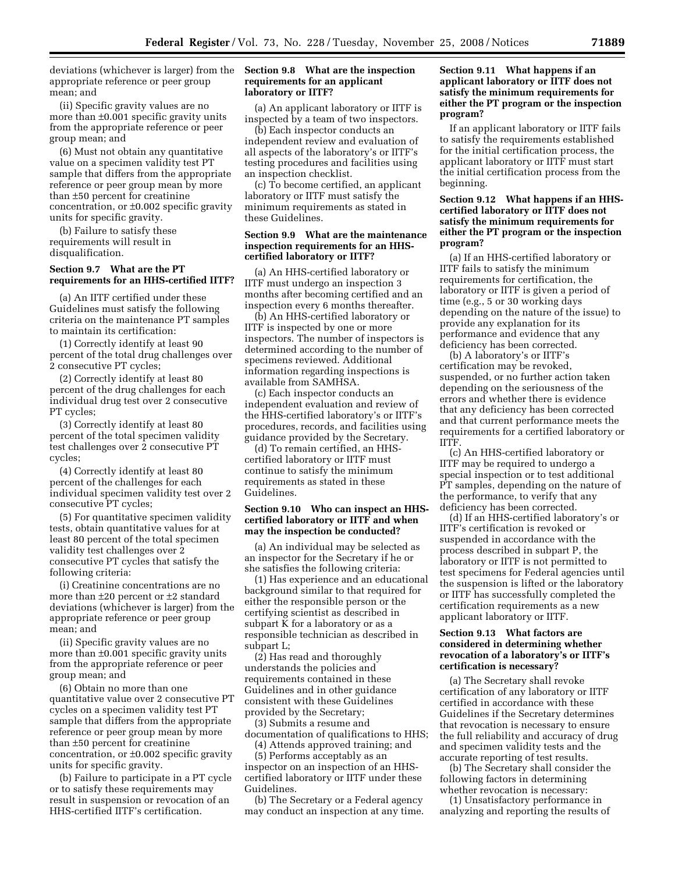deviations (whichever is larger) from the appropriate reference or peer group mean; and

(ii) Specific gravity values are no more than ±0.001 specific gravity units from the appropriate reference or peer group mean; and

(6) Must not obtain any quantitative value on a specimen validity test PT sample that differs from the appropriate reference or peer group mean by more than ±50 percent for creatinine concentration, or ±0.002 specific gravity units for specific gravity.

(b) Failure to satisfy these requirements will result in disqualification.

### **Section 9.7 What are the PT requirements for an HHS-certified IITF?**

(a) An IITF certified under these Guidelines must satisfy the following criteria on the maintenance PT samples to maintain its certification:

(1) Correctly identify at least 90 percent of the total drug challenges over 2 consecutive PT cycles;

(2) Correctly identify at least 80 percent of the drug challenges for each individual drug test over 2 consecutive PT cycles;

(3) Correctly identify at least 80 percent of the total specimen validity test challenges over 2 consecutive PT cycles;

(4) Correctly identify at least 80 percent of the challenges for each individual specimen validity test over 2 consecutive PT cycles;

(5) For quantitative specimen validity tests, obtain quantitative values for at least 80 percent of the total specimen validity test challenges over 2 consecutive PT cycles that satisfy the following criteria:

(i) Creatinine concentrations are no more than ±20 percent or ±2 standard deviations (whichever is larger) from the appropriate reference or peer group mean; and

(ii) Specific gravity values are no more than ±0.001 specific gravity units from the appropriate reference or peer group mean; and

(6) Obtain no more than one quantitative value over 2 consecutive PT cycles on a specimen validity test PT sample that differs from the appropriate reference or peer group mean by more than ±50 percent for creatinine concentration, or  $\pm 0.002$  specific gravity units for specific gravity.

(b) Failure to participate in a PT cycle or to satisfy these requirements may result in suspension or revocation of an HHS-certified IITF's certification.

## **Section 9.8 What are the inspection requirements for an applicant laboratory or IITF?**

(a) An applicant laboratory or IITF is inspected by a team of two inspectors.

(b) Each inspector conducts an independent review and evaluation of all aspects of the laboratory's or IITF's testing procedures and facilities using an inspection checklist.

(c) To become certified, an applicant laboratory or IITF must satisfy the minimum requirements as stated in these Guidelines.

# **Section 9.9 What are the maintenance inspection requirements for an HHScertified laboratory or IITF?**

(a) An HHS-certified laboratory or IITF must undergo an inspection 3 months after becoming certified and an inspection every 6 months thereafter.

(b) An HHS-certified laboratory or IITF is inspected by one or more inspectors. The number of inspectors is determined according to the number of specimens reviewed. Additional information regarding inspections is available from SAMHSA.

(c) Each inspector conducts an independent evaluation and review of the HHS-certified laboratory's or IITF's procedures, records, and facilities using guidance provided by the Secretary.

(d) To remain certified, an HHScertified laboratory or IITF must continue to satisfy the minimum requirements as stated in these Guidelines.

# **Section 9.10 Who can inspect an HHScertified laboratory or IITF and when may the inspection be conducted?**

(a) An individual may be selected as an inspector for the Secretary if he or she satisfies the following criteria:

(1) Has experience and an educational background similar to that required for either the responsible person or the certifying scientist as described in subpart K for a laboratory or as a responsible technician as described in subpart L;

(2) Has read and thoroughly understands the policies and requirements contained in these Guidelines and in other guidance consistent with these Guidelines provided by the Secretary;

(3) Submits a resume and documentation of qualifications to HHS;

(4) Attends approved training; and (5) Performs acceptably as an inspector on an inspection of an HHS-

certified laboratory or IITF under these Guidelines.

(b) The Secretary or a Federal agency may conduct an inspection at any time.

# **Section 9.11 What happens if an applicant laboratory or IITF does not satisfy the minimum requirements for either the PT program or the inspection program?**

If an applicant laboratory or IITF fails to satisfy the requirements established for the initial certification process, the applicant laboratory or IITF must start the initial certification process from the beginning.

# **Section 9.12 What happens if an HHScertified laboratory or IITF does not satisfy the minimum requirements for either the PT program or the inspection program?**

(a) If an HHS-certified laboratory or IITF fails to satisfy the minimum requirements for certification, the laboratory or IITF is given a period of time (e.g., 5 or 30 working days depending on the nature of the issue) to provide any explanation for its performance and evidence that any deficiency has been corrected.

(b) A laboratory's or IITF's certification may be revoked, suspended, or no further action taken depending on the seriousness of the errors and whether there is evidence that any deficiency has been corrected and that current performance meets the requirements for a certified laboratory or IITF.

(c) An HHS-certified laboratory or IITF may be required to undergo a special inspection or to test additional PT samples, depending on the nature of the performance, to verify that any deficiency has been corrected.

(d) If an HHS-certified laboratory's or IITF's certification is revoked or suspended in accordance with the process described in subpart P, the laboratory or IITF is not permitted to test specimens for Federal agencies until the suspension is lifted or the laboratory or IITF has successfully completed the certification requirements as a new applicant laboratory or IITF.

# **Section 9.13 What factors are considered in determining whether revocation of a laboratory's or IITF's certification is necessary?**

(a) The Secretary shall revoke certification of any laboratory or IITF certified in accordance with these Guidelines if the Secretary determines that revocation is necessary to ensure the full reliability and accuracy of drug and specimen validity tests and the accurate reporting of test results.

(b) The Secretary shall consider the following factors in determining whether revocation is necessary:

(1) Unsatisfactory performance in analyzing and reporting the results of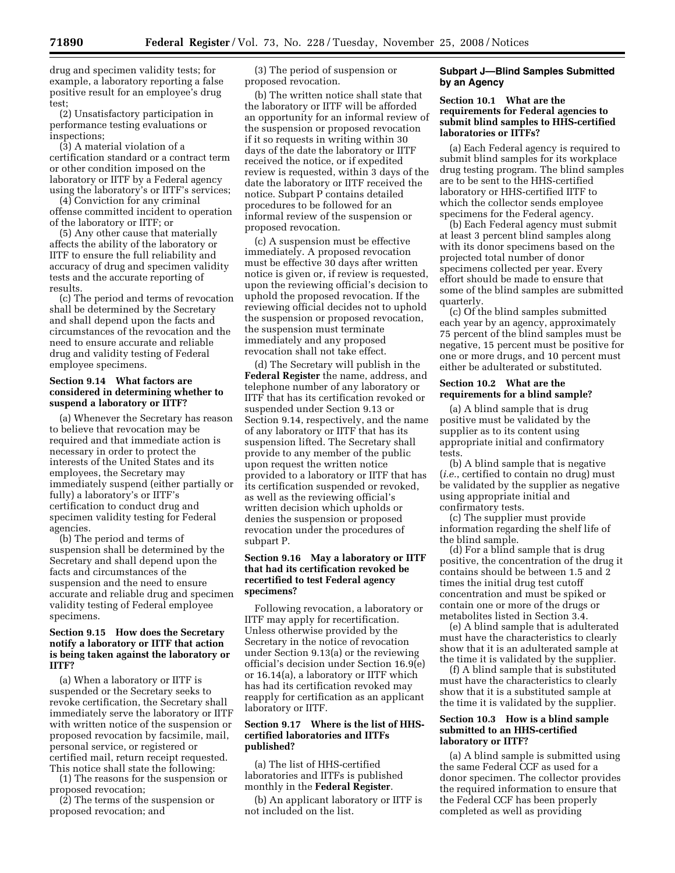drug and specimen validity tests; for example, a laboratory reporting a false positive result for an employee's drug test;

(2) Unsatisfactory participation in performance testing evaluations or inspections;

(3) A material violation of a certification standard or a contract term or other condition imposed on the laboratory or IITF by a Federal agency using the laboratory's or IITF's services;

(4) Conviction for any criminal offense committed incident to operation of the laboratory or IITF; or

(5) Any other cause that materially affects the ability of the laboratory or IITF to ensure the full reliability and accuracy of drug and specimen validity tests and the accurate reporting of results.

(c) The period and terms of revocation shall be determined by the Secretary and shall depend upon the facts and circumstances of the revocation and the need to ensure accurate and reliable drug and validity testing of Federal employee specimens.

# **Section 9.14 What factors are considered in determining whether to suspend a laboratory or IITF?**

(a) Whenever the Secretary has reason to believe that revocation may be required and that immediate action is necessary in order to protect the interests of the United States and its employees, the Secretary may immediately suspend (either partially or fully) a laboratory's or IITF's certification to conduct drug and specimen validity testing for Federal agencies.

(b) The period and terms of suspension shall be determined by the Secretary and shall depend upon the facts and circumstances of the suspension and the need to ensure accurate and reliable drug and specimen validity testing of Federal employee specimens.

# **Section 9.15 How does the Secretary notify a laboratory or IITF that action is being taken against the laboratory or IITF?**

(a) When a laboratory or IITF is suspended or the Secretary seeks to revoke certification, the Secretary shall immediately serve the laboratory or IITF with written notice of the suspension or proposed revocation by facsimile, mail, personal service, or registered or certified mail, return receipt requested. This notice shall state the following:

(1) The reasons for the suspension or proposed revocation;

(2) The terms of the suspension or proposed revocation; and

(3) The period of suspension or proposed revocation.

(b) The written notice shall state that the laboratory or IITF will be afforded an opportunity for an informal review of the suspension or proposed revocation if it so requests in writing within 30 days of the date the laboratory or IITF received the notice, or if expedited review is requested, within 3 days of the date the laboratory or IITF received the notice. Subpart P contains detailed procedures to be followed for an informal review of the suspension or proposed revocation.

(c) A suspension must be effective immediately. A proposed revocation must be effective 30 days after written notice is given or, if review is requested, upon the reviewing official's decision to uphold the proposed revocation. If the reviewing official decides not to uphold the suspension or proposed revocation, the suspension must terminate immediately and any proposed revocation shall not take effect.

(d) The Secretary will publish in the **Federal Register** the name, address, and telephone number of any laboratory or IITF that has its certification revoked or suspended under Section 9.13 or Section 9.14, respectively, and the name of any laboratory or IITF that has its suspension lifted. The Secretary shall provide to any member of the public upon request the written notice provided to a laboratory or IITF that has its certification suspended or revoked, as well as the reviewing official's written decision which upholds or denies the suspension or proposed revocation under the procedures of subpart P.

# **Section 9.16 May a laboratory or IITF that had its certification revoked be recertified to test Federal agency specimens?**

Following revocation, a laboratory or IITF may apply for recertification. Unless otherwise provided by the Secretary in the notice of revocation under Section 9.13(a) or the reviewing official's decision under Section 16.9(e) or 16.14(a), a laboratory or IITF which has had its certification revoked may reapply for certification as an applicant laboratory or IITF.

# **Section 9.17 Where is the list of HHScertified laboratories and IITFs published?**

(a) The list of HHS-certified laboratories and IITFs is published monthly in the **Federal Register**.

(b) An applicant laboratory or IITF is not included on the list.

# **Subpart J—Blind Samples Submitted by an Agency**

# **Section 10.1 What are the requirements for Federal agencies to submit blind samples to HHS-certified laboratories or IITFs?**

(a) Each Federal agency is required to submit blind samples for its workplace drug testing program. The blind samples are to be sent to the HHS-certified laboratory or HHS-certified IITF to which the collector sends employee specimens for the Federal agency.

(b) Each Federal agency must submit at least 3 percent blind samples along with its donor specimens based on the projected total number of donor specimens collected per year. Every effort should be made to ensure that some of the blind samples are submitted quarterly.

(c) Of the blind samples submitted each year by an agency, approximately 75 percent of the blind samples must be negative, 15 percent must be positive for one or more drugs, and 10 percent must either be adulterated or substituted.

### **Section 10.2 What are the requirements for a blind sample?**

(a) A blind sample that is drug positive must be validated by the supplier as to its content using appropriate initial and confirmatory tests.

(b) A blind sample that is negative (*i.e.*, certified to contain no drug) must be validated by the supplier as negative using appropriate initial and confirmatory tests.

(c) The supplier must provide information regarding the shelf life of the blind sample.

(d) For a blind sample that is drug positive, the concentration of the drug it contains should be between 1.5 and 2 times the initial drug test cutoff concentration and must be spiked or contain one or more of the drugs or metabolites listed in Section 3.4.

(e) A blind sample that is adulterated must have the characteristics to clearly show that it is an adulterated sample at the time it is validated by the supplier.

(f) A blind sample that is substituted must have the characteristics to clearly show that it is a substituted sample at the time it is validated by the supplier.

# **Section 10.3 How is a blind sample submitted to an HHS-certified laboratory or IITF?**

(a) A blind sample is submitted using the same Federal CCF as used for a donor specimen. The collector provides the required information to ensure that the Federal CCF has been properly completed as well as providing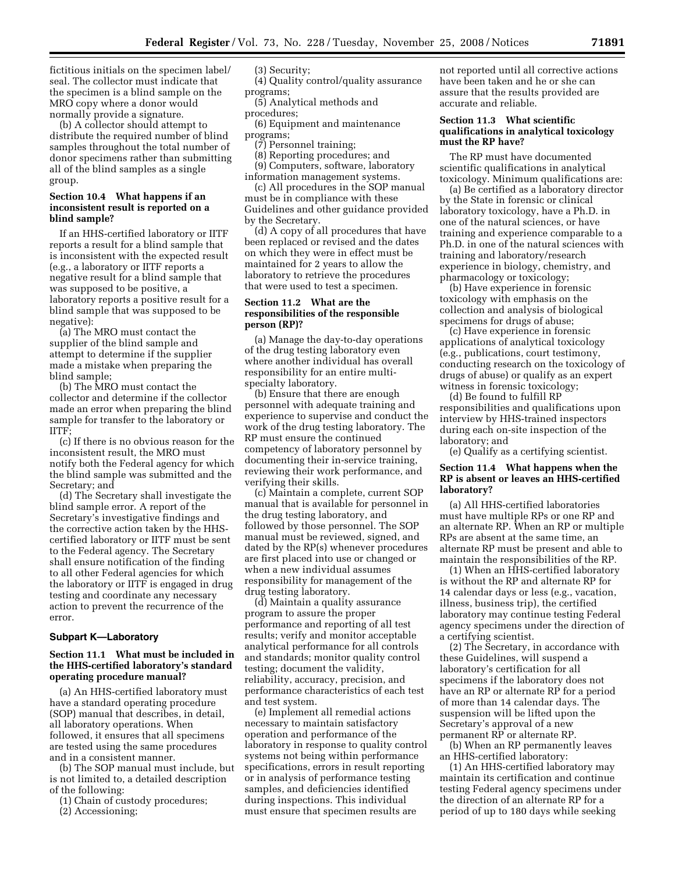fictitious initials on the specimen label/ seal. The collector must indicate that the specimen is a blind sample on the MRO copy where a donor would normally provide a signature.

(b) A collector should attempt to distribute the required number of blind samples throughout the total number of donor specimens rather than submitting all of the blind samples as a single group.

## **Section 10.4 What happens if an inconsistent result is reported on a blind sample?**

If an HHS-certified laboratory or IITF reports a result for a blind sample that is inconsistent with the expected result (e.g., a laboratory or IITF reports a negative result for a blind sample that was supposed to be positive, a laboratory reports a positive result for a blind sample that was supposed to be negative):

(a) The MRO must contact the supplier of the blind sample and attempt to determine if the supplier made a mistake when preparing the blind sample;

(b) The MRO must contact the collector and determine if the collector made an error when preparing the blind sample for transfer to the laboratory or IITF;

(c) If there is no obvious reason for the inconsistent result, the MRO must notify both the Federal agency for which the blind sample was submitted and the Secretary; and

(d) The Secretary shall investigate the blind sample error. A report of the Secretary's investigative findings and the corrective action taken by the HHScertified laboratory or IITF must be sent to the Federal agency. The Secretary shall ensure notification of the finding to all other Federal agencies for which the laboratory or IITF is engaged in drug testing and coordinate any necessary action to prevent the recurrence of the error.

## **Subpart K—Laboratory**

# **Section 11.1 What must be included in the HHS-certified laboratory's standard operating procedure manual?**

(a) An HHS-certified laboratory must have a standard operating procedure (SOP) manual that describes, in detail, all laboratory operations. When followed, it ensures that all specimens are tested using the same procedures and in a consistent manner.

(b) The SOP manual must include, but is not limited to, a detailed description of the following:

(1) Chain of custody procedures;

(2) Accessioning;

#### (3) Security;

- (4) Quality control/quality assurance programs;
- (5) Analytical methods and procedures;
- (6) Equipment and maintenance programs;
	- (7) Personnel training;
	- (8) Reporting procedures; and

(9) Computers, software, laboratory information management systems.

(c) All procedures in the SOP manual must be in compliance with these Guidelines and other guidance provided by the Secretary.

(d) A copy of all procedures that have been replaced or revised and the dates on which they were in effect must be maintained for 2 years to allow the laboratory to retrieve the procedures that were used to test a specimen.

# **Section 11.2 What are the responsibilities of the responsible person (RP)?**

(a) Manage the day-to-day operations of the drug testing laboratory even where another individual has overall responsibility for an entire multispecialty laboratory.

(b) Ensure that there are enough personnel with adequate training and experience to supervise and conduct the work of the drug testing laboratory. The RP must ensure the continued competency of laboratory personnel by documenting their in-service training, reviewing their work performance, and verifying their skills.

(c) Maintain a complete, current SOP manual that is available for personnel in the drug testing laboratory, and followed by those personnel. The SOP manual must be reviewed, signed, and dated by the RP(s) whenever procedures are first placed into use or changed or when a new individual assumes responsibility for management of the drug testing laboratory.

(d) Maintain a quality assurance program to assure the proper performance and reporting of all test results; verify and monitor acceptable analytical performance for all controls and standards; monitor quality control testing; document the validity, reliability, accuracy, precision, and performance characteristics of each test and test system.

(e) Implement all remedial actions necessary to maintain satisfactory operation and performance of the laboratory in response to quality control systems not being within performance specifications, errors in result reporting or in analysis of performance testing samples, and deficiencies identified during inspections. This individual must ensure that specimen results are

not reported until all corrective actions have been taken and he or she can assure that the results provided are accurate and reliable.

# **Section 11.3 What scientific qualifications in analytical toxicology must the RP have?**

The RP must have documented scientific qualifications in analytical toxicology. Minimum qualifications are:

(a) Be certified as a laboratory director by the State in forensic or clinical laboratory toxicology, have a Ph.D. in one of the natural sciences, or have training and experience comparable to a Ph.D. in one of the natural sciences with training and laboratory/research experience in biology, chemistry, and pharmacology or toxicology;

(b) Have experience in forensic toxicology with emphasis on the collection and analysis of biological specimens for drugs of abuse;

(c) Have experience in forensic applications of analytical toxicology (e.g., publications, court testimony, conducting research on the toxicology of drugs of abuse) or qualify as an expert witness in forensic toxicology;

(d) Be found to fulfill RP responsibilities and qualifications upon interview by HHS-trained inspectors during each on-site inspection of the laboratory; and

(e) Qualify as a certifying scientist.

# **Section 11.4 What happens when the RP is absent or leaves an HHS-certified laboratory?**

(a) All HHS-certified laboratories must have multiple RPs or one RP and an alternate RP. When an RP or multiple RPs are absent at the same time, an alternate RP must be present and able to maintain the responsibilities of the RP.

(1) When an HHS-certified laboratory is without the RP and alternate RP for 14 calendar days or less (e.g., vacation, illness, business trip), the certified laboratory may continue testing Federal agency specimens under the direction of a certifying scientist.

(2) The Secretary, in accordance with these Guidelines, will suspend a laboratory's certification for all specimens if the laboratory does not have an RP or alternate RP for a period of more than 14 calendar days. The suspension will be lifted upon the Secretary's approval of a new permanent RP or alternate RP.

(b) When an RP permanently leaves an HHS-certified laboratory:

(1) An HHS-certified laboratory may maintain its certification and continue testing Federal agency specimens under the direction of an alternate RP for a period of up to 180 days while seeking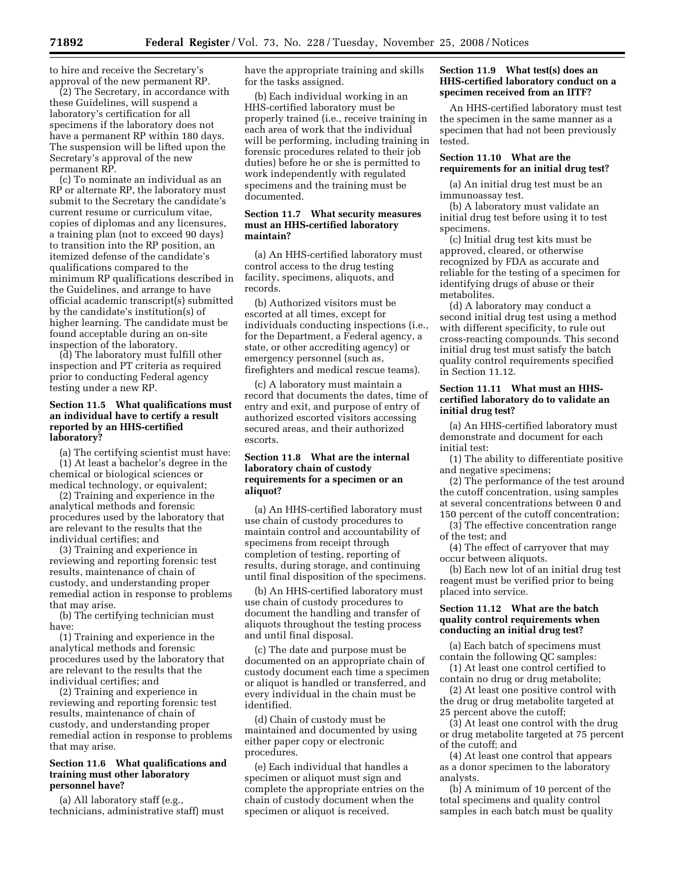to hire and receive the Secretary's approval of the new permanent RP.

(2) The Secretary, in accordance with these Guidelines, will suspend a laboratory's certification for all specimens if the laboratory does not have a permanent RP within 180 days. The suspension will be lifted upon the Secretary's approval of the new permanent RP.

(c) To nominate an individual as an RP or alternate RP, the laboratory must submit to the Secretary the candidate's current resume or curriculum vitae, copies of diplomas and any licensures, a training plan (not to exceed 90 days) to transition into the RP position, an itemized defense of the candidate's qualifications compared to the minimum RP qualifications described in the Guidelines, and arrange to have official academic transcript(s) submitted by the candidate's institution(s) of higher learning. The candidate must be found acceptable during an on-site inspection of the laboratory.

(d) The laboratory must fulfill other inspection and PT criteria as required prior to conducting Federal agency testing under a new RP.

# **Section 11.5 What qualifications must an individual have to certify a result reported by an HHS-certified laboratory?**

(a) The certifying scientist must have: (1) At least a bachelor's degree in the chemical or biological sciences or medical technology, or equivalent;

(2) Training and experience in the analytical methods and forensic procedures used by the laboratory that are relevant to the results that the individual certifies; and

(3) Training and experience in reviewing and reporting forensic test results, maintenance of chain of custody, and understanding proper remedial action in response to problems that may arise.

(b) The certifying technician must have:

(1) Training and experience in the analytical methods and forensic procedures used by the laboratory that are relevant to the results that the individual certifies; and

(2) Training and experience in reviewing and reporting forensic test results, maintenance of chain of custody, and understanding proper remedial action in response to problems that may arise.

## **Section 11.6 What qualifications and training must other laboratory personnel have?**

(a) All laboratory staff (e.g., technicians, administrative staff) must have the appropriate training and skills for the tasks assigned.

(b) Each individual working in an HHS-certified laboratory must be properly trained (i.e., receive training in each area of work that the individual will be performing, including training in forensic procedures related to their job duties) before he or she is permitted to work independently with regulated specimens and the training must be documented.

# **Section 11.7 What security measures must an HHS-certified laboratory maintain?**

(a) An HHS-certified laboratory must control access to the drug testing facility, specimens, aliquots, and records.

(b) Authorized visitors must be escorted at all times, except for individuals conducting inspections (i.e., for the Department, a Federal agency, a state, or other accrediting agency) or emergency personnel (such as, firefighters and medical rescue teams).

(c) A laboratory must maintain a record that documents the dates, time of entry and exit, and purpose of entry of authorized escorted visitors accessing secured areas, and their authorized escorts.

# **Section 11.8 What are the internal laboratory chain of custody requirements for a specimen or an aliquot?**

(a) An HHS-certified laboratory must use chain of custody procedures to maintain control and accountability of specimens from receipt through completion of testing, reporting of results, during storage, and continuing until final disposition of the specimens.

(b) An HHS-certified laboratory must use chain of custody procedures to document the handling and transfer of aliquots throughout the testing process and until final disposal.

(c) The date and purpose must be documented on an appropriate chain of custody document each time a specimen or aliquot is handled or transferred, and every individual in the chain must be identified.

(d) Chain of custody must be maintained and documented by using either paper copy or electronic procedures.

(e) Each individual that handles a specimen or aliquot must sign and complete the appropriate entries on the chain of custody document when the specimen or aliquot is received.

# **Section 11.9 What test(s) does an HHS-certified laboratory conduct on a specimen received from an IITF?**

An HHS-certified laboratory must test the specimen in the same manner as a specimen that had not been previously tested.

# **Section 11.10 What are the requirements for an initial drug test?**

(a) An initial drug test must be an immunoassay test.

(b) A laboratory must validate an initial drug test before using it to test specimens.

(c) Initial drug test kits must be approved, cleared, or otherwise recognized by FDA as accurate and reliable for the testing of a specimen for identifying drugs of abuse or their metabolites.

(d) A laboratory may conduct a second initial drug test using a method with different specificity, to rule out cross-reacting compounds. This second initial drug test must satisfy the batch quality control requirements specified in Section 11.12.

# **Section 11.11 What must an HHScertified laboratory do to validate an initial drug test?**

(a) An HHS-certified laboratory must demonstrate and document for each initial test:

(1) The ability to differentiate positive and negative specimens;

(2) The performance of the test around the cutoff concentration, using samples at several concentrations between 0 and 150 percent of the cutoff concentration;

(3) The effective concentration range of the test; and

(4) The effect of carryover that may occur between aliquots.

(b) Each new lot of an initial drug test reagent must be verified prior to being placed into service.

# **Section 11.12 What are the batch quality control requirements when conducting an initial drug test?**

(a) Each batch of specimens must contain the following QC samples:

(1) At least one control certified to contain no drug or drug metabolite;

(2) At least one positive control with the drug or drug metabolite targeted at 25 percent above the cutoff;

(3) At least one control with the drug or drug metabolite targeted at 75 percent of the cutoff; and

(4) At least one control that appears as a donor specimen to the laboratory analysts.

(b) A minimum of 10 percent of the total specimens and quality control samples in each batch must be quality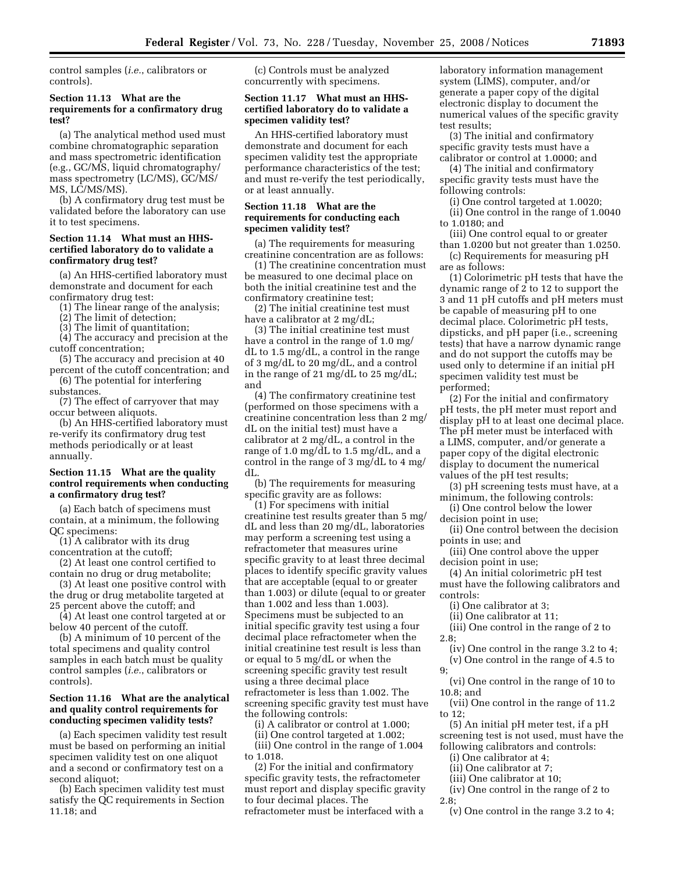control samples (*i.e.*, calibrators or controls).

## **Section 11.13 What are the requirements for a confirmatory drug test?**

(a) The analytical method used must combine chromatographic separation and mass spectrometric identification (e.g., GC/MS, liquid chromatography/ mass spectrometry (LC/MS), GC/MS/ MS, LC/MS/MS).

(b) A confirmatory drug test must be validated before the laboratory can use it to test specimens.

## **Section 11.14 What must an HHScertified laboratory do to validate a confirmatory drug test?**

(a) An HHS-certified laboratory must demonstrate and document for each confirmatory drug test:

(1) The linear range of the analysis;

(2) The limit of detection;

(3) The limit of quantitation;

(4) The accuracy and precision at the cutoff concentration;

(5) The accuracy and precision at 40 percent of the cutoff concentration; and (6) The potential for interfering

substances.

(7) The effect of carryover that may occur between aliquots.

(b) An HHS-certified laboratory must re-verify its confirmatory drug test methods periodically or at least annually.

# **Section 11.15 What are the quality control requirements when conducting a confirmatory drug test?**

(a) Each batch of specimens must contain, at a minimum, the following QC specimens:

(1) A calibrator with its drug concentration at the cutoff;

(2) At least one control certified to contain no drug or drug metabolite;

(3) At least one positive control with the drug or drug metabolite targeted at 25 percent above the cutoff; and

(4) At least one control targeted at or below 40 percent of the cutoff.

(b) A minimum of 10 percent of the total specimens and quality control samples in each batch must be quality control samples (*i.e.*, calibrators or controls).

## **Section 11.16 What are the analytical and quality control requirements for conducting specimen validity tests?**

(a) Each specimen validity test result must be based on performing an initial specimen validity test on one aliquot and a second or confirmatory test on a second aliquot;

(b) Each specimen validity test must satisfy the QC requirements in Section 11.18; and

(c) Controls must be analyzed concurrently with specimens.

# **Section 11.17 What must an HHScertified laboratory do to validate a specimen validity test?**

An HHS-certified laboratory must demonstrate and document for each specimen validity test the appropriate performance characteristics of the test; and must re-verify the test periodically, or at least annually.

# **Section 11.18 What are the requirements for conducting each specimen validity test?**

(a) The requirements for measuring creatinine concentration are as follows:

(1) The creatinine concentration must be measured to one decimal place on both the initial creatinine test and the confirmatory creatinine test;

(2) The initial creatinine test must have a calibrator at 2 mg/dL;

(3) The initial creatinine test must have a control in the range of 1.0 mg/ dL to 1.5 mg/dL, a control in the range of 3 mg/dL to 20 mg/dL, and a control in the range of 21 mg/dL to 25 mg/dL; and

(4) The confirmatory creatinine test (performed on those specimens with a creatinine concentration less than 2 mg/ dL on the initial test) must have a calibrator at 2 mg/dL, a control in the range of 1.0 mg/dL to 1.5 mg/dL, and a control in the range of 3 mg/dL to 4 mg/ dL.

(b) The requirements for measuring specific gravity are as follows:

(1) For specimens with initial creatinine test results greater than 5 mg/ dL and less than 20 mg/dL, laboratories may perform a screening test using a refractometer that measures urine specific gravity to at least three decimal places to identify specific gravity values that are acceptable (equal to or greater than 1.003) or dilute (equal to or greater than 1.002 and less than 1.003). Specimens must be subjected to an initial specific gravity test using a four decimal place refractometer when the initial creatinine test result is less than or equal to 5 mg/dL or when the screening specific gravity test result using a three decimal place refractometer is less than 1.002. The screening specific gravity test must have the following controls:

(i) A calibrator or control at 1.000;

(ii) One control targeted at 1.002; (iii) One control in the range of 1.004 to 1.018.

(2) For the initial and confirmatory specific gravity tests, the refractometer must report and display specific gravity to four decimal places. The refractometer must be interfaced with a

laboratory information management system (LIMS), computer, and/or generate a paper copy of the digital electronic display to document the numerical values of the specific gravity test results;

(3) The initial and confirmatory specific gravity tests must have a calibrator or control at 1.0000; and

(4) The initial and confirmatory specific gravity tests must have the following controls:

(i) One control targeted at 1.0020;

(ii) One control in the range of 1.0040 to 1.0180; and

(iii) One control equal to or greater than 1.0200 but not greater than 1.0250.

(c) Requirements for measuring pH are as follows:

(1) Colorimetric pH tests that have the dynamic range of 2 to 12 to support the 3 and 11 pH cutoffs and pH meters must be capable of measuring pH to one decimal place. Colorimetric pH tests, dipsticks, and pH paper (i.e., screening tests) that have a narrow dynamic range and do not support the cutoffs may be used only to determine if an initial pH specimen validity test must be performed;

(2) For the initial and confirmatory pH tests, the pH meter must report and display pH to at least one decimal place. The pH meter must be interfaced with a LIMS, computer, and/or generate a paper copy of the digital electronic display to document the numerical values of the pH test results;

(3) pH screening tests must have, at a minimum, the following controls:

(i) One control below the lower decision point in use;

(ii) One control between the decision points in use; and

(iii) One control above the upper decision point in use;

(4) An initial colorimetric pH test must have the following calibrators and controls:

(i) One calibrator at 3;

(ii) One calibrator at 11;

(iii) One control in the range of 2 to 2.8;

(iv) One control in the range 3.2 to 4; (v) One control in the range of 4.5 to 9;

(vi) One control in the range of 10 to 10.8; and

(vii) One control in the range of 11.2 to 12;

(5) An initial pH meter test, if a pH screening test is not used, must have the following calibrators and controls:

(i) One calibrator at 4;

(ii) One calibrator at 7;

(iii) One calibrator at 10;

(iv) One control in the range of 2 to 2.8;

(v) One control in the range 3.2 to 4;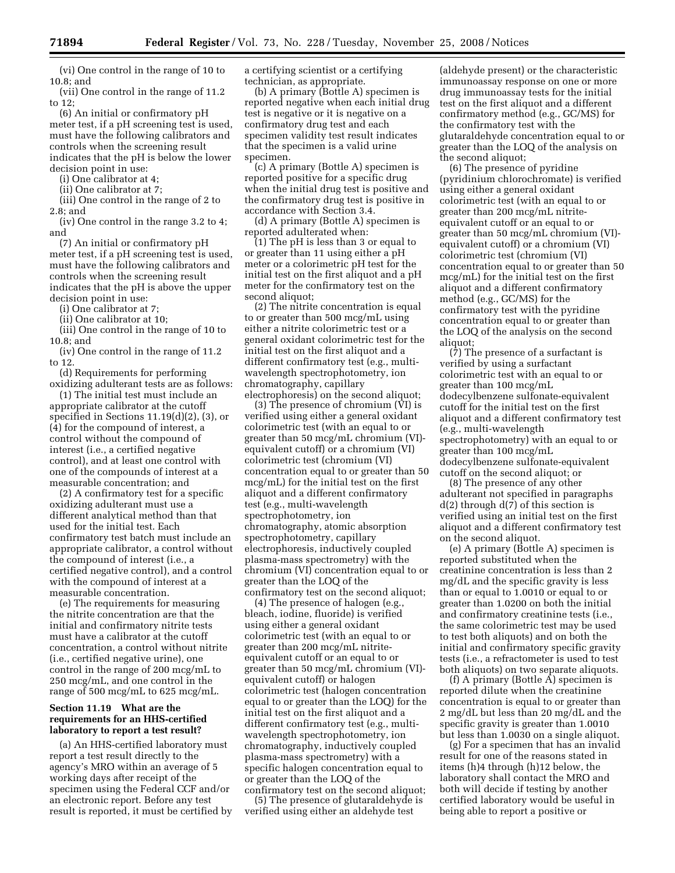(vi) One control in the range of 10 to 10.8; and

(vii) One control in the range of 11.2 to 12;

(6) An initial or confirmatory pH meter test, if a pH screening test is used, must have the following calibrators and controls when the screening result indicates that the pH is below the lower decision point in use:

(i) One calibrator at 4;

(ii) One calibrator at 7;

(iii) One control in the range of 2 to 2.8; and

(iv) One control in the range 3.2 to 4; and

(7) An initial or confirmatory pH meter test, if a pH screening test is used, must have the following calibrators and controls when the screening result indicates that the pH is above the upper decision point in use:

(i) One calibrator at 7;

(ii) One calibrator at 10;

(iii) One control in the range of 10 to 10.8; and

(iv) One control in the range of 11.2 to 12.

(d) Requirements for performing oxidizing adulterant tests are as follows:

(1) The initial test must include an appropriate calibrator at the cutoff specified in Sections 11.19(d)(2), (3), or (4) for the compound of interest, a control without the compound of interest (i.e., a certified negative control), and at least one control with one of the compounds of interest at a measurable concentration; and

(2) A confirmatory test for a specific oxidizing adulterant must use a different analytical method than that used for the initial test. Each confirmatory test batch must include an appropriate calibrator, a control without the compound of interest (i.e., a certified negative control), and a control with the compound of interest at a measurable concentration.

(e) The requirements for measuring the nitrite concentration are that the initial and confirmatory nitrite tests must have a calibrator at the cutoff concentration, a control without nitrite (i.e., certified negative urine), one control in the range of 200 mcg/mL to 250 mcg/mL, and one control in the range of 500 mcg/mL to 625 mcg/mL.

# **Section 11.19 What are the requirements for an HHS-certified laboratory to report a test result?**

(a) An HHS-certified laboratory must report a test result directly to the agency's MRO within an average of 5 working days after receipt of the specimen using the Federal CCF and/or an electronic report. Before any test result is reported, it must be certified by a certifying scientist or a certifying technician, as appropriate.

(b) A primary (Bottle A) specimen is reported negative when each initial drug test is negative or it is negative on a confirmatory drug test and each specimen validity test result indicates that the specimen is a valid urine specimen.

(c) A primary (Bottle A) specimen is reported positive for a specific drug when the initial drug test is positive and the confirmatory drug test is positive in accordance with Section 3.4.

(d) A primary (Bottle A) specimen is reported adulterated when:

(1) The pH is less than 3 or equal to or greater than 11 using either a pH meter or a colorimetric pH test for the initial test on the first aliquot and a pH meter for the confirmatory test on the second aliquot;

(2) The nitrite concentration is equal to or greater than 500 mcg/mL using either a nitrite colorimetric test or a general oxidant colorimetric test for the initial test on the first aliquot and a different confirmatory test (e.g., multiwavelength spectrophotometry, ion chromatography, capillary electrophoresis) on the second aliquot;

(3) The presence of chromium (VI) is verified using either a general oxidant colorimetric test (with an equal to or greater than 50 mcg/mL chromium (VI) equivalent cutoff) or a chromium (VI) colorimetric test (chromium (VI) concentration equal to or greater than 50 mcg/mL) for the initial test on the first aliquot and a different confirmatory test (e.g., multi-wavelength spectrophotometry, ion chromatography, atomic absorption spectrophotometry, capillary electrophoresis, inductively coupled plasma-mass spectrometry) with the chromium (VI) concentration equal to or greater than the LOQ of the confirmatory test on the second aliquot;

(4) The presence of halogen (e.g., bleach, iodine, fluoride) is verified using either a general oxidant colorimetric test (with an equal to or greater than 200 mcg/mL nitriteequivalent cutoff or an equal to or greater than 50 mcg/mL chromium (VI) equivalent cutoff) or halogen colorimetric test (halogen concentration equal to or greater than the LOQ) for the initial test on the first aliquot and a different confirmatory test (e.g., multiwavelength spectrophotometry, ion chromatography, inductively coupled plasma-mass spectrometry) with a specific halogen concentration equal to or greater than the LOQ of the confirmatory test on the second aliquot;

(5) The presence of glutaraldehyde is verified using either an aldehyde test

(aldehyde present) or the characteristic immunoassay response on one or more drug immunoassay tests for the initial test on the first aliquot and a different confirmatory method (e.g., GC/MS) for the confirmatory test with the glutaraldehyde concentration equal to or greater than the LOQ of the analysis on the second aliquot;

(6) The presence of pyridine (pyridinium chlorochromate) is verified using either a general oxidant colorimetric test (with an equal to or greater than 200 mcg/mL nitriteequivalent cutoff or an equal to or greater than 50 mcg/mL chromium (VI) equivalent cutoff) or a chromium (VI) colorimetric test (chromium (VI) concentration equal to or greater than 50 mcg/mL) for the initial test on the first aliquot and a different confirmatory method (e.g., GC/MS) for the confirmatory test with the pyridine concentration equal to or greater than the LOQ of the analysis on the second aliquot;

(7) The presence of a surfactant is verified by using a surfactant colorimetric test with an equal to or greater than 100 mcg/mL dodecylbenzene sulfonate-equivalent cutoff for the initial test on the first aliquot and a different confirmatory test (e.g., multi-wavelength spectrophotometry) with an equal to or greater than 100 mcg/mL dodecylbenzene sulfonate-equivalent cutoff on the second aliquot; or

(8) The presence of any other adulterant not specified in paragraphs d(2) through d(7) of this section is verified using an initial test on the first aliquot and a different confirmatory test on the second aliquot.

(e) A primary (Bottle A) specimen is reported substituted when the creatinine concentration is less than 2 mg/dL and the specific gravity is less than or equal to 1.0010 or equal to or greater than 1.0200 on both the initial and confirmatory creatinine tests (i.e., the same colorimetric test may be used to test both aliquots) and on both the initial and confirmatory specific gravity tests (i.e., a refractometer is used to test both aliquots) on two separate aliquots.

(f) A primary (Bottle A) specimen is reported dilute when the creatinine concentration is equal to or greater than 2 mg/dL but less than 20 mg/dL and the specific gravity is greater than 1.0010 but less than 1.0030 on a single aliquot.

(g) For a specimen that has an invalid result for one of the reasons stated in items (h)4 through (h)12 below, the laboratory shall contact the MRO and both will decide if testing by another certified laboratory would be useful in being able to report a positive or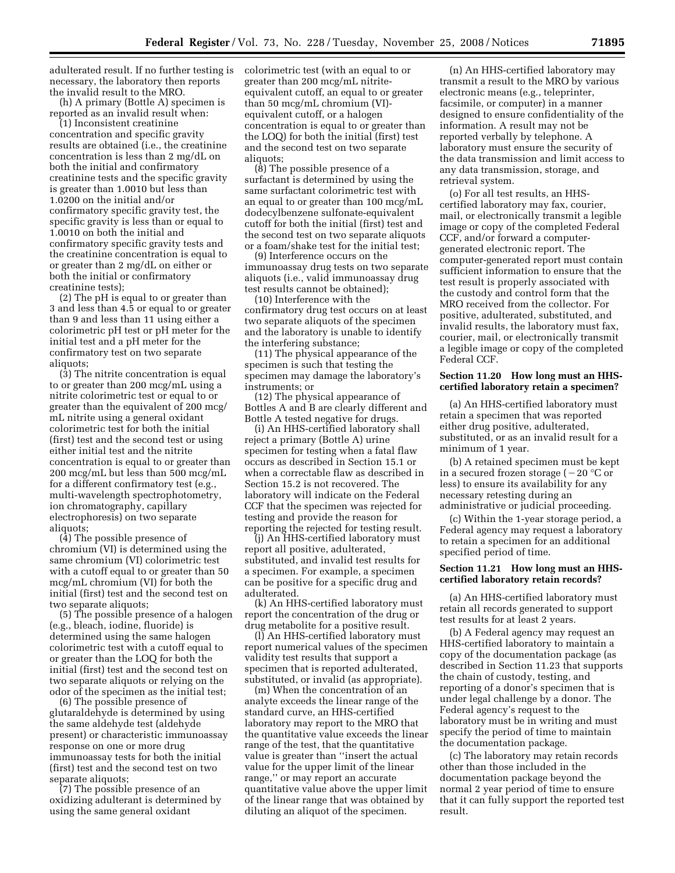adulterated result. If no further testing is necessary, the laboratory then reports the invalid result to the MRO.

(h) A primary (Bottle A) specimen is reported as an invalid result when:

(1) Inconsistent creatinine concentration and specific gravity results are obtained (i.e., the creatinine concentration is less than 2 mg/dL on both the initial and confirmatory creatinine tests and the specific gravity is greater than 1.0010 but less than 1.0200 on the initial and/or confirmatory specific gravity test, the specific gravity is less than or equal to 1.0010 on both the initial and confirmatory specific gravity tests and the creatinine concentration is equal to or greater than 2 mg/dL on either or both the initial or confirmatory creatinine tests);

(2) The pH is equal to or greater than 3 and less than 4.5 or equal to or greater than 9 and less than 11 using either a colorimetric pH test or pH meter for the initial test and a pH meter for the confirmatory test on two separate aliquots;

(3) The nitrite concentration is equal to or greater than 200 mcg/mL using a nitrite colorimetric test or equal to or greater than the equivalent of 200 mcg/ mL nitrite using a general oxidant colorimetric test for both the initial (first) test and the second test or using either initial test and the nitrite concentration is equal to or greater than 200 mcg/mL but less than 500 mcg/mL for a different confirmatory test (e.g., multi-wavelength spectrophotometry, ion chromatography, capillary electrophoresis) on two separate aliquots;

(4) The possible presence of chromium (VI) is determined using the same chromium (VI) colorimetric test with a cutoff equal to or greater than 50 mcg/mL chromium (VI) for both the initial (first) test and the second test on two separate aliquots;

(5) The possible presence of a halogen (e.g., bleach, iodine, fluoride) is determined using the same halogen colorimetric test with a cutoff equal to or greater than the LOQ for both the initial (first) test and the second test on two separate aliquots or relying on the odor of the specimen as the initial test;

(6) The possible presence of glutaraldehyde is determined by using the same aldehyde test (aldehyde present) or characteristic immunoassay response on one or more drug immunoassay tests for both the initial (first) test and the second test on two separate aliquots;

(7) The possible presence of an oxidizing adulterant is determined by using the same general oxidant

colorimetric test (with an equal to or greater than 200 mcg/mL nitriteequivalent cutoff, an equal to or greater than 50 mcg/mL chromium (VI) equivalent cutoff, or a halogen concentration is equal to or greater than the LOQ) for both the initial (first) test and the second test on two separate aliquots;

(8) The possible presence of a surfactant is determined by using the same surfactant colorimetric test with an equal to or greater than 100 mcg/mL dodecylbenzene sulfonate-equivalent cutoff for both the initial (first) test and the second test on two separate aliquots or a foam/shake test for the initial test;

(9) Interference occurs on the immunoassay drug tests on two separate aliquots (i.e., valid immunoassay drug test results cannot be obtained);

(10) Interference with the confirmatory drug test occurs on at least two separate aliquots of the specimen and the laboratory is unable to identify the interfering substance;

(11) The physical appearance of the specimen is such that testing the specimen may damage the laboratory's instruments; or

(12) The physical appearance of Bottles A and B are clearly different and Bottle A tested negative for drugs.

(i) An HHS-certified laboratory shall reject a primary (Bottle A) urine specimen for testing when a fatal flaw occurs as described in Section 15.1 or when a correctable flaw as described in Section 15.2 is not recovered. The laboratory will indicate on the Federal CCF that the specimen was rejected for testing and provide the reason for reporting the rejected for testing result.

(j) An HHS-certified laboratory must report all positive, adulterated, substituted, and invalid test results for a specimen. For example, a specimen can be positive for a specific drug and adulterated.

(k) An HHS-certified laboratory must report the concentration of the drug or drug metabolite for a positive result.

(l) An HHS-certified laboratory must report numerical values of the specimen validity test results that support a specimen that is reported adulterated, substituted, or invalid (as appropriate).

(m) When the concentration of an analyte exceeds the linear range of the standard curve, an HHS-certified laboratory may report to the MRO that the quantitative value exceeds the linear range of the test, that the quantitative value is greater than ''insert the actual value for the upper limit of the linear range,'' or may report an accurate quantitative value above the upper limit of the linear range that was obtained by diluting an aliquot of the specimen.

(n) An HHS-certified laboratory may transmit a result to the MRO by various electronic means (e.g., teleprinter, facsimile, or computer) in a manner designed to ensure confidentiality of the information. A result may not be reported verbally by telephone. A laboratory must ensure the security of the data transmission and limit access to any data transmission, storage, and retrieval system.

(o) For all test results, an HHScertified laboratory may fax, courier, mail, or electronically transmit a legible image or copy of the completed Federal CCF, and/or forward a computergenerated electronic report. The computer-generated report must contain sufficient information to ensure that the test result is properly associated with the custody and control form that the MRO received from the collector. For positive, adulterated, substituted, and invalid results, the laboratory must fax, courier, mail, or electronically transmit a legible image or copy of the completed Federal CCF.

# **Section 11.20 How long must an HHScertified laboratory retain a specimen?**

(a) An HHS-certified laboratory must retain a specimen that was reported either drug positive, adulterated, substituted, or as an invalid result for a minimum of 1 year.

(b) A retained specimen must be kept in a secured frozen storage  $(-20 \degree C \text{ or }$ less) to ensure its availability for any necessary retesting during an administrative or judicial proceeding.

(c) Within the 1-year storage period, a Federal agency may request a laboratory to retain a specimen for an additional specified period of time.

## **Section 11.21 How long must an HHScertified laboratory retain records?**

(a) An HHS-certified laboratory must retain all records generated to support test results for at least 2 years.

(b) A Federal agency may request an HHS-certified laboratory to maintain a copy of the documentation package (as described in Section 11.23 that supports the chain of custody, testing, and reporting of a donor's specimen that is under legal challenge by a donor. The Federal agency's request to the laboratory must be in writing and must specify the period of time to maintain the documentation package.

(c) The laboratory may retain records other than those included in the documentation package beyond the normal 2 year period of time to ensure that it can fully support the reported test result.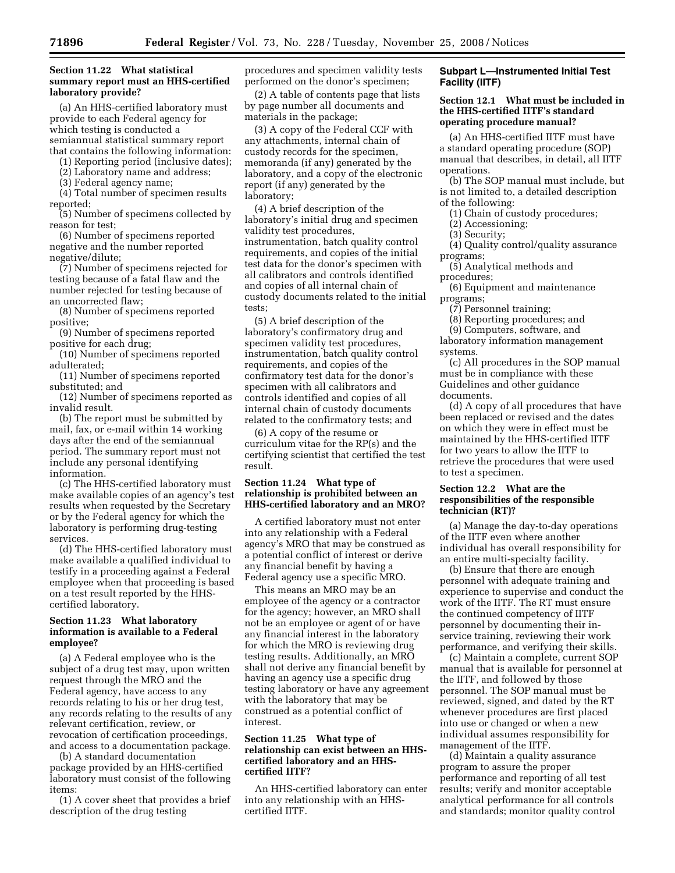## **Section 11.22 What statistical summary report must an HHS-certified laboratory provide?**

(a) An HHS-certified laboratory must provide to each Federal agency for which testing is conducted a semiannual statistical summary report that contains the following information:

(1) Reporting period (inclusive dates);

(2) Laboratory name and address;

(3) Federal agency name;

(4) Total number of specimen results

reported; (5) Number of specimens collected by

reason for test; (6) Number of specimens reported negative and the number reported negative/dilute;

(7) Number of specimens rejected for testing because of a fatal flaw and the number rejected for testing because of an uncorrected flaw;

(8) Number of specimens reported positive;

(9) Number of specimens reported positive for each drug;

(10) Number of specimens reported adulterated;

(11) Number of specimens reported substituted; and

(12) Number of specimens reported as invalid result.

(b) The report must be submitted by mail, fax, or e-mail within 14 working days after the end of the semiannual period. The summary report must not include any personal identifying information.

(c) The HHS-certified laboratory must make available copies of an agency's test results when requested by the Secretary or by the Federal agency for which the laboratory is performing drug-testing services.

(d) The HHS-certified laboratory must make available a qualified individual to testify in a proceeding against a Federal employee when that proceeding is based on a test result reported by the HHScertified laboratory.

# **Section 11.23 What laboratory information is available to a Federal employee?**

(a) A Federal employee who is the subject of a drug test may, upon written request through the MRO and the Federal agency, have access to any records relating to his or her drug test, any records relating to the results of any relevant certification, review, or revocation of certification proceedings, and access to a documentation package.

(b) A standard documentation package provided by an HHS-certified laboratory must consist of the following items:

(1) A cover sheet that provides a brief description of the drug testing

procedures and specimen validity tests performed on the donor's specimen;

(2) A table of contents page that lists by page number all documents and materials in the package;

(3) A copy of the Federal CCF with any attachments, internal chain of custody records for the specimen, memoranda (if any) generated by the laboratory, and a copy of the electronic report (if any) generated by the laboratory;

(4) A brief description of the laboratory's initial drug and specimen validity test procedures, instrumentation, batch quality control requirements, and copies of the initial test data for the donor's specimen with all calibrators and controls identified and copies of all internal chain of custody documents related to the initial tests;

(5) A brief description of the laboratory's confirmatory drug and specimen validity test procedures, instrumentation, batch quality control requirements, and copies of the confirmatory test data for the donor's specimen with all calibrators and controls identified and copies of all internal chain of custody documents related to the confirmatory tests; and

(6) A copy of the resume or curriculum vitae for the RP(s) and the certifying scientist that certified the test result.

# **Section 11.24 What type of relationship is prohibited between an HHS-certified laboratory and an MRO?**

A certified laboratory must not enter into any relationship with a Federal agency's MRO that may be construed as a potential conflict of interest or derive any financial benefit by having a Federal agency use a specific MRO.

This means an MRO may be an employee of the agency or a contractor for the agency; however, an MRO shall not be an employee or agent of or have any financial interest in the laboratory for which the MRO is reviewing drug testing results. Additionally, an MRO shall not derive any financial benefit by having an agency use a specific drug testing laboratory or have any agreement with the laboratory that may be construed as a potential conflict of interest.

# **Section 11.25 What type of relationship can exist between an HHScertified laboratory and an HHScertified IITF?**

An HHS-certified laboratory can enter into any relationship with an HHScertified IITF.

# **Subpart L—Instrumented Initial Test Facility (IITF)**

# **Section 12.1 What must be included in the HHS-certified IITF's standard operating procedure manual?**

(a) An HHS-certified IITF must have a standard operating procedure (SOP) manual that describes, in detail, all IITF operations.

(b) The SOP manual must include, but is not limited to, a detailed description of the following:

(1) Chain of custody procedures;

(2) Accessioning;

(3) Security;

(4) Quality control/quality assurance programs;

(5) Analytical methods and procedures;

(6) Equipment and maintenance programs;

(7) Personnel training;

(8) Reporting procedures; and

(9) Computers, software, and

laboratory information management systems.

(c) All procedures in the SOP manual must be in compliance with these Guidelines and other guidance documents.

(d) A copy of all procedures that have been replaced or revised and the dates on which they were in effect must be maintained by the HHS-certified IITF for two years to allow the IITF to retrieve the procedures that were used to test a specimen.

# **Section 12.2 What are the responsibilities of the responsible technician (RT)?**

(a) Manage the day-to-day operations of the IITF even where another individual has overall responsibility for an entire multi-specialty facility.

(b) Ensure that there are enough personnel with adequate training and experience to supervise and conduct the work of the IITF. The RT must ensure the continued competency of IITF personnel by documenting their inservice training, reviewing their work performance, and verifying their skills.

(c) Maintain a complete, current SOP manual that is available for personnel at the IITF, and followed by those personnel. The SOP manual must be reviewed, signed, and dated by the RT whenever procedures are first placed into use or changed or when a new individual assumes responsibility for management of the IITF.

(d) Maintain a quality assurance program to assure the proper performance and reporting of all test results; verify and monitor acceptable analytical performance for all controls and standards; monitor quality control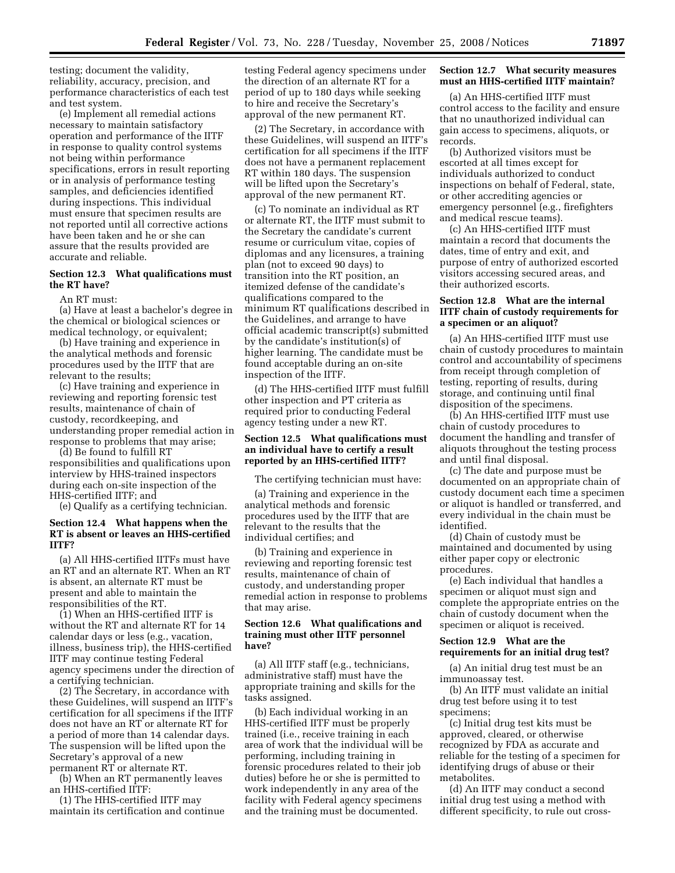testing; document the validity, reliability, accuracy, precision, and performance characteristics of each test and test system.

(e) Implement all remedial actions necessary to maintain satisfactory operation and performance of the IITF in response to quality control systems not being within performance specifications, errors in result reporting or in analysis of performance testing samples, and deficiencies identified during inspections. This individual must ensure that specimen results are not reported until all corrective actions have been taken and he or she can assure that the results provided are accurate and reliable.

# **Section 12.3 What qualifications must the RT have?**

An RT must:

(a) Have at least a bachelor's degree in the chemical or biological sciences or medical technology, or equivalent;

(b) Have training and experience in the analytical methods and forensic procedures used by the IITF that are relevant to the results;

(c) Have training and experience in reviewing and reporting forensic test results, maintenance of chain of custody, recordkeeping, and understanding proper remedial action in response to problems that may arise;

(d) Be found to fulfill RT responsibilities and qualifications upon interview by HHS-trained inspectors during each on-site inspection of the HHS-certified IITF; and

(e) Qualify as a certifying technician.

# **Section 12.4 What happens when the RT is absent or leaves an HHS-certified IITF?**

(a) All HHS-certified IITFs must have an RT and an alternate RT. When an RT is absent, an alternate RT must be present and able to maintain the responsibilities of the RT.

(1) When an HHS-certified IITF is without the RT and alternate RT for 14 calendar days or less (e.g., vacation, illness, business trip), the HHS-certified IITF may continue testing Federal agency specimens under the direction of a certifying technician.

(2) The Secretary, in accordance with these Guidelines, will suspend an IITF's certification for all specimens if the IITF does not have an RT or alternate RT for a period of more than 14 calendar days. The suspension will be lifted upon the Secretary's approval of a new permanent RT or alternate RT.

(b) When an RT permanently leaves an HHS-certified IITF:

(1) The HHS-certified IITF may maintain its certification and continue

testing Federal agency specimens under the direction of an alternate RT for a period of up to 180 days while seeking to hire and receive the Secretary's approval of the new permanent RT.

(2) The Secretary, in accordance with these Guidelines, will suspend an IITF's certification for all specimens if the IITF does not have a permanent replacement RT within 180 days. The suspension will be lifted upon the Secretary's approval of the new permanent RT.

(c) To nominate an individual as RT or alternate RT, the IITF must submit to the Secretary the candidate's current resume or curriculum vitae, copies of diplomas and any licensures, a training plan (not to exceed 90 days) to transition into the RT position, an itemized defense of the candidate's qualifications compared to the minimum RT qualifications described in the Guidelines, and arrange to have official academic transcript(s) submitted by the candidate's institution(s) of higher learning. The candidate must be found acceptable during an on-site inspection of the IITF.

(d) The HHS-certified IITF must fulfill other inspection and PT criteria as required prior to conducting Federal agency testing under a new RT.

# **Section 12.5 What qualifications must an individual have to certify a result reported by an HHS-certified IITF?**

The certifying technician must have:

(a) Training and experience in the analytical methods and forensic procedures used by the IITF that are relevant to the results that the individual certifies; and

(b) Training and experience in reviewing and reporting forensic test results, maintenance of chain of custody, and understanding proper remedial action in response to problems that may arise.

# **Section 12.6 What qualifications and training must other IITF personnel have?**

(a) All IITF staff (e.g., technicians, administrative staff) must have the appropriate training and skills for the tasks assigned.

(b) Each individual working in an HHS-certified IITF must be properly trained (i.e., receive training in each area of work that the individual will be performing, including training in forensic procedures related to their job duties) before he or she is permitted to work independently in any area of the facility with Federal agency specimens and the training must be documented.

# **Section 12.7 What security measures must an HHS-certified IITF maintain?**

(a) An HHS-certified IITF must control access to the facility and ensure that no unauthorized individual can gain access to specimens, aliquots, or records.

(b) Authorized visitors must be escorted at all times except for individuals authorized to conduct inspections on behalf of Federal, state, or other accrediting agencies or emergency personnel (e.g., firefighters and medical rescue teams).

(c) An HHS-certified IITF must maintain a record that documents the dates, time of entry and exit, and purpose of entry of authorized escorted visitors accessing secured areas, and their authorized escorts.

# **Section 12.8 What are the internal IITF chain of custody requirements for a specimen or an aliquot?**

(a) An HHS-certified IITF must use chain of custody procedures to maintain control and accountability of specimens from receipt through completion of testing, reporting of results, during storage, and continuing until final disposition of the specimens.

(b) An HHS-certified IITF must use chain of custody procedures to document the handling and transfer of aliquots throughout the testing process and until final disposal.

(c) The date and purpose must be documented on an appropriate chain of custody document each time a specimen or aliquot is handled or transferred, and every individual in the chain must be identified.

(d) Chain of custody must be maintained and documented by using either paper copy or electronic procedures.

(e) Each individual that handles a specimen or aliquot must sign and complete the appropriate entries on the chain of custody document when the specimen or aliquot is received.

## **Section 12.9 What are the requirements for an initial drug test?**

(a) An initial drug test must be an immunoassay test.

(b) An IITF must validate an initial drug test before using it to test specimens;

(c) Initial drug test kits must be approved, cleared, or otherwise recognized by FDA as accurate and reliable for the testing of a specimen for identifying drugs of abuse or their metabolites.

(d) An IITF may conduct a second initial drug test using a method with different specificity, to rule out cross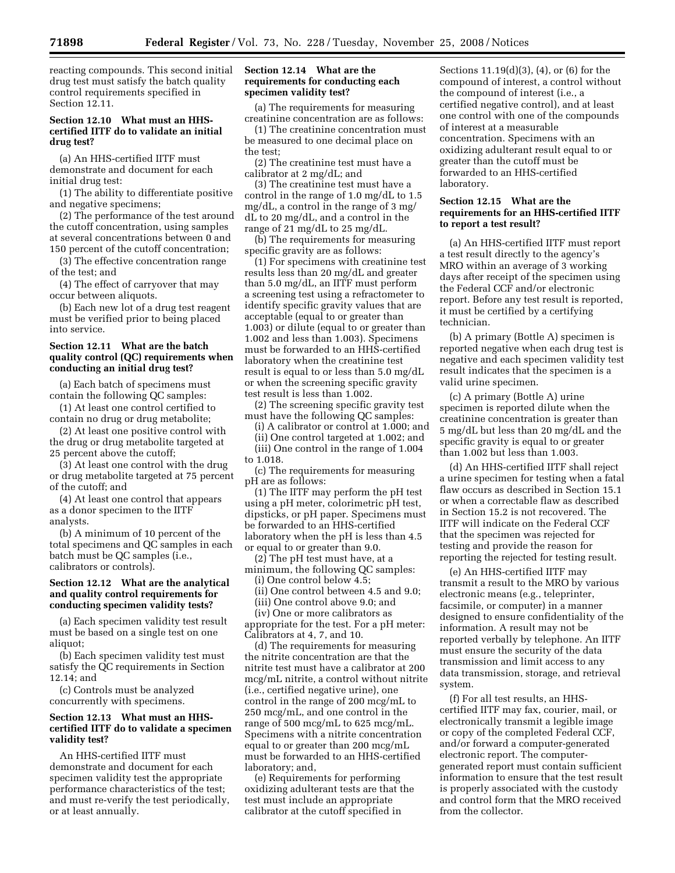reacting compounds. This second initial drug test must satisfy the batch quality control requirements specified in Section 12.11.

# **Section 12.10 What must an HHScertified IITF do to validate an initial drug test?**

(a) An HHS-certified IITF must demonstrate and document for each initial drug test:

(1) The ability to differentiate positive and negative specimens;

(2) The performance of the test around the cutoff concentration, using samples at several concentrations between 0 and 150 percent of the cutoff concentration;

(3) The effective concentration range of the test; and

(4) The effect of carryover that may occur between aliquots.

(b) Each new lot of a drug test reagent must be verified prior to being placed into service.

# **Section 12.11 What are the batch quality control (QC) requirements when conducting an initial drug test?**

(a) Each batch of specimens must contain the following QC samples:

(1) At least one control certified to contain no drug or drug metabolite;

(2) At least one positive control with the drug or drug metabolite targeted at 25 percent above the cutoff;

(3) At least one control with the drug or drug metabolite targeted at 75 percent of the cutoff; and

(4) At least one control that appears as a donor specimen to the IITF analysts.

(b) A minimum of 10 percent of the total specimens and QC samples in each batch must be QC samples (i.e., calibrators or controls).

# **Section 12.12 What are the analytical and quality control requirements for conducting specimen validity tests?**

(a) Each specimen validity test result must be based on a single test on one aliquot;

(b) Each specimen validity test must satisfy the QC requirements in Section 12.14; and

(c) Controls must be analyzed concurrently with specimens.

# **Section 12.13 What must an HHScertified IITF do to validate a specimen validity test?**

An HHS-certified IITF must demonstrate and document for each specimen validity test the appropriate performance characteristics of the test; and must re-verify the test periodically, or at least annually.

## **Section 12.14 What are the requirements for conducting each specimen validity test?**

(a) The requirements for measuring creatinine concentration are as follows:

(1) The creatinine concentration must be measured to one decimal place on the test;

(2) The creatinine test must have a calibrator at 2 mg/dL; and

(3) The creatinine test must have a control in the range of 1.0 mg/dL to 1.5 mg/dL, a control in the range of 3 mg/ dL to 20 mg/dL, and a control in the range of 21 mg/dL to 25 mg/dL.

(b) The requirements for measuring specific gravity are as follows:

(1) For specimens with creatinine test results less than 20 mg/dL and greater than 5.0 mg/dL, an IITF must perform a screening test using a refractometer to identify specific gravity values that are acceptable (equal to or greater than 1.003) or dilute (equal to or greater than 1.002 and less than 1.003). Specimens must be forwarded to an HHS-certified laboratory when the creatinine test result is equal to or less than 5.0 mg/dL or when the screening specific gravity test result is less than 1.002.

(2) The screening specific gravity test must have the following QC samples:

(i) A calibrator or control at 1.000; and

(ii) One control targeted at 1.002; and (iii) One control in the range of 1.004 to 1.018.

(c) The requirements for measuring pH are as follows:

(1) The IITF may perform the pH test using a pH meter, colorimetric pH test, dipsticks, or pH paper. Specimens must be forwarded to an HHS-certified laboratory when the pH is less than 4.5 or equal to or greater than 9.0.

(2) The pH test must have, at a minimum, the following QC samples:

(i) One control below 4.5;

(ii) One control between 4.5 and 9.0;

(iii) One control above 9.0; and

(iv) One or more calibrators as appropriate for the test. For a pH meter: Calibrators at 4, 7, and 10.

(d) The requirements for measuring the nitrite concentration are that the nitrite test must have a calibrator at 200 mcg/mL nitrite, a control without nitrite (i.e., certified negative urine), one control in the range of 200 mcg/mL to 250 mcg/mL, and one control in the range of 500 mcg/mL to 625 mcg/mL. Specimens with a nitrite concentration equal to or greater than 200 mcg/mL must be forwarded to an HHS-certified laboratory; and,

(e) Requirements for performing oxidizing adulterant tests are that the test must include an appropriate calibrator at the cutoff specified in

Sections 11.19(d)(3), (4), or (6) for the compound of interest, a control without the compound of interest (i.e., a certified negative control), and at least one control with one of the compounds of interest at a measurable concentration. Specimens with an oxidizing adulterant result equal to or greater than the cutoff must be forwarded to an HHS-certified laboratory.

# **Section 12.15 What are the requirements for an HHS-certified IITF to report a test result?**

(a) An HHS-certified IITF must report a test result directly to the agency's MRO within an average of 3 working days after receipt of the specimen using the Federal CCF and/or electronic report. Before any test result is reported, it must be certified by a certifying technician.

(b) A primary (Bottle A) specimen is reported negative when each drug test is negative and each specimen validity test result indicates that the specimen is a valid urine specimen.

(c) A primary (Bottle A) urine specimen is reported dilute when the creatinine concentration is greater than 5 mg/dL but less than 20 mg/dL and the specific gravity is equal to or greater than 1.002 but less than 1.003.

(d) An HHS-certified IITF shall reject a urine specimen for testing when a fatal flaw occurs as described in Section 15.1 or when a correctable flaw as described in Section 15.2 is not recovered. The IITF will indicate on the Federal CCF that the specimen was rejected for testing and provide the reason for reporting the rejected for testing result.

(e) An HHS-certified IITF may transmit a result to the MRO by various electronic means (e.g., teleprinter, facsimile, or computer) in a manner designed to ensure confidentiality of the information. A result may not be reported verbally by telephone. An IITF must ensure the security of the data transmission and limit access to any data transmission, storage, and retrieval system.

(f) For all test results, an HHScertified IITF may fax, courier, mail, or electronically transmit a legible image or copy of the completed Federal CCF, and/or forward a computer-generated electronic report. The computergenerated report must contain sufficient information to ensure that the test result is properly associated with the custody and control form that the MRO received from the collector.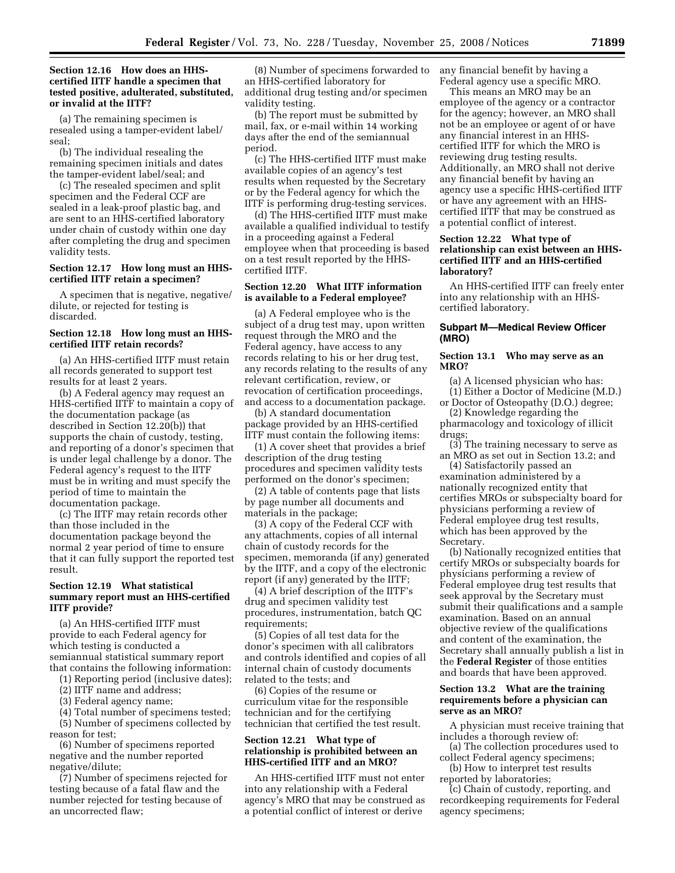# **Section 12.16 How does an HHScertified IITF handle a specimen that tested positive, adulterated, substituted, or invalid at the IITF?**

(a) The remaining specimen is resealed using a tamper-evident label/ seal;

(b) The individual resealing the remaining specimen initials and dates the tamper-evident label/seal; and

(c) The resealed specimen and split specimen and the Federal CCF are sealed in a leak-proof plastic bag, and are sent to an HHS-certified laboratory under chain of custody within one day after completing the drug and specimen validity tests.

# **Section 12.17 How long must an HHScertified IITF retain a specimen?**

A specimen that is negative, negative/ dilute, or rejected for testing is discarded.

# **Section 12.18 How long must an HHScertified IITF retain records?**

(a) An HHS-certified IITF must retain all records generated to support test results for at least 2 years.

(b) A Federal agency may request an HHS-certified IITF to maintain a copy of the documentation package (as described in Section 12.20(b)) that supports the chain of custody, testing, and reporting of a donor's specimen that is under legal challenge by a donor. The Federal agency's request to the IITF must be in writing and must specify the period of time to maintain the documentation package.

(c) The IITF may retain records other than those included in the documentation package beyond the normal 2 year period of time to ensure that it can fully support the reported test result.

# **Section 12.19 What statistical summary report must an HHS-certified IITF provide?**

(a) An HHS-certified IITF must provide to each Federal agency for which testing is conducted a semiannual statistical summary report that contains the following information:

(1) Reporting period (inclusive dates);

(2) IITF name and address;

(3) Federal agency name;

(4) Total number of specimens tested; (5) Number of specimens collected by reason for test;

(6) Number of specimens reported negative and the number reported negative/dilute;

(7) Number of specimens rejected for testing because of a fatal flaw and the number rejected for testing because of an uncorrected flaw;

(8) Number of specimens forwarded to an HHS-certified laboratory for additional drug testing and/or specimen validity testing.

(b) The report must be submitted by mail, fax, or e-mail within 14 working days after the end of the semiannual period.

(c) The HHS-certified IITF must make available copies of an agency's test results when requested by the Secretary or by the Federal agency for which the IITF is performing drug-testing services.

(d) The HHS-certified IITF must make available a qualified individual to testify in a proceeding against a Federal employee when that proceeding is based on a test result reported by the HHScertified IITF.

# **Section 12.20 What IITF information is available to a Federal employee?**

(a) A Federal employee who is the subject of a drug test may, upon written request through the MRO and the Federal agency, have access to any records relating to his or her drug test, any records relating to the results of any relevant certification, review, or revocation of certification proceedings, and access to a documentation package.

(b) A standard documentation package provided by an HHS-certified IITF must contain the following items:

(1) A cover sheet that provides a brief description of the drug testing procedures and specimen validity tests performed on the donor's specimen;

(2) A table of contents page that lists by page number all documents and materials in the package;

(3) A copy of the Federal CCF with any attachments, copies of all internal chain of custody records for the specimen, memoranda (if any) generated by the IITF, and a copy of the electronic report (if any) generated by the IITF;

(4) A brief description of the IITF's drug and specimen validity test procedures, instrumentation, batch QC requirements:

(5) Copies of all test data for the donor's specimen with all calibrators and controls identified and copies of all internal chain of custody documents related to the tests; and

(6) Copies of the resume or curriculum vitae for the responsible technician and for the certifying technician that certified the test result.

#### **Section 12.21 What type of relationship is prohibited between an HHS-certified IITF and an MRO?**

An HHS-certified IITF must not enter into any relationship with a Federal agency's MRO that may be construed as a potential conflict of interest or derive

any financial benefit by having a Federal agency use a specific MRO.

This means an MRO may be an employee of the agency or a contractor for the agency; however, an MRO shall not be an employee or agent of or have any financial interest in an HHScertified IITF for which the MRO is reviewing drug testing results. Additionally, an MRO shall not derive any financial benefit by having an agency use a specific HHS-certified IITF or have any agreement with an HHScertified IITF that may be construed as a potential conflict of interest.

# **Section 12.22 What type of relationship can exist between an HHScertified IITF and an HHS-certified laboratory?**

An HHS-certified IITF can freely enter into any relationship with an HHScertified laboratory.

## **Subpart M—Medical Review Officer (MRO)**

## **Section 13.1 Who may serve as an MRO?**

(a) A licensed physician who has:

(1) Either a Doctor of Medicine (M.D.) or Doctor of Osteopathy (D.O.) degree;

(2) Knowledge regarding the pharmacology and toxicology of illicit drugs;

(3) The training necessary to serve as an MRO as set out in Section 13.2; and

(4) Satisfactorily passed an examination administered by a nationally recognized entity that certifies MROs or subspecialty board for physicians performing a review of Federal employee drug test results, which has been approved by the Secretary.

(b) Nationally recognized entities that certify MROs or subspecialty boards for physicians performing a review of Federal employee drug test results that seek approval by the Secretary must submit their qualifications and a sample examination. Based on an annual objective review of the qualifications and content of the examination, the Secretary shall annually publish a list in the **Federal Register** of those entities and boards that have been approved.

# **Section 13.2 What are the training requirements before a physician can serve as an MRO?**

A physician must receive training that includes a thorough review of:

(a) The collection procedures used to collect Federal agency specimens;

(b) How to interpret test results reported by laboratories;

(c) Chain of custody, reporting, and recordkeeping requirements for Federal agency specimens;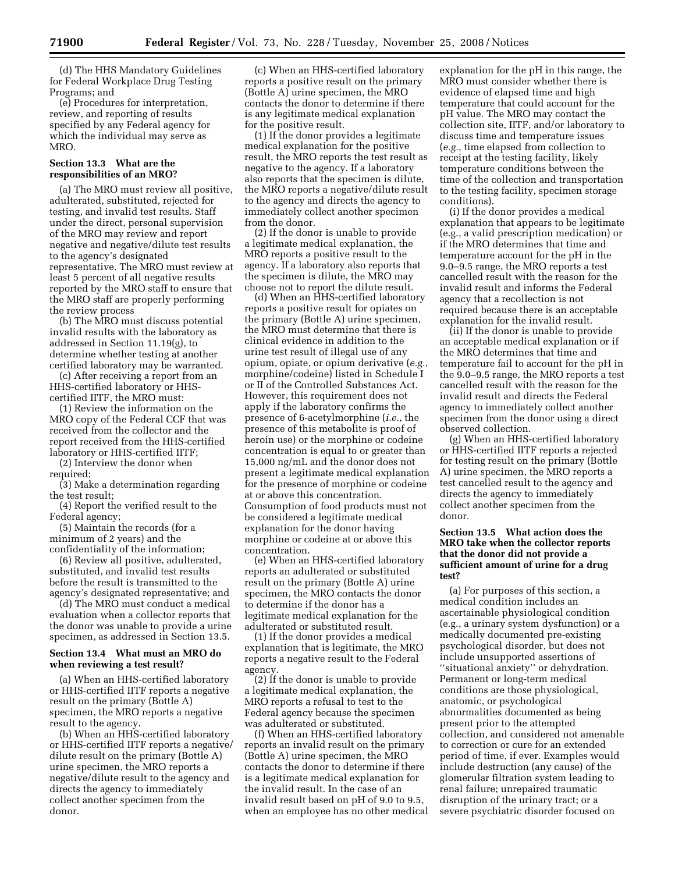(d) The HHS Mandatory Guidelines for Federal Workplace Drug Testing Programs; and

(e) Procedures for interpretation, review, and reporting of results specified by any Federal agency for which the individual may serve as MRO.

# **Section 13.3 What are the responsibilities of an MRO?**

(a) The MRO must review all positive, adulterated, substituted, rejected for testing, and invalid test results. Staff under the direct, personal supervision of the MRO may review and report negative and negative/dilute test results to the agency's designated representative. The MRO must review at least 5 percent of all negative results reported by the MRO staff to ensure that the MRO staff are properly performing the review process

(b) The MRO must discuss potential invalid results with the laboratory as addressed in Section 11.19(g), to determine whether testing at another certified laboratory may be warranted.

(c) After receiving a report from an HHS-certified laboratory or HHScertified IITF, the MRO must:

(1) Review the information on the MRO copy of the Federal CCF that was received from the collector and the report received from the HHS-certified laboratory or HHS-certified IITF;

(2) Interview the donor when required;

(3) Make a determination regarding the test result;

(4) Report the verified result to the Federal agency;

(5) Maintain the records (for a minimum of 2 years) and the confidentiality of the information;

(6) Review all positive, adulterated, substituted, and invalid test results before the result is transmitted to the agency's designated representative; and

(d) The MRO must conduct a medical evaluation when a collector reports that the donor was unable to provide a urine specimen, as addressed in Section 13.5.

# **Section 13.4 What must an MRO do when reviewing a test result?**

(a) When an HHS-certified laboratory or HHS-certified IITF reports a negative result on the primary (Bottle A) specimen, the MRO reports a negative result to the agency.

(b) When an HHS-certified laboratory or HHS-certified IITF reports a negative/ dilute result on the primary (Bottle A) urine specimen, the MRO reports a negative/dilute result to the agency and directs the agency to immediately collect another specimen from the donor.

(c) When an HHS-certified laboratory reports a positive result on the primary (Bottle A) urine specimen, the MRO contacts the donor to determine if there is any legitimate medical explanation for the positive result.

(1) If the donor provides a legitimate medical explanation for the positive result, the MRO reports the test result as negative to the agency. If a laboratory also reports that the specimen is dilute, the MRO reports a negative/dilute result to the agency and directs the agency to immediately collect another specimen from the donor.

(2) If the donor is unable to provide a legitimate medical explanation, the MRO reports a positive result to the agency. If a laboratory also reports that the specimen is dilute, the MRO may choose not to report the dilute result.

(d) When an HHS-certified laboratory reports a positive result for opiates on the primary (Bottle A) urine specimen, the MRO must determine that there is clinical evidence in addition to the urine test result of illegal use of any opium, opiate, or opium derivative (*e.g.*, morphine/codeine) listed in Schedule I or II of the Controlled Substances Act. However, this requirement does not apply if the laboratory confirms the presence of 6-acetylmorphine (*i.e.*, the presence of this metabolite is proof of heroin use) or the morphine or codeine concentration is equal to or greater than 15,000 ng/mL and the donor does not present a legitimate medical explanation for the presence of morphine or codeine at or above this concentration. Consumption of food products must not be considered a legitimate medical explanation for the donor having morphine or codeine at or above this concentration.

(e) When an HHS-certified laboratory reports an adulterated or substituted result on the primary (Bottle A) urine specimen, the MRO contacts the donor to determine if the donor has a legitimate medical explanation for the adulterated or substituted result.

(1) If the donor provides a medical explanation that is legitimate, the MRO reports a negative result to the Federal agency.

(2) If the donor is unable to provide a legitimate medical explanation, the MRO reports a refusal to test to the Federal agency because the specimen was adulterated or substituted.

(f) When an HHS-certified laboratory reports an invalid result on the primary (Bottle A) urine specimen, the MRO contacts the donor to determine if there is a legitimate medical explanation for the invalid result. In the case of an invalid result based on pH of 9.0 to 9.5, when an employee has no other medical

explanation for the pH in this range, the MRO must consider whether there is evidence of elapsed time and high temperature that could account for the pH value. The MRO may contact the collection site, IITF, and/or laboratory to discuss time and temperature issues (*e.g.*, time elapsed from collection to receipt at the testing facility, likely temperature conditions between the time of the collection and transportation to the testing facility, specimen storage conditions).

(i) If the donor provides a medical explanation that appears to be legitimate (e.g., a valid prescription medication) or if the MRO determines that time and temperature account for the pH in the 9.0–9.5 range, the MRO reports a test cancelled result with the reason for the invalid result and informs the Federal agency that a recollection is not required because there is an acceptable explanation for the invalid result.

(ii) If the donor is unable to provide an acceptable medical explanation or if the MRO determines that time and temperature fail to account for the pH in the 9.0–9.5 range, the MRO reports a test cancelled result with the reason for the invalid result and directs the Federal agency to immediately collect another specimen from the donor using a direct observed collection.

(g) When an HHS-certified laboratory or HHS-certified IITF reports a rejected for testing result on the primary (Bottle A) urine specimen, the MRO reports a test cancelled result to the agency and directs the agency to immediately collect another specimen from the donor.

# **Section 13.5 What action does the MRO take when the collector reports that the donor did not provide a sufficient amount of urine for a drug test?**

(a) For purposes of this section, a medical condition includes an ascertainable physiological condition (e.g., a urinary system dysfunction) or a medically documented pre-existing psychological disorder, but does not include unsupported assertions of ''situational anxiety'' or dehydration. Permanent or long-term medical conditions are those physiological, anatomic, or psychological abnormalities documented as being present prior to the attempted collection, and considered not amenable to correction or cure for an extended period of time, if ever. Examples would include destruction (any cause) of the glomerular filtration system leading to renal failure; unrepaired traumatic disruption of the urinary tract; or a severe psychiatric disorder focused on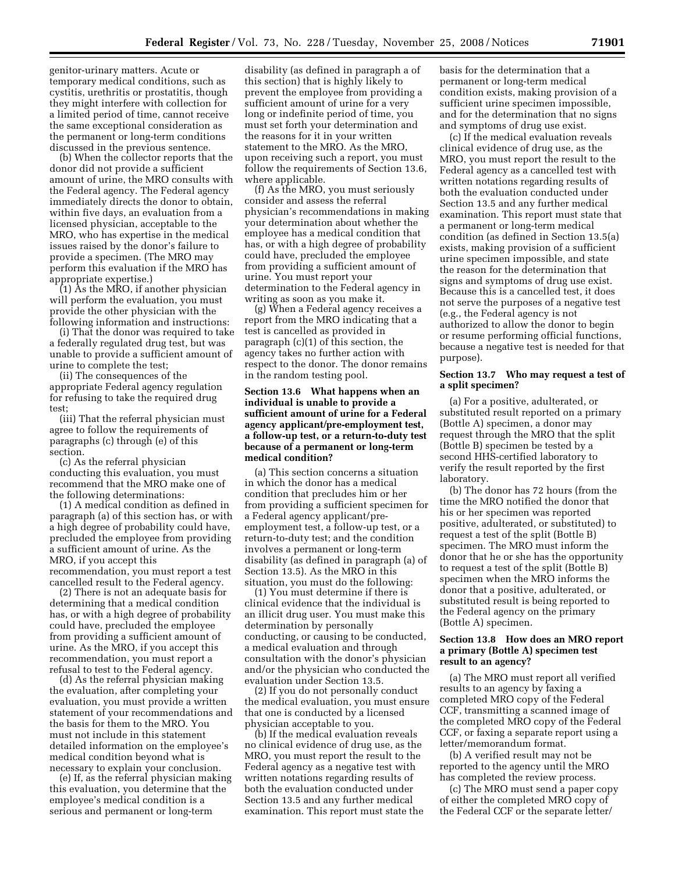genitor-urinary matters. Acute or temporary medical conditions, such as cystitis, urethritis or prostatitis, though they might interfere with collection for a limited period of time, cannot receive the same exceptional consideration as the permanent or long-term conditions discussed in the previous sentence.

(b) When the collector reports that the donor did not provide a sufficient amount of urine, the MRO consults with the Federal agency. The Federal agency immediately directs the donor to obtain, within five days, an evaluation from a licensed physician, acceptable to the MRO, who has expertise in the medical issues raised by the donor's failure to provide a specimen. (The MRO may perform this evaluation if the MRO has appropriate expertise.)

(1) As the MRO, if another physician will perform the evaluation, you must provide the other physician with the following information and instructions:

(i) That the donor was required to take a federally regulated drug test, but was unable to provide a sufficient amount of urine to complete the test;

(ii) The consequences of the appropriate Federal agency regulation for refusing to take the required drug test;

(iii) That the referral physician must agree to follow the requirements of paragraphs (c) through (e) of this section.

(c) As the referral physician conducting this evaluation, you must recommend that the MRO make one of the following determinations:

(1) A medical condition as defined in paragraph (a) of this section has, or with a high degree of probability could have, precluded the employee from providing a sufficient amount of urine. As the MRO, if you accept this recommendation, you must report a test cancelled result to the Federal agency.

(2) There is not an adequate basis for determining that a medical condition has, or with a high degree of probability could have, precluded the employee from providing a sufficient amount of urine. As the MRO, if you accept this recommendation, you must report a refusal to test to the Federal agency.

(d) As the referral physician making the evaluation, after completing your evaluation, you must provide a written statement of your recommendations and the basis for them to the MRO. You must not include in this statement detailed information on the employee's medical condition beyond what is necessary to explain your conclusion.

(e) If, as the referral physician making this evaluation, you determine that the employee's medical condition is a serious and permanent or long-term

disability (as defined in paragraph a of this section) that is highly likely to prevent the employee from providing a sufficient amount of urine for a very long or indefinite period of time, you must set forth your determination and the reasons for it in your written statement to the MRO. As the MRO, upon receiving such a report, you must follow the requirements of Section 13.6, where applicable.

(f) As the MRO, you must seriously consider and assess the referral physician's recommendations in making your determination about whether the employee has a medical condition that has, or with a high degree of probability could have, precluded the employee from providing a sufficient amount of urine. You must report your determination to the Federal agency in writing as soon as you make it.

(g) When a Federal agency receives a report from the MRO indicating that a test is cancelled as provided in paragraph (c)(1) of this section, the agency takes no further action with respect to the donor. The donor remains in the random testing pool.

# **Section 13.6 What happens when an individual is unable to provide a sufficient amount of urine for a Federal agency applicant/pre-employment test, a follow-up test, or a return-to-duty test because of a permanent or long-term medical condition?**

(a) This section concerns a situation in which the donor has a medical condition that precludes him or her from providing a sufficient specimen for a Federal agency applicant/preemployment test, a follow-up test, or a return-to-duty test; and the condition involves a permanent or long-term disability (as defined in paragraph (a) of Section 13.5). As the MRO in this situation, you must do the following:

(1) You must determine if there is clinical evidence that the individual is an illicit drug user. You must make this determination by personally conducting, or causing to be conducted, a medical evaluation and through consultation with the donor's physician and/or the physician who conducted the evaluation under Section 13.5.

(2) If you do not personally conduct the medical evaluation, you must ensure that one is conducted by a licensed physician acceptable to you.

(b) If the medical evaluation reveals no clinical evidence of drug use, as the MRO, you must report the result to the Federal agency as a negative test with written notations regarding results of both the evaluation conducted under Section 13.5 and any further medical examination. This report must state the basis for the determination that a permanent or long-term medical condition exists, making provision of a sufficient urine specimen impossible, and for the determination that no signs and symptoms of drug use exist.

(c) If the medical evaluation reveals clinical evidence of drug use, as the MRO, you must report the result to the Federal agency as a cancelled test with written notations regarding results of both the evaluation conducted under Section 13.5 and any further medical examination. This report must state that a permanent or long-term medical condition (as defined in Section 13.5(a) exists, making provision of a sufficient urine specimen impossible, and state the reason for the determination that signs and symptoms of drug use exist. Because this is a cancelled test, it does not serve the purposes of a negative test (e.g., the Federal agency is not authorized to allow the donor to begin or resume performing official functions, because a negative test is needed for that purpose).

# **Section 13.7 Who may request a test of a split specimen?**

(a) For a positive, adulterated, or substituted result reported on a primary (Bottle A) specimen, a donor may request through the MRO that the split (Bottle B) specimen be tested by a second HHS-certified laboratory to verify the result reported by the first laboratory.

(b) The donor has 72 hours (from the time the MRO notified the donor that his or her specimen was reported positive, adulterated, or substituted) to request a test of the split (Bottle B) specimen. The MRO must inform the donor that he or she has the opportunity to request a test of the split (Bottle B) specimen when the MRO informs the donor that a positive, adulterated, or substituted result is being reported to the Federal agency on the primary (Bottle A) specimen.

## **Section 13.8 How does an MRO report a primary (Bottle A) specimen test result to an agency?**

(a) The MRO must report all verified results to an agency by faxing a completed MRO copy of the Federal CCF, transmitting a scanned image of the completed MRO copy of the Federal CCF, or faxing a separate report using a letter/memorandum format.

(b) A verified result may not be reported to the agency until the MRO has completed the review process.

(c) The MRO must send a paper copy of either the completed MRO copy of the Federal CCF or the separate letter/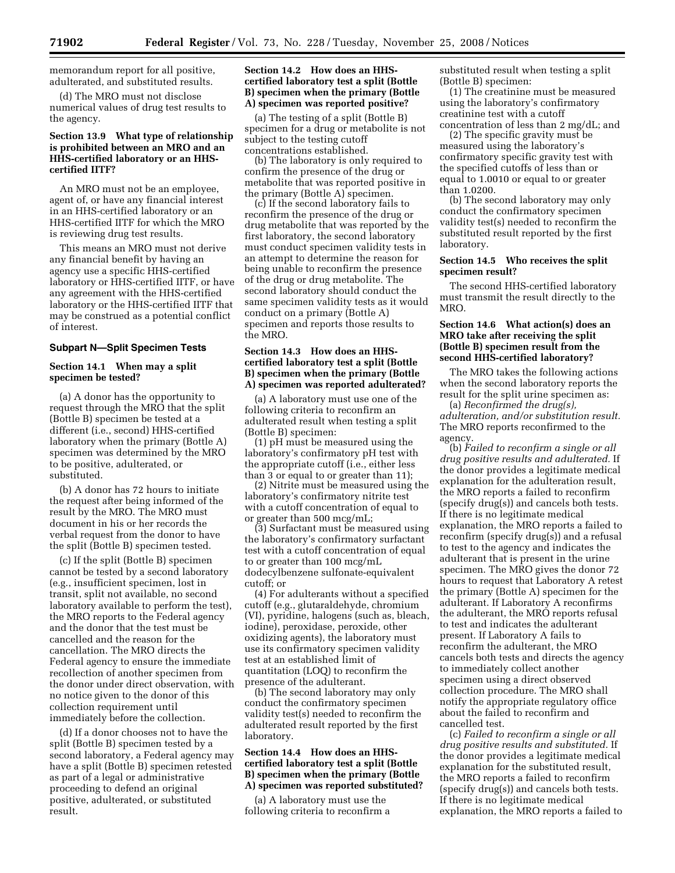memorandum report for all positive, adulterated, and substituted results.

(d) The MRO must not disclose numerical values of drug test results to the agency.

# **Section 13.9 What type of relationship is prohibited between an MRO and an HHS-certified laboratory or an HHScertified IITF?**

An MRO must not be an employee, agent of, or have any financial interest in an HHS-certified laboratory or an HHS-certified IITF for which the MRO is reviewing drug test results.

This means an MRO must not derive any financial benefit by having an agency use a specific HHS-certified laboratory or HHS-certified IITF, or have any agreement with the HHS-certified laboratory or the HHS-certified IITF that may be construed as a potential conflict of interest.

#### **Subpart N—Split Specimen Tests**

## **Section 14.1 When may a split specimen be tested?**

(a) A donor has the opportunity to request through the MRO that the split (Bottle B) specimen be tested at a different (i.e., second) HHS-certified laboratory when the primary (Bottle A) specimen was determined by the MRO to be positive, adulterated, or substituted.

(b) A donor has 72 hours to initiate the request after being informed of the result by the MRO. The MRO must document in his or her records the verbal request from the donor to have the split (Bottle B) specimen tested.

(c) If the split (Bottle B) specimen cannot be tested by a second laboratory (e.g., insufficient specimen, lost in transit, split not available, no second laboratory available to perform the test), the MRO reports to the Federal agency and the donor that the test must be cancelled and the reason for the cancellation. The MRO directs the Federal agency to ensure the immediate recollection of another specimen from the donor under direct observation, with no notice given to the donor of this collection requirement until immediately before the collection.

(d) If a donor chooses not to have the split (Bottle B) specimen tested by a second laboratory, a Federal agency may have a split (Bottle B) specimen retested as part of a legal or administrative proceeding to defend an original positive, adulterated, or substituted result.

# **Section 14.2 How does an HHScertified laboratory test a split (Bottle B) specimen when the primary (Bottle A) specimen was reported positive?**

(a) The testing of a split (Bottle B) specimen for a drug or metabolite is not subject to the testing cutoff concentrations established.

(b) The laboratory is only required to confirm the presence of the drug or metabolite that was reported positive in the primary (Bottle A) specimen.

(c) If the second laboratory fails to reconfirm the presence of the drug or drug metabolite that was reported by the first laboratory, the second laboratory must conduct specimen validity tests in an attempt to determine the reason for being unable to reconfirm the presence of the drug or drug metabolite. The second laboratory should conduct the same specimen validity tests as it would conduct on a primary (Bottle A) specimen and reports those results to the MRO.

# **Section 14.3 How does an HHScertified laboratory test a split (Bottle B) specimen when the primary (Bottle A) specimen was reported adulterated?**

(a) A laboratory must use one of the following criteria to reconfirm an adulterated result when testing a split (Bottle B) specimen:

(1) pH must be measured using the laboratory's confirmatory pH test with the appropriate cutoff (i.e., either less than 3 or equal to or greater than 11);

(2) Nitrite must be measured using the laboratory's confirmatory nitrite test with a cutoff concentration of equal to or greater than 500 mcg/mL;

(3) Surfactant must be measured using the laboratory's confirmatory surfactant test with a cutoff concentration of equal to or greater than 100 mcg/mL dodecylbenzene sulfonate-equivalent cutoff; or

(4) For adulterants without a specified cutoff (e.g., glutaraldehyde, chromium (VI), pyridine, halogens (such as, bleach, iodine), peroxidase, peroxide, other oxidizing agents), the laboratory must use its confirmatory specimen validity test at an established limit of quantitation (LOQ) to reconfirm the presence of the adulterant.

(b) The second laboratory may only conduct the confirmatory specimen validity test(s) needed to reconfirm the adulterated result reported by the first laboratory.

# **Section 14.4 How does an HHScertified laboratory test a split (Bottle B) specimen when the primary (Bottle A) specimen was reported substituted?**

(a) A laboratory must use the following criteria to reconfirm a substituted result when testing a split (Bottle B) specimen:

(1) The creatinine must be measured using the laboratory's confirmatory creatinine test with a cutoff concentration of less than 2 mg/dL; and

(2) The specific gravity must be measured using the laboratory's confirmatory specific gravity test with the specified cutoffs of less than or equal to 1.0010 or equal to or greater than 1.0200.

(b) The second laboratory may only conduct the confirmatory specimen validity test(s) needed to reconfirm the substituted result reported by the first laboratory.

# **Section 14.5 Who receives the split specimen result?**

The second HHS-certified laboratory must transmit the result directly to the MRO.

# **Section 14.6 What action(s) does an MRO take after receiving the split (Bottle B) specimen result from the second HHS-certified laboratory?**

The MRO takes the following actions when the second laboratory reports the result for the split urine specimen as:

(a) *Reconfirmed the drug(s), adulteration, and/or substitution result.*  The MRO reports reconfirmed to the agency.

(b) *Failed to reconfirm a single or all drug positive results and adulterated.* If the donor provides a legitimate medical explanation for the adulteration result, the MRO reports a failed to reconfirm (specify drug(s)) and cancels both tests. If there is no legitimate medical explanation, the MRO reports a failed to reconfirm (specify drug(s)) and a refusal to test to the agency and indicates the adulterant that is present in the urine specimen. The MRO gives the donor 72 hours to request that Laboratory A retest the primary (Bottle A) specimen for the adulterant. If Laboratory A reconfirms the adulterant, the MRO reports refusal to test and indicates the adulterant present. If Laboratory A fails to reconfirm the adulterant, the MRO cancels both tests and directs the agency to immediately collect another specimen using a direct observed collection procedure. The MRO shall notify the appropriate regulatory office about the failed to reconfirm and cancelled test.

(c) *Failed to reconfirm a single or all drug positive results and substituted.* If the donor provides a legitimate medical explanation for the substituted result, the MRO reports a failed to reconfirm (specify drug(s)) and cancels both tests. If there is no legitimate medical explanation, the MRO reports a failed to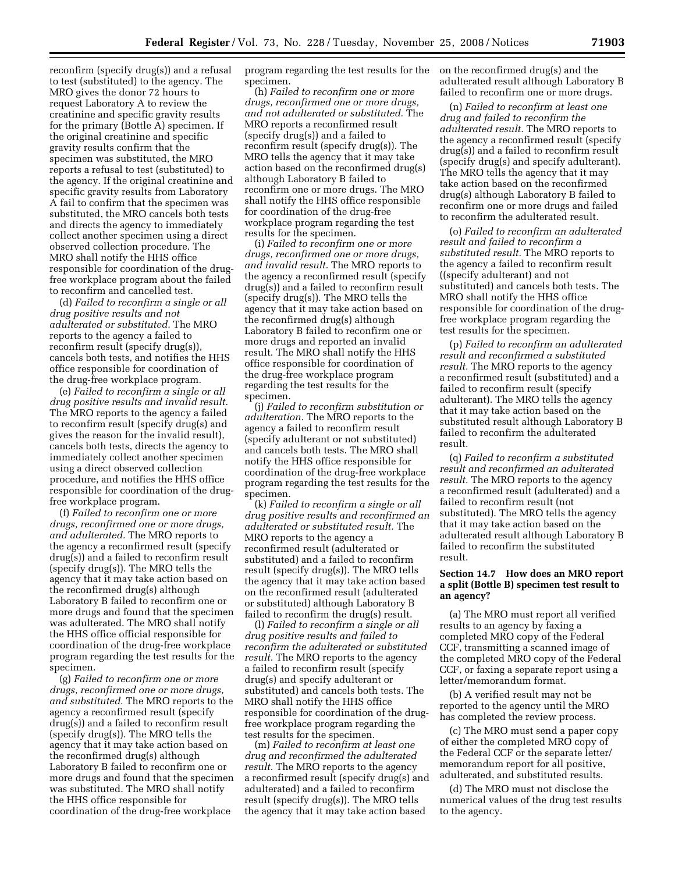reconfirm (specify drug(s)) and a refusal to test (substituted) to the agency. The MRO gives the donor 72 hours to request Laboratory A to review the creatinine and specific gravity results for the primary (Bottle A) specimen. If the original creatinine and specific gravity results confirm that the specimen was substituted, the MRO reports a refusal to test (substituted) to the agency. If the original creatinine and specific gravity results from Laboratory A fail to confirm that the specimen was substituted, the MRO cancels both tests and directs the agency to immediately collect another specimen using a direct observed collection procedure. The MRO shall notify the HHS office responsible for coordination of the drugfree workplace program about the failed to reconfirm and cancelled test.

(d) *Failed to reconfirm a single or all drug positive results and not adulterated or substituted.* The MRO reports to the agency a failed to reconfirm result (specify drug(s)), cancels both tests, and notifies the HHS office responsible for coordination of the drug-free workplace program.

(e) *Failed to reconfirm a single or all drug positive results and invalid result.*  The MRO reports to the agency a failed to reconfirm result (specify drug(s) and gives the reason for the invalid result), cancels both tests, directs the agency to immediately collect another specimen using a direct observed collection procedure, and notifies the HHS office responsible for coordination of the drugfree workplace program.

(f) *Failed to reconfirm one or more drugs, reconfirmed one or more drugs, and adulterated.* The MRO reports to the agency a reconfirmed result (specify drug(s)) and a failed to reconfirm result (specify drug(s)). The MRO tells the agency that it may take action based on the reconfirmed drug(s) although Laboratory B failed to reconfirm one or more drugs and found that the specimen was adulterated. The MRO shall notify the HHS office official responsible for coordination of the drug-free workplace program regarding the test results for the specimen.

(g) *Failed to reconfirm one or more drugs, reconfirmed one or more drugs, and substituted.* The MRO reports to the agency a reconfirmed result (specify drug(s)) and a failed to reconfirm result (specify drug(s)). The MRO tells the agency that it may take action based on the reconfirmed drug(s) although Laboratory B failed to reconfirm one or more drugs and found that the specimen was substituted. The MRO shall notify the HHS office responsible for coordination of the drug-free workplace

program regarding the test results for the specimen.

(h) *Failed to reconfirm one or more drugs, reconfirmed one or more drugs, and not adulterated or substituted.* The MRO reports a reconfirmed result (specify drug(s)) and a failed to reconfirm result (specify drug(s)). The MRO tells the agency that it may take action based on the reconfirmed drug(s) although Laboratory B failed to reconfirm one or more drugs. The MRO shall notify the HHS office responsible for coordination of the drug-free workplace program regarding the test results for the specimen.

(i) *Failed to reconfirm one or more drugs, reconfirmed one or more drugs, and invalid result.* The MRO reports to the agency a reconfirmed result (specify drug(s)) and a failed to reconfirm result (specify drug(s)). The MRO tells the agency that it may take action based on the reconfirmed drug(s) although Laboratory B failed to reconfirm one or more drugs and reported an invalid result. The MRO shall notify the HHS office responsible for coordination of the drug-free workplace program regarding the test results for the specimen.

(j) *Failed to reconfirm substitution or adulteration.* The MRO reports to the agency a failed to reconfirm result (specify adulterant or not substituted) and cancels both tests. The MRO shall notify the HHS office responsible for coordination of the drug-free workplace program regarding the test results for the specimen.

(k) *Failed to reconfirm a single or all drug positive results and reconfirmed an adulterated or substituted result.* The MRO reports to the agency a reconfirmed result (adulterated or substituted) and a failed to reconfirm result (specify drug(s)). The MRO tells the agency that it may take action based on the reconfirmed result (adulterated or substituted) although Laboratory B failed to reconfirm the drug(s) result.

(l) *Failed to reconfirm a single or all drug positive results and failed to reconfirm the adulterated or substituted result.* The MRO reports to the agency a failed to reconfirm result (specify drug(s) and specify adulterant or substituted) and cancels both tests. The MRO shall notify the HHS office responsible for coordination of the drugfree workplace program regarding the test results for the specimen.

(m) *Failed to reconfirm at least one drug and reconfirmed the adulterated result.* The MRO reports to the agency a reconfirmed result (specify drug(s) and adulterated) and a failed to reconfirm result (specify drug(s)). The MRO tells the agency that it may take action based

on the reconfirmed drug(s) and the adulterated result although Laboratory B failed to reconfirm one or more drugs.

(n) *Failed to reconfirm at least one drug and failed to reconfirm the adulterated result.* The MRO reports to the agency a reconfirmed result (specify drug(s)) and a failed to reconfirm result (specify drug(s) and specify adulterant). The MRO tells the agency that it may take action based on the reconfirmed drug(s) although Laboratory B failed to reconfirm one or more drugs and failed to reconfirm the adulterated result.

(o) *Failed to reconfirm an adulterated result and failed to reconfirm a substituted result.* The MRO reports to the agency a failed to reconfirm result ((specify adulterant) and not substituted) and cancels both tests. The MRO shall notify the HHS office responsible for coordination of the drugfree workplace program regarding the test results for the specimen.

(p) *Failed to reconfirm an adulterated result and reconfirmed a substituted result.* The MRO reports to the agency a reconfirmed result (substituted) and a failed to reconfirm result (specify adulterant). The MRO tells the agency that it may take action based on the substituted result although Laboratory B failed to reconfirm the adulterated result.

(q) *Failed to reconfirm a substituted result and reconfirmed an adulterated result.* The MRO reports to the agency a reconfirmed result (adulterated) and a failed to reconfirm result (not substituted). The MRO tells the agency that it may take action based on the adulterated result although Laboratory B failed to reconfirm the substituted result.

# **Section 14.7 How does an MRO report a split (Bottle B) specimen test result to an agency?**

(a) The MRO must report all verified results to an agency by faxing a completed MRO copy of the Federal CCF, transmitting a scanned image of the completed MRO copy of the Federal CCF, or faxing a separate report using a letter/memorandum format.

(b) A verified result may not be reported to the agency until the MRO has completed the review process.

(c) The MRO must send a paper copy of either the completed MRO copy of the Federal CCF or the separate letter/ memorandum report for all positive, adulterated, and substituted results.

(d) The MRO must not disclose the numerical values of the drug test results to the agency.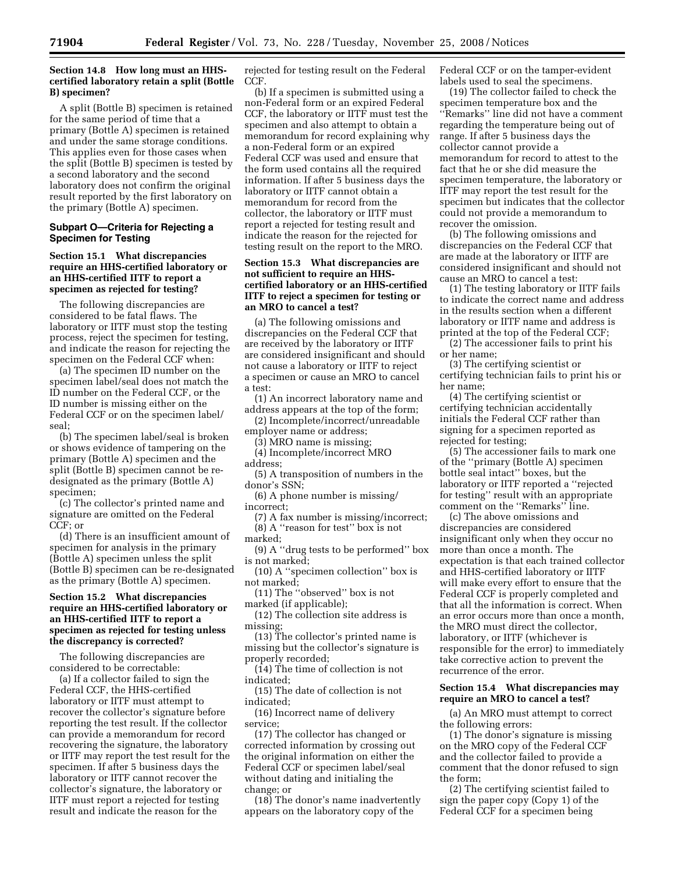# **Section 14.8 How long must an HHScertified laboratory retain a split (Bottle B) specimen?**

A split (Bottle B) specimen is retained for the same period of time that a primary (Bottle A) specimen is retained and under the same storage conditions. This applies even for those cases when the split (Bottle B) specimen is tested by a second laboratory and the second laboratory does not confirm the original result reported by the first laboratory on the primary (Bottle A) specimen.

## **Subpart O—Criteria for Rejecting a Specimen for Testing**

# **Section 15.1 What discrepancies require an HHS-certified laboratory or an HHS-certified IITF to report a specimen as rejected for testing?**

The following discrepancies are considered to be fatal flaws. The laboratory or IITF must stop the testing process, reject the specimen for testing, and indicate the reason for rejecting the specimen on the Federal CCF when:

(a) The specimen ID number on the specimen label/seal does not match the ID number on the Federal CCF, or the ID number is missing either on the Federal CCF or on the specimen label/ seal;

(b) The specimen label/seal is broken or shows evidence of tampering on the primary (Bottle A) specimen and the split (Bottle B) specimen cannot be redesignated as the primary (Bottle A) specimen;

(c) The collector's printed name and signature are omitted on the Federal CCF; or

(d) There is an insufficient amount of specimen for analysis in the primary (Bottle A) specimen unless the split (Bottle B) specimen can be re-designated as the primary (Bottle A) specimen.

# **Section 15.2 What discrepancies require an HHS-certified laboratory or an HHS-certified IITF to report a specimen as rejected for testing unless the discrepancy is corrected?**

The following discrepancies are considered to be correctable:

(a) If a collector failed to sign the Federal CCF, the HHS-certified laboratory or IITF must attempt to recover the collector's signature before reporting the test result. If the collector can provide a memorandum for record recovering the signature, the laboratory or IITF may report the test result for the specimen. If after 5 business days the laboratory or IITF cannot recover the collector's signature, the laboratory or IITF must report a rejected for testing result and indicate the reason for the

rejected for testing result on the Federal CCF.

(b) If a specimen is submitted using a non-Federal form or an expired Federal CCF, the laboratory or IITF must test the specimen and also attempt to obtain a memorandum for record explaining why a non-Federal form or an expired Federal CCF was used and ensure that the form used contains all the required information. If after 5 business days the laboratory or IITF cannot obtain a memorandum for record from the collector, the laboratory or IITF must report a rejected for testing result and indicate the reason for the rejected for testing result on the report to the MRO.

# **Section 15.3 What discrepancies are not sufficient to require an HHScertified laboratory or an HHS-certified IITF to reject a specimen for testing or an MRO to cancel a test?**

(a) The following omissions and discrepancies on the Federal CCF that are received by the laboratory or IITF are considered insignificant and should not cause a laboratory or IITF to reject a specimen or cause an MRO to cancel a test:

(1) An incorrect laboratory name and address appears at the top of the form;

(2) Incomplete/incorrect/unreadable

employer name or address;

(3) MRO name is missing;

(4) Incomplete/incorrect MRO address;

(5) A transposition of numbers in the donor's SSN;

(6) A phone number is missing/ incorrect;

(7) A fax number is missing/incorrect; (8) A ''reason for test'' box is not marked;

(9) A ''drug tests to be performed'' box is not marked;

(10) A ''specimen collection'' box is not marked;

(11) The ''observed'' box is not marked (if applicable);

(12) The collection site address is missing;

(13) The collector's printed name is missing but the collector's signature is properly recorded;

(14) The time of collection is not indicated;

(15) The date of collection is not indicated;

(16) Incorrect name of delivery service;

(17) The collector has changed or corrected information by crossing out the original information on either the Federal CCF or specimen label/seal without dating and initialing the change; or

(18) The donor's name inadvertently appears on the laboratory copy of the

Federal CCF or on the tamper-evident labels used to seal the specimens.

(19) The collector failed to check the specimen temperature box and the ''Remarks'' line did not have a comment regarding the temperature being out of range. If after 5 business days the collector cannot provide a memorandum for record to attest to the fact that he or she did measure the specimen temperature, the laboratory or IITF may report the test result for the specimen but indicates that the collector could not provide a memorandum to recover the omission.

(b) The following omissions and discrepancies on the Federal CCF that are made at the laboratory or IITF are considered insignificant and should not cause an MRO to cancel a test:

(1) The testing laboratory or IITF fails to indicate the correct name and address in the results section when a different laboratory or IITF name and address is printed at the top of the Federal CCF;

(2) The accessioner fails to print his or her name;

(3) The certifying scientist or certifying technician fails to print his or her name;

(4) The certifying scientist or certifying technician accidentally initials the Federal CCF rather than signing for a specimen reported as rejected for testing;

(5) The accessioner fails to mark one of the ''primary (Bottle A) specimen bottle seal intact'' boxes, but the laboratory or IITF reported a ''rejected for testing'' result with an appropriate comment on the ''Remarks'' line.

(c) The above omissions and discrepancies are considered insignificant only when they occur no more than once a month. The expectation is that each trained collector and HHS-certified laboratory or IITF will make every effort to ensure that the Federal CCF is properly completed and that all the information is correct. When an error occurs more than once a month, the MRO must direct the collector, laboratory, or IITF (whichever is responsible for the error) to immediately take corrective action to prevent the recurrence of the error.

# **Section 15.4 What discrepancies may require an MRO to cancel a test?**

(a) An MRO must attempt to correct the following errors:

(1) The donor's signature is missing on the MRO copy of the Federal CCF and the collector failed to provide a comment that the donor refused to sign the form;

(2) The certifying scientist failed to sign the paper copy (Copy 1) of the Federal CCF for a specimen being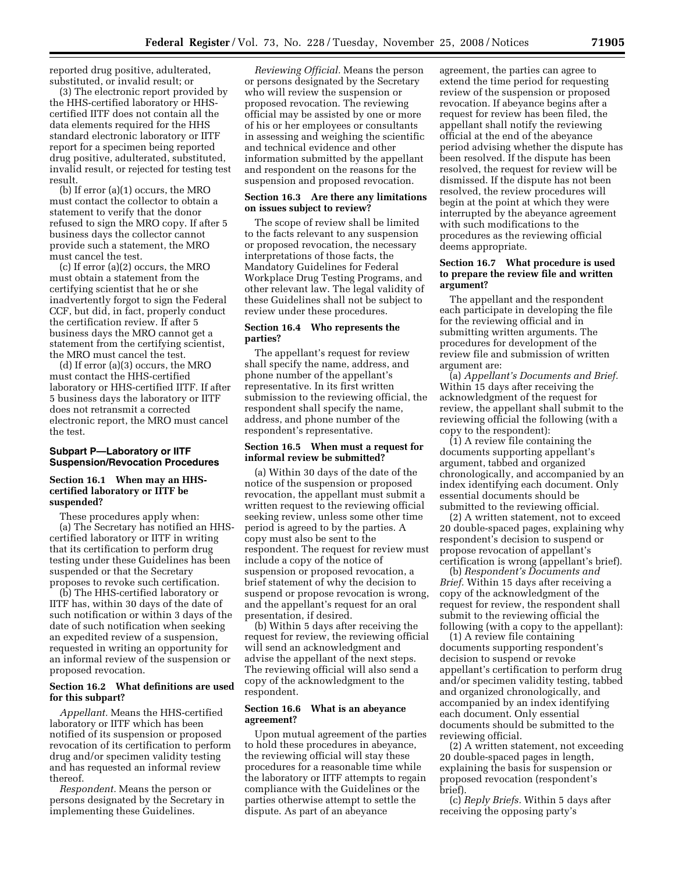reported drug positive, adulterated, substituted, or invalid result; or

(3) The electronic report provided by the HHS-certified laboratory or HHScertified IITF does not contain all the data elements required for the HHS standard electronic laboratory or IITF report for a specimen being reported drug positive, adulterated, substituted, invalid result, or rejected for testing test result.

(b) If error (a)(1) occurs, the MRO must contact the collector to obtain a statement to verify that the donor refused to sign the MRO copy. If after 5 business days the collector cannot provide such a statement, the MRO must cancel the test.

(c) If error (a)(2) occurs, the MRO must obtain a statement from the certifying scientist that he or she inadvertently forgot to sign the Federal CCF, but did, in fact, properly conduct the certification review. If after 5 business days the MRO cannot get a statement from the certifying scientist, the MRO must cancel the test.

(d) If error (a)(3) occurs, the MRO must contact the HHS-certified laboratory or HHS-certified IITF. If after 5 business days the laboratory or IITF does not retransmit a corrected electronic report, the MRO must cancel the test.

#### **Subpart P—Laboratory or IITF Suspension/Revocation Procedures**

## **Section 16.1 When may an HHScertified laboratory or IITF be suspended?**

These procedures apply when:

(a) The Secretary has notified an HHScertified laboratory or IITF in writing that its certification to perform drug testing under these Guidelines has been suspended or that the Secretary proposes to revoke such certification.

(b) The HHS-certified laboratory or IITF has, within 30 days of the date of such notification or within 3 days of the date of such notification when seeking an expedited review of a suspension, requested in writing an opportunity for an informal review of the suspension or proposed revocation.

### **Section 16.2 What definitions are used for this subpart?**

*Appellant.* Means the HHS-certified laboratory or IITF which has been notified of its suspension or proposed revocation of its certification to perform drug and/or specimen validity testing and has requested an informal review thereof.

*Respondent.* Means the person or persons designated by the Secretary in implementing these Guidelines.

*Reviewing Official.* Means the person or persons designated by the Secretary who will review the suspension or proposed revocation. The reviewing official may be assisted by one or more of his or her employees or consultants in assessing and weighing the scientific and technical evidence and other information submitted by the appellant and respondent on the reasons for the suspension and proposed revocation.

## **Section 16.3 Are there any limitations on issues subject to review?**

The scope of review shall be limited to the facts relevant to any suspension or proposed revocation, the necessary interpretations of those facts, the Mandatory Guidelines for Federal Workplace Drug Testing Programs, and other relevant law. The legal validity of these Guidelines shall not be subject to review under these procedures.

#### **Section 16.4 Who represents the parties?**

The appellant's request for review shall specify the name, address, and phone number of the appellant's representative. In its first written submission to the reviewing official, the respondent shall specify the name, address, and phone number of the respondent's representative.

# **Section 16.5 When must a request for informal review be submitted?**

(a) Within 30 days of the date of the notice of the suspension or proposed revocation, the appellant must submit a written request to the reviewing official seeking review, unless some other time period is agreed to by the parties. A copy must also be sent to the respondent. The request for review must include a copy of the notice of suspension or proposed revocation, a brief statement of why the decision to suspend or propose revocation is wrong, and the appellant's request for an oral presentation, if desired.

(b) Within 5 days after receiving the request for review, the reviewing official will send an acknowledgment and advise the appellant of the next steps. The reviewing official will also send a copy of the acknowledgment to the respondent.

#### **Section 16.6 What is an abeyance agreement?**

Upon mutual agreement of the parties to hold these procedures in abeyance, the reviewing official will stay these procedures for a reasonable time while the laboratory or IITF attempts to regain compliance with the Guidelines or the parties otherwise attempt to settle the dispute. As part of an abeyance

agreement, the parties can agree to extend the time period for requesting review of the suspension or proposed revocation. If abeyance begins after a request for review has been filed, the appellant shall notify the reviewing official at the end of the abeyance period advising whether the dispute has been resolved. If the dispute has been resolved, the request for review will be dismissed. If the dispute has not been resolved, the review procedures will begin at the point at which they were interrupted by the abeyance agreement with such modifications to the procedures as the reviewing official deems appropriate.

# **Section 16.7 What procedure is used to prepare the review file and written argument?**

The appellant and the respondent each participate in developing the file for the reviewing official and in submitting written arguments. The procedures for development of the review file and submission of written argument are:

(a) *Appellant's Documents and Brief.*  Within 15 days after receiving the acknowledgment of the request for review, the appellant shall submit to the reviewing official the following (with a copy to the respondent):

(1) A review file containing the documents supporting appellant's argument, tabbed and organized chronologically, and accompanied by an index identifying each document. Only essential documents should be submitted to the reviewing official.

(2) A written statement, not to exceed 20 double-spaced pages, explaining why respondent's decision to suspend or propose revocation of appellant's certification is wrong (appellant's brief).

(b) *Respondent's Documents and Brief.* Within 15 days after receiving a copy of the acknowledgment of the request for review, the respondent shall submit to the reviewing official the following (with a copy to the appellant):

(1) A review file containing documents supporting respondent's decision to suspend or revoke appellant's certification to perform drug and/or specimen validity testing, tabbed and organized chronologically, and accompanied by an index identifying each document. Only essential documents should be submitted to the reviewing official.

(2) A written statement, not exceeding 20 double-spaced pages in length, explaining the basis for suspension or proposed revocation (respondent's brief).

(c) *Reply Briefs.* Within 5 days after receiving the opposing party's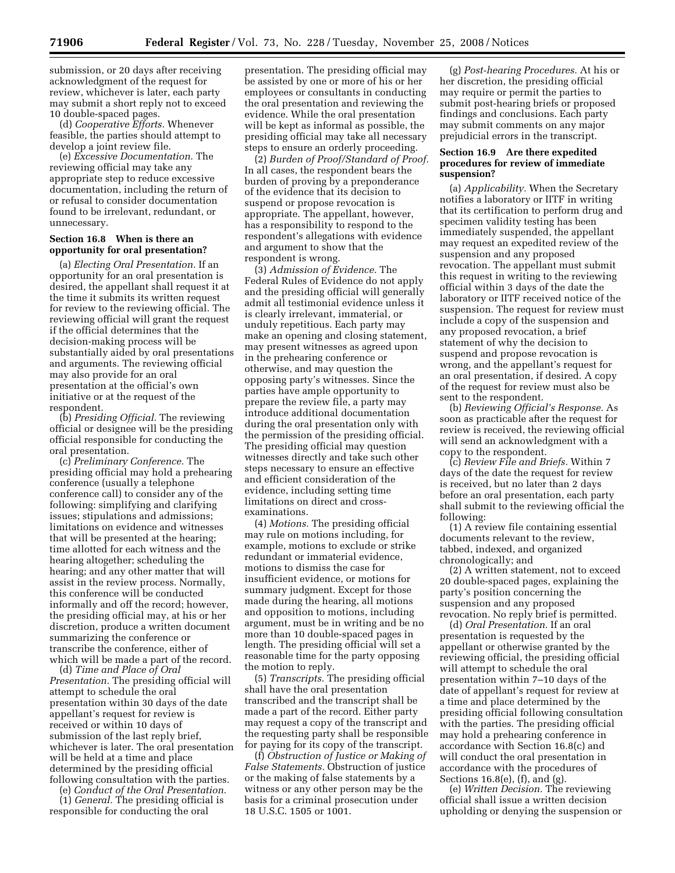submission, or 20 days after receiving acknowledgment of the request for review, whichever is later, each party may submit a short reply not to exceed 10 double-spaced pages.

(d) *Cooperative Efforts.* Whenever feasible, the parties should attempt to develop a joint review file.

(e) *Excessive Documentation.* The reviewing official may take any appropriate step to reduce excessive documentation, including the return of or refusal to consider documentation found to be irrelevant, redundant, or unnecessary.

## **Section 16.8 When is there an opportunity for oral presentation?**

(a) *Electing Oral Presentation.* If an opportunity for an oral presentation is desired, the appellant shall request it at the time it submits its written request for review to the reviewing official. The reviewing official will grant the request if the official determines that the decision-making process will be substantially aided by oral presentations and arguments. The reviewing official may also provide for an oral presentation at the official's own initiative or at the request of the respondent.

(b) *Presiding Official.* The reviewing official or designee will be the presiding official responsible for conducting the oral presentation.

(c) *Preliminary Conference.* The presiding official may hold a prehearing conference (usually a telephone conference call) to consider any of the following: simplifying and clarifying issues; stipulations and admissions; limitations on evidence and witnesses that will be presented at the hearing; time allotted for each witness and the hearing altogether; scheduling the hearing; and any other matter that will assist in the review process. Normally, this conference will be conducted informally and off the record; however, the presiding official may, at his or her discretion, produce a written document summarizing the conference or transcribe the conference, either of which will be made a part of the record.

(d) *Time and Place of Oral Presentation.* The presiding official will attempt to schedule the oral presentation within 30 days of the date appellant's request for review is received or within 10 days of submission of the last reply brief, whichever is later. The oral presentation will be held at a time and place determined by the presiding official following consultation with the parties.

(e) *Conduct of the Oral Presentation.*  (1) *General.* The presiding official is

responsible for conducting the oral

presentation. The presiding official may be assisted by one or more of his or her employees or consultants in conducting the oral presentation and reviewing the evidence. While the oral presentation will be kept as informal as possible, the presiding official may take all necessary steps to ensure an orderly proceeding.

(2) *Burden of Proof/Standard of Proof.*  In all cases, the respondent bears the burden of proving by a preponderance of the evidence that its decision to suspend or propose revocation is appropriate. The appellant, however, has a responsibility to respond to the respondent's allegations with evidence and argument to show that the respondent is wrong.

(3) *Admission of Evidence.* The Federal Rules of Evidence do not apply and the presiding official will generally admit all testimonial evidence unless it is clearly irrelevant, immaterial, or unduly repetitious. Each party may make an opening and closing statement, may present witnesses as agreed upon in the prehearing conference or otherwise, and may question the opposing party's witnesses. Since the parties have ample opportunity to prepare the review file, a party may introduce additional documentation during the oral presentation only with the permission of the presiding official. The presiding official may question witnesses directly and take such other steps necessary to ensure an effective and efficient consideration of the evidence, including setting time limitations on direct and crossexaminations.

(4) *Motions.* The presiding official may rule on motions including, for example, motions to exclude or strike redundant or immaterial evidence, motions to dismiss the case for insufficient evidence, or motions for summary judgment. Except for those made during the hearing, all motions and opposition to motions, including argument, must be in writing and be no more than 10 double-spaced pages in length. The presiding official will set a reasonable time for the party opposing the motion to reply.

(5) *Transcripts.* The presiding official shall have the oral presentation transcribed and the transcript shall be made a part of the record. Either party may request a copy of the transcript and the requesting party shall be responsible for paying for its copy of the transcript.

(f) *Obstruction of Justice or Making of False Statements.* Obstruction of justice or the making of false statements by a witness or any other person may be the basis for a criminal prosecution under 18 U.S.C. 1505 or 1001.

(g) *Post-hearing Procedures.* At his or her discretion, the presiding official may require or permit the parties to submit post-hearing briefs or proposed findings and conclusions. Each party may submit comments on any major prejudicial errors in the transcript.

#### **Section 16.9 Are there expedited procedures for review of immediate suspension?**

(a) *Applicability.* When the Secretary notifies a laboratory or IITF in writing that its certification to perform drug and specimen validity testing has been immediately suspended, the appellant may request an expedited review of the suspension and any proposed revocation. The appellant must submit this request in writing to the reviewing official within 3 days of the date the laboratory or IITF received notice of the suspension. The request for review must include a copy of the suspension and any proposed revocation, a brief statement of why the decision to suspend and propose revocation is wrong, and the appellant's request for an oral presentation, if desired. A copy of the request for review must also be sent to the respondent.

(b) *Reviewing Official's Response.* As soon as practicable after the request for review is received, the reviewing official will send an acknowledgment with a copy to the respondent.

(c) *Review File and Briefs.* Within 7 days of the date the request for review is received, but no later than 2 days before an oral presentation, each party shall submit to the reviewing official the following:

(1) A review file containing essential documents relevant to the review, tabbed, indexed, and organized chronologically; and

(2) A written statement, not to exceed 20 double-spaced pages, explaining the party's position concerning the suspension and any proposed revocation. No reply brief is permitted.

(d) *Oral Presentation.* If an oral presentation is requested by the appellant or otherwise granted by the reviewing official, the presiding official will attempt to schedule the oral presentation within 7–10 days of the date of appellant's request for review at a time and place determined by the presiding official following consultation with the parties. The presiding official may hold a prehearing conference in accordance with Section 16.8(c) and will conduct the oral presentation in accordance with the procedures of Sections 16.8(e), (f), and (g).

(e) *Written Decision.* The reviewing official shall issue a written decision upholding or denying the suspension or